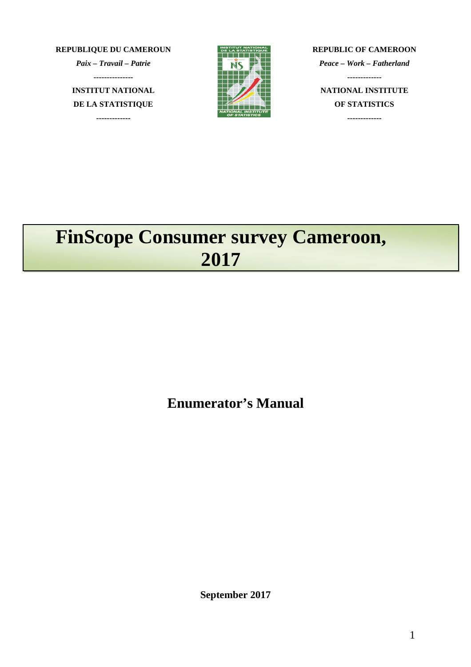**REPUBLIQUE DU CAMEROUN**

*Paix – Travail – Patrie*

**---------------**

**INSTITUT NATIONAL DE LA STATISTIQUE**

**-------------**



**REPUBLIC OF CAMEROON** *Peace – Work – Fatherland* **------------- NATIONAL INSTITUTE OF STATISTICS -------------**

# **FinScope Consumer survey Cameroon, 2017**

**Enumerator's Manual**

**September 2017**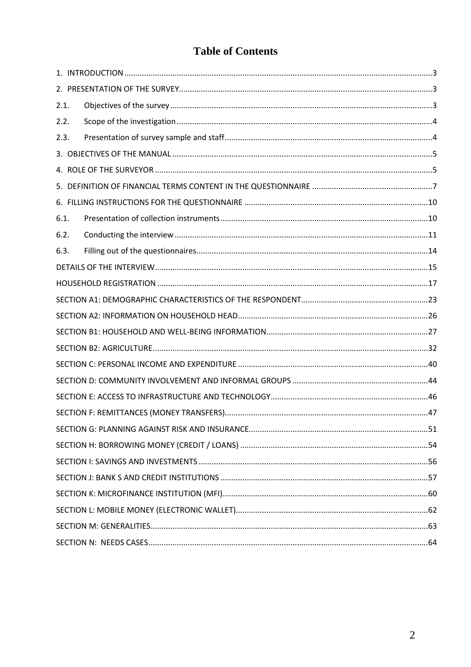## **Table of Contents**

| 2.1. |  |
|------|--|
| 2.2. |  |
| 2.3. |  |
|      |  |
|      |  |
|      |  |
|      |  |
| 6.1. |  |
| 6.2. |  |
| 6.3. |  |
|      |  |
|      |  |
|      |  |
|      |  |
|      |  |
|      |  |
|      |  |
|      |  |
|      |  |
|      |  |
|      |  |
|      |  |
|      |  |
|      |  |
|      |  |
|      |  |
|      |  |
|      |  |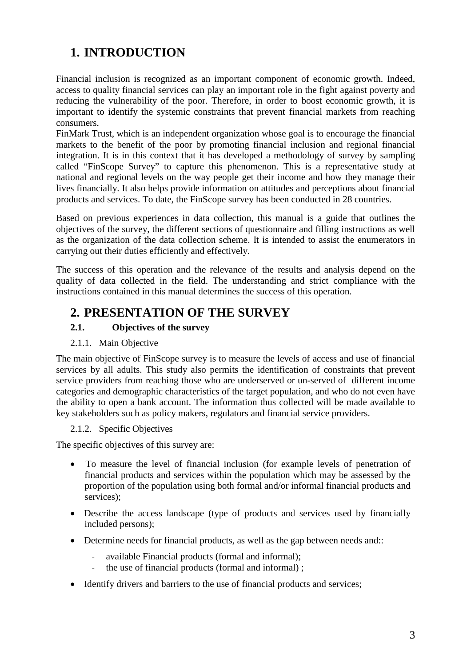## **1. INTRODUCTION**

Financial inclusion is recognized as an important component of economic growth. Indeed, access to quality financial services can play an important role in the fight against poverty and reducing the vulnerability of the poor. Therefore, in order to boost economic growth, it is important to identify the systemic constraints that prevent financial markets from reaching consumers.

FinMark Trust, which is an independent organization whose goal is to encourage the financial markets to the benefit of the poor by promoting financial inclusion and regional financial integration. It is in this context that it has developed a methodology of survey by sampling called "FinScope Survey" to capture this phenomenon. This is a representative study at national and regional levels on the way people get their income and how they manage their lives financially. It also helps provide information on attitudes and perceptions about financial products and services. To date, the FinScope survey has been conducted in 28 countries.

Based on previous experiences in data collection, this manual is a guide that outlines the objectives of the survey, the different sections of questionnaire and filling instructions as well as the organization of the data collection scheme. It is intended to assist the enumerators in carrying out their duties efficiently and effectively.

The success of this operation and the relevance of the results and analysis depend on the quality of data collected in the field. The understanding and strict compliance with the instructions contained in this manual determines the success of this operation.

## **2. PRESENTATION OF THE SURVEY**

## **2.1. Objectives of the survey**

## 2.1.1. Main Objective

The main objective of FinScope survey is to measure the levels of access and use of financial services by all adults. This study also permits the identification of constraints that prevent service providers from reaching those who are underserved or un-served of different income categories and demographic characteristics of the target population, and who do not even have the ability to open a bank account. The information thus collected will be made available to key stakeholders such as policy makers, regulators and financial service providers.

## 2.1.2. Specific Objectives

The specific objectives of this survey are:

- To measure the level of financial inclusion (for example levels of penetration of financial products and services within the population which may be assessed by the proportion of the population using both formal and/or informal financial products and services);
- Describe the access landscape (type of products and services used by financially included persons);
- Determine needs for financial products, as well as the gap between needs and::
	- available Financial products (formal and informal);
	- the use of financial products (formal and informal);
- Identify drivers and barriers to the use of financial products and services;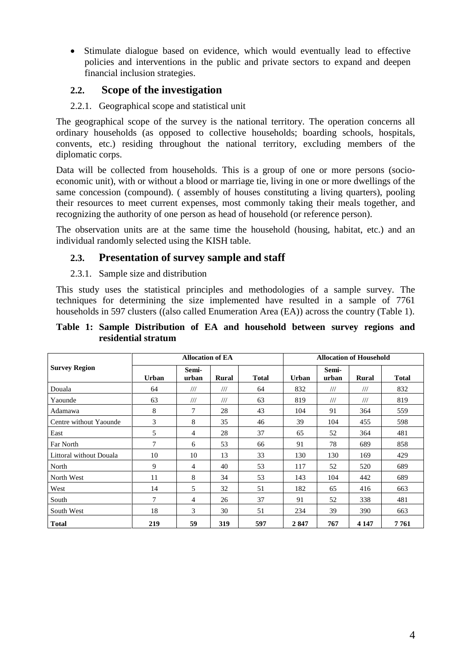Stimulate dialogue based on evidence, which would eventually lead to effective policies and interventions in the public and private sectors to expand and deepen financial inclusion strategies.

## **2.2. Scope of the investigation**

## 2.2.1. Geographical scope and statistical unit

The geographical scope of the survey is the national territory. The operation concerns all ordinary households (as opposed to collective households; boarding schools, hospitals, convents, etc.) residing throughout the national territory, excluding members of the diplomatic corps.

Data will be collected from households. This is a group of one or more persons (socioeconomic unit), with or without a blood or marriage tie, living in one or more dwellings of the same concession (compound). ( assembly of houses constituting a living quarters), pooling their resources to meet current expenses, most commonly taking their meals together, and recognizing the authority of one person as head of household (or reference person).

The observation units are at the same time the household (housing, habitat, etc.) and an individual randomly selected using the KISH table.

## **2.3. Presentation of survey sample and staff**

## 2.3.1. Sample size and distribution

This study uses the statistical principles and methodologies of a sample survey. The techniques for determining the size implemented have resulted in a sample of 7761 households in 597 clusters ((also called Enumeration Area (EA)) across the country (Table 1).

#### **Table 1: Sample Distribution of EA and household between survey regions and residential stratum**

|                         |              | <b>Allocation of EA</b> |                         |              | <b>Allocation of Household</b> |                         |                         |              |  |  |  |
|-------------------------|--------------|-------------------------|-------------------------|--------------|--------------------------------|-------------------------|-------------------------|--------------|--|--|--|
| <b>Survey Region</b>    | <b>Urban</b> | Semi-<br>urban          | Rural                   | <b>Total</b> | <b>Urban</b>                   | Semi-<br>urban          | Rural                   | <b>Total</b> |  |  |  |
| Douala                  | 64           | $^{\prime\prime\prime}$ | $^{\prime\prime\prime}$ | 64           | 832                            | $^{\prime\prime\prime}$ | $^{\prime\prime\prime}$ | 832          |  |  |  |
| Yaounde                 | 63           | $^{\prime\prime\prime}$ | $^{\prime\prime\prime}$ | 63           | 819                            | $^{\prime\prime\prime}$ | $^{\prime\prime\prime}$ | 819          |  |  |  |
| Adamawa                 | 8            | 7                       | 28                      | 43           | 104                            | 91                      | 364                     | 559          |  |  |  |
| Centre without Yaounde  | 3            | 8                       | 35                      | 46           | 39                             | 104                     | 455                     | 598          |  |  |  |
| East                    | 5            | 4                       | 28                      | 37           | 65                             | 52                      | 364                     | 481          |  |  |  |
| Far North               | 7            | 6                       | 53                      | 66           | 91                             | 78                      | 689                     | 858          |  |  |  |
| Littoral without Douala | 10           | 10                      | 13                      | 33           | 130                            | 130                     | 169                     | 429          |  |  |  |
| North                   | 9            | 4                       | 40                      | 53           | 117                            | 52                      | 520                     | 689          |  |  |  |
| North West              | 11           | 8                       | 34                      | 53           | 143                            | 104                     | 442                     | 689          |  |  |  |
| West                    | 14           | 5                       | 32                      | 51           | 182                            | 65                      | 416                     | 663          |  |  |  |
| South                   | 7            | $\overline{4}$          | 26                      | 37           | 91                             | 52                      | 338                     | 481          |  |  |  |
| South West              | 18           | 3                       | 30                      | 51           | 234                            | 39                      | 390                     | 663          |  |  |  |
| <b>Total</b>            | 219          | 59                      | 319                     | 597          | 2847                           | 767                     | 4 1 4 7                 | 7761         |  |  |  |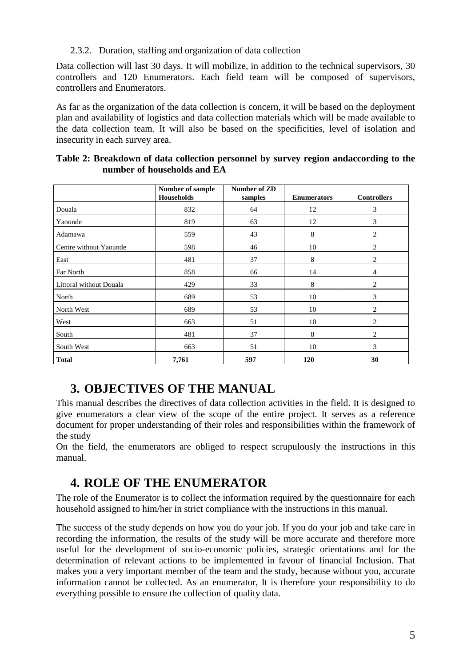2.3.2. Duration, staffing and organization of data collection

Data collection will last 30 days. It will mobilize, in addition to the technical supervisors, 30 controllers and 120 Enumerators. Each field team will be composed of supervisors, controllers and Enumerators.

As far as the organization of the data collection is concern, it will be based on the deployment plan and availability of logistics and data collection materials which will be made available to the data collection team. It will also be based on the specificities, level of isolation and insecurity in each survey area.

|                         | Number of sample<br>Households | Number of ZD<br>samples | <b>Enumerators</b> | <b>Controllers</b> |
|-------------------------|--------------------------------|-------------------------|--------------------|--------------------|
| Douala                  | 832                            | 64                      | 12                 | 3                  |
| Yaounde                 | 819                            | 63                      | 12                 | 3                  |
| Adamawa                 | 559                            | 43                      | 8                  | $\overline{2}$     |
| Centre without Yaounde  | 598                            | 46                      | 10                 | 2                  |
| East                    | 481                            | 37                      | 8                  | 2                  |
| Far North               | 858                            | 66                      | 14                 | $\overline{4}$     |
| Littoral without Douala | 429                            | 33                      | 8                  | 2                  |
| North                   | 689                            | 53                      | 10                 | 3                  |
| North West              | 689                            | 53                      | 10                 | 2                  |
| West                    | 663                            | 51                      | 10                 | $\overline{c}$     |
| South                   | 481                            | 37                      | 8                  | $\overline{c}$     |
| South West              | 663                            | 51                      | 10                 | 3                  |
| <b>Total</b>            | 7,761                          | 597                     | <b>120</b>         | 30                 |

| Table 2: Breakdown of data collection personnel by survey region and according to the |  |
|---------------------------------------------------------------------------------------|--|
| number of households and EA                                                           |  |

## **3. OBJECTIVES OF THE MANUAL**

This manual describes the directives of data collection activities in the field. It is designed to give enumerators a clear view of the scope of the entire project. It serves as a reference document for proper understanding of their roles and responsibilities within the framework of the study

On the field, the enumerators are obliged to respect scrupulously the instructions in this manual.

## **4. ROLE OF THE ENUMERATOR**

The role of the Enumerator is to collect the information required by the questionnaire for each household assigned to him/her in strict compliance with the instructions in this manual.

The success of the study depends on how you do your job. If you do your job and take care in recording the information, the results of the study will be more accurate and therefore more useful for the development of socio-economic policies, strategic orientations and for the determination of relevant actions to be implemented in favour of financial Inclusion. That makes you a very important member of the team and the study, because without you, accurate information cannot be collected. As an enumerator, It is therefore your responsibility to do everything possible to ensure the collection of quality data.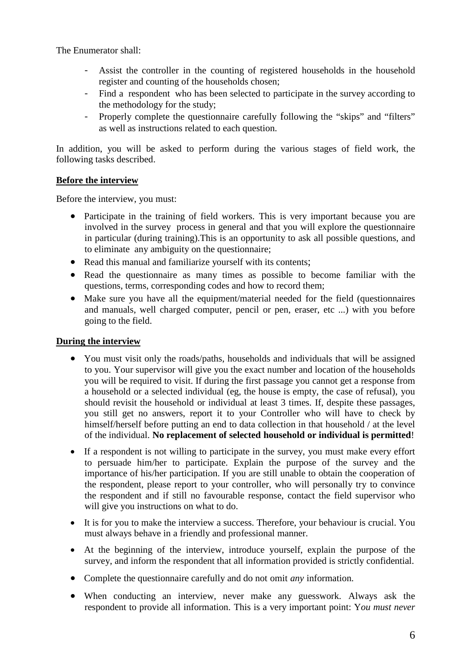The Enumerator shall:

- Assist the controller in the counting of registered households in the household register and counting of the households chosen;
- Find a respondent who has been selected to participate in the survey according to the methodology for the study;
- Properly complete the questionnaire carefully following the "skips" and "filters" as well as instructions related to each question.

In addition, you will be asked to perform during the various stages of field work, the following tasks described.

## **Before the interview**

Before the interview, you must:

- Participate in the training of field workers. This is very important because you are involved in the survey process in general and that you will explore the questionnaire in particular (during training).This is an opportunity to ask all possible questions, and to eliminate any ambiguity on the questionnaire;
- Read this manual and familiarize yourself with its contents;
- Read the questionnaire as many times as possible to become familiar with the questions, terms, corresponding codes and how to record them;
- Make sure you have all the equipment/material needed for the field (questionnaires and manuals, well charged computer, pencil or pen, eraser, etc ...) with you before going to the field.

## **During the interview**

- You must visit only the roads/paths, households and individuals that will be assigned to you. Your supervisor will give you the exact number and location of the households you will be required to visit. If during the first passage you cannot get a response from a household or a selected individual (eg, the house is empty, the case of refusal), you should revisit the household or individual at least 3 times. If, despite these passages, you still get no answers, report it to your Controller who will have to check by himself/herself before putting an end to data collection in that household / at the level of the individual. **No replacement of selected household or individual is permitted**!
- If a respondent is not willing to participate in the survey, you must make every effort to persuade him/her to participate. Explain the purpose of the survey and the importance of his/her participation. If you are still unable to obtain the cooperation of the respondent, please report to your controller, who will personally try to convince the respondent and if still no favourable response, contact the field supervisor who will give you instructions on what to do.
- It is for you to make the interview a success. Therefore, your behaviour is crucial. You must always behave in a friendly and professional manner.
- At the beginning of the interview, introduce yourself, explain the purpose of the survey, and inform the respondent that all information provided is strictly confidential.
- Complete the questionnaire carefully and do not omit *any* information.
- When conducting an interview, never make any guesswork. Always ask the respondent to provide all information. This is a very important point: Y*ou must never*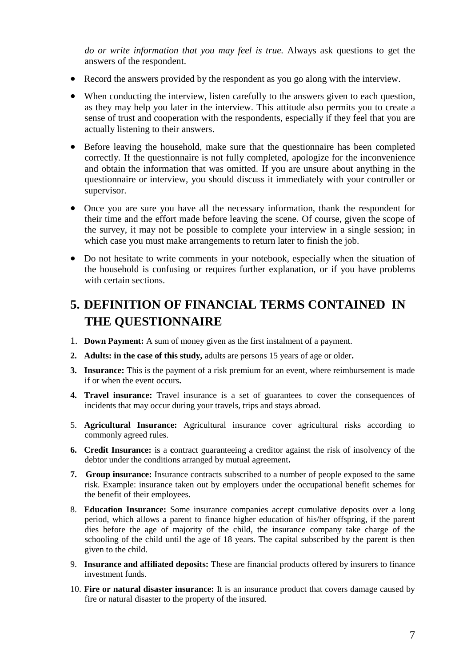*do or write information that you may feel is true.* Always ask questions to get the answers of the respondent.

- Record the answers provided by the respondent as you go along with the interview.
- When conducting the interview, listen carefully to the answers given to each question, as they may help you later in the interview. This attitude also permits you to create a sense of trust and cooperation with the respondents, especially if they feel that you are actually listening to their answers.
- Before leaving the household, make sure that the questionnaire has been completed correctly. If the questionnaire is not fully completed, apologize for the inconvenience and obtain the information that was omitted. If you are unsure about anything in the questionnaire or interview, you should discuss it immediately with your controller or supervisor.
- Once you are sure you have all the necessary information, thank the respondent for their time and the effort made before leaving the scene. Of course, given the scope of the survey, it may not be possible to complete your interview in a single session; in which case you must make arrangements to return later to finish the job.
- Do not hesitate to write comments in your notebook, especially when the situation of the household is confusing or requires further explanation, or if you have problems with certain sections.

## **5. DEFINITION OF FINANCIAL TERMS CONTAINED IN THE QUESTIONNAIRE**

- 1. **Down Payment:** A sum of money given as the first instalment of a payment.
- **2. Adults: in the case of this study,** adults are persons 15 years of age or older**.**
- **3. Insurance:** This is the payment of a risk premium for an event, where reimbursement is made if or when the event occurs**.**
- **4. Travel insurance:** Travel insurance is a set of guarantees to cover the consequences of incidents that may occur during your travels, trips and stays abroad.
- 5. **Agricultural Insurance:** Agricultural insurance cover agricultural risks according to commonly agreed rules.
- **6. Credit Insurance:** is a **c**ontract guaranteeing a creditor against the risk of insolvency of the debtor under the conditions arranged by mutual agreement**.**
- **7. Group insurance:** Insurance contracts subscribed to a number of people exposed to the same risk. Example: insurance taken out by employers under the occupational benefit schemes for the benefit of their employees.
- 8. **Education Insurance:** Some insurance companies accept cumulative deposits over a long period, which allows a parent to finance higher education of his/her offspring, if the parent dies before the age of majority of the child, the insurance company take charge of the schooling of the child until the age of 18 years. The capital subscribed by the parent is then given to the child.
- 9. **Insurance and affiliated deposits:** These are financial products offered by insurers to finance investment funds.
- 10. **Fire or natural disaster insurance:** It is an insurance product that covers damage caused by fire or natural disaster to the property of the insured.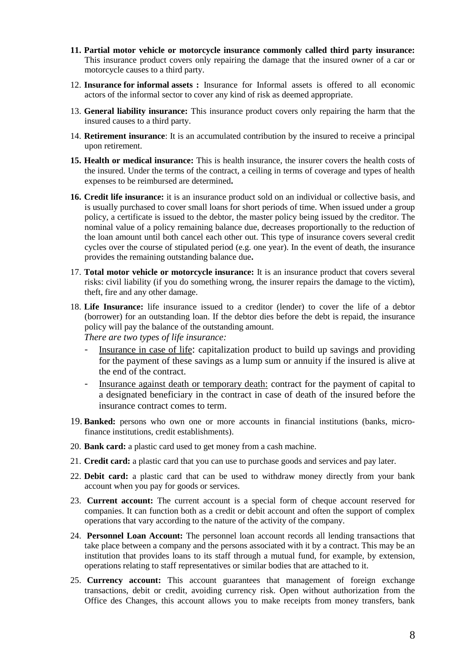- **11. Partial motor vehicle or motorcycle insurance commonly called third party insurance:** This insurance product covers only repairing the damage that the insured owner of a car or motorcycle causes to a third party.
- 12. **Insurance for informal assets :** Insurance for Informal assets is offered to all economic actors of the informal sector to cover any kind of risk as deemed appropriate.
- 13. **General liability insurance:** This insurance product covers only repairing the harm that the insured causes to a third party.
- 14. **Retirement insurance**: It is an accumulated contribution by the insured to receive a principal upon retirement.
- **15. Health or medical insurance:** This is health insurance, the insurer covers the health costs of the insured. Under the terms of the contract, a ceiling in terms of coverage and types of health expenses to be reimbursed are determined**.**
- **16. Credit life insurance:** it is an insurance product sold on an individual or collective basis, and is usually purchased to cover small loans for short periods of time. When issued under a group policy, a certificate is issued to the debtor, the master policy being issued by the creditor. The nominal value of a policy remaining balance due, decreases proportionally to the reduction of the loan amount until both cancel each other out. This type of insurance covers several credit cycles over the course of stipulated period (e.g. one year). In the event of death, the insurance provides the remaining outstanding balance due**.**
- 17. **Total motor vehicle or motorcycle insurance:** It is an insurance product that covers several risks: civil liability (if you do something wrong, the insurer repairs the damage to the victim), theft, fire and any other damage.
- 18. **Life Insurance:** life insurance issued to a creditor (lender) to cover the life of a debtor (borrower) for an outstanding loan. If the debtor dies before the debt is repaid, the insurance policy will pay the balance of the outstanding amount.

*There are two types of life insurance:*

- Insurance in case of life: capitalization product to build up savings and providing for the payment of these savings as a lump sum or annuity if the insured is alive at the end of the contract.
- Insurance against death or temporary death: contract for the payment of capital to a designated beneficiary in the contract in case of death of the insured before the insurance contract comes to term.
- 19. **Banked:** persons who own one or more accounts in financial institutions (banks, microfinance institutions, credit establishments).
- 20. **Bank card:** a plastic card used to get money from a cash machine.
- 21. **Credit card:** a plastic card that you can use to purchase goods and services and pay later.
- 22. **Debit card:** a plastic card that can be used to withdraw money directly from your bank account when you pay for goods or services.
- 23. **Current account:** The current account is a special form of cheque account reserved for companies. It can function both as a credit or debit account and often the support of complex operations that vary according to the nature of the activity of the company.
- 24. **Personnel Loan Account:** The personnel loan account records all lending transactions that take place between a company and the persons associated with it by a contract. This may be an institution that provides loans to its staff through a mutual fund, for example, by extension, operations relating to staff representatives or similar bodies that are attached to it.
- 25. **Currency account:** This account guarantees that management of foreign exchange transactions, debit or credit, avoiding currency risk. Open without authorization from the Office des Changes, this account allows you to make receipts from money transfers, bank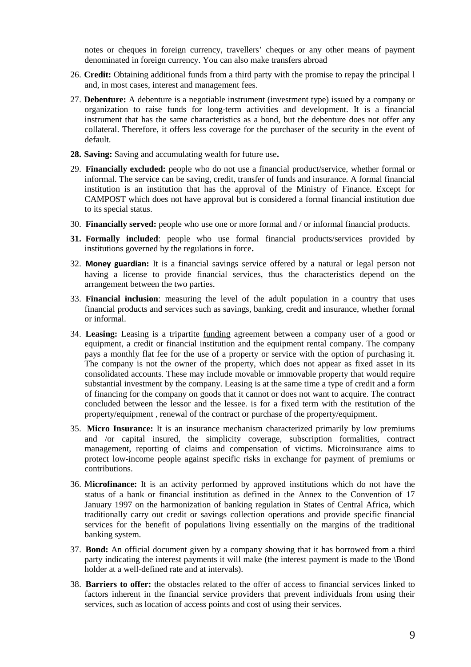notes or cheques in foreign currency, travellers' cheques or any other means of payment denominated in foreign currency. You can also make transfers abroad

- 26. **Credit:** Obtaining additional funds from a third party with the promise to repay the principal l and, in most cases, interest and management fees.
- 27. **Debenture:** A debenture is a negotiable instrument (investment type) issued by a company or organization to raise funds for long-term activities and development. It is a financial instrument that has the same characteristics as a bond, but the debenture does not offer any collateral. Therefore, it offers less coverage for the purchaser of the security in the event of default.
- **28. Saving:** Saving and accumulating wealth for future use**.**
- 29. **Financially excluded:** people who do not use a financial product/service, whether formal or informal. The service can be saving, credit, transfer of funds and insurance. A formal financial institution is an institution that has the approval of the Ministry of Finance. Except for CAMPOST which does not have approval but is considered a formal financial institution due to its special status.
- 30. **Financially served:** people who use one or more formal and / or informal financial products.
- **31. Formally included**: people who use formal financial products/services provided by institutions governed by the regulations in force**.**
- 32. **Money guardian:** It is a financial savings service offered by a natural or legal person not having a license to provide financial services, thus the characteristics depend on the arrangement between the two parties.
- 33. **Financial inclusion**: measuring the level of the adult population in a country that uses financial products and services such as savings, banking, credit and insurance, whether formal or informal.
- 34. **Leasing:** Leasing is a tripartite funding agreement between a company user of a good or equipment, a credit or financial institution and the equipment rental company. The company pays a monthly flat fee for the use of a property or service with the option of purchasing it. The company is not the owner of the property, which does not appear as fixed asset in its consolidated accounts. These may include movable or immovable property that would require substantial investment by the company. Leasing is at the same time a type of credit and a form of financing for the company on goods that it cannot or does not want to acquire. The contract concluded between the lessor and the lessee. is for a fixed term with the restitution of the property/equipment , renewal of the contract or purchase of the property/equipment.
- 35. **Micro Insurance:** It is an insurance mechanism characterized primarily by low premiums and /or capital insured, the simplicity coverage, subscription formalities, contract management, reporting of claims and compensation of victims. Microinsurance aims to protect low-income people against specific risks in exchange for payment of premiums or contributions.
- 36. M**icrofinance:** It is an activity performed by approved institutions which do not have the status of a bank or financial institution as defined in the Annex to the Convention of 17 January 1997 on the harmonization of banking regulation in States of Central Africa, which traditionally carry out credit or savings collection operations and provide specific financial services for the benefit of populations living essentially on the margins of the traditional banking system.
- 37. **Bond:** An official document given by a company showing that it has borrowed from a third party indicating the interest payments it will make (the interest payment is made to the \Bond holder at a well-defined rate and at intervals).
- 38. **Barriers to offer:** the obstacles related to the offer of access to financial services linked to factors inherent in the financial service providers that prevent individuals from using their services, such as location of access points and cost of using their services.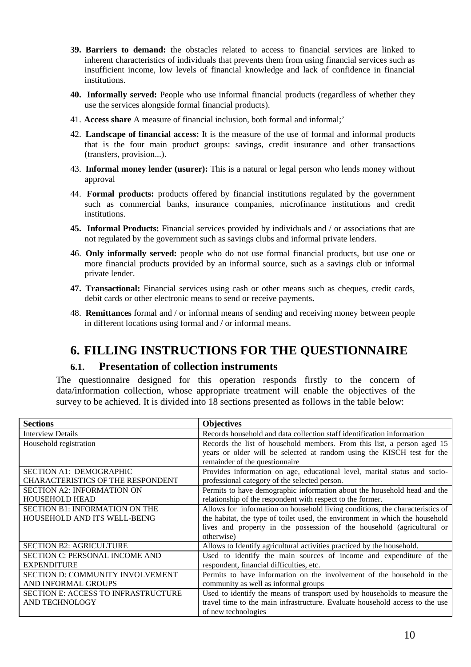- **39. Barriers to demand:** the obstacles related to access to financial services are linked to inherent characteristics of individuals that prevents them from using financial services such as insufficient income, low levels of financial knowledge and lack of confidence in financial institutions.
- **40. Informally served:** People who use informal financial products (regardless of whether they use the services alongside formal financial products).
- 41. **Access share** A measure of financial inclusion, both formal and informal;'
- 42. **Landscape of financial access:** It is the measure of the use of formal and informal products that is the four main product groups: savings, credit insurance and other transactions (transfers, provision...).
- 43. **Informal money lender (usurer):** This is a natural or legal person who lends money without approval
- 44. **Formal products:** products offered by financial institutions regulated by the government such as commercial banks, insurance companies, microfinance institutions and credit institutions.
- **45. Informal Products:** Financial services provided by individuals and / or associations that are not regulated by the government such as savings clubs and informal private lenders.
- 46. **Only informally served:** people who do not use formal financial products, but use one or more financial products provided by an informal source, such as a savings club or informal private lender.
- **47. Transactional:** Financial services using cash or other means such as cheques, credit cards, debit cards or other electronic means to send or receive payments**.**
- 48. **Remittances** formal and / or informal means of sending and receiving money between people in different locations using formal and / or informal means.

## **6. FILLING INSTRUCTIONS FOR THE QUESTIONNAIRE**

## **6.1. Presentation of collection instruments**

The questionnaire designed for this operation responds firstly to the concern of data/information collection, whose appropriate treatment will enable the objectives of the survey to be achieved. It is divided into 18 sections presented as follows in the table below:

| <b>Sections</b>                            | <b>Objectives</b>                                                                                        |
|--------------------------------------------|----------------------------------------------------------------------------------------------------------|
| <b>Interview Details</b>                   | Records household and data collection staff identification information                                   |
| Household registration                     | Records the list of household members. From this list, a person aged 15                                  |
|                                            | years or older will be selected at random using the KISCH test for the<br>remainder of the questionnaire |
| SECTION A1: DEMOGRAPHIC                    | Provides information on age, educational level, marital status and socio-                                |
| <b>CHARACTERISTICS OF THE RESPONDENT</b>   | professional category of the selected person.                                                            |
| <b>SECTION A2: INFORMATION ON</b>          | Permits to have demographic information about the household head and the                                 |
| <b>HOUSEHOLD HEAD</b>                      | relationship of the respondent with respect to the former.                                               |
| <b>SECTION B1: INFORMATION ON THE</b>      | Allows for information on household living conditions, the characteristics of                            |
| <b>HOUSEHOLD AND ITS WELL-BEING</b>        | the habitat, the type of toilet used, the environment in which the household                             |
|                                            | lives and property in the possession of the household (agricultural or                                   |
|                                            | otherwise)                                                                                               |
| <b>SECTION B2: AGRICULTURE</b>             | Allows to Identify agricultural activities practiced by the household.                                   |
| <b>SECTION C: PERSONAL INCOME AND</b>      | Used to identify the main sources of income and expenditure of the                                       |
| <b>EXPENDITURE</b>                         | respondent, financial difficulties, etc.                                                                 |
| <b>SECTION D: COMMUNITY INVOLVEMENT</b>    | Permits to have information on the involvement of the household in the                                   |
| AND INFORMAL GROUPS                        | community as well as informal groups                                                                     |
| <b>SECTION E: ACCESS TO INFRASTRUCTURE</b> | Used to identify the means of transport used by households to measure the                                |
| <b>AND TECHNOLOGY</b>                      | travel time to the main infrastructure. Evaluate household access to the use                             |
|                                            | of new technologies                                                                                      |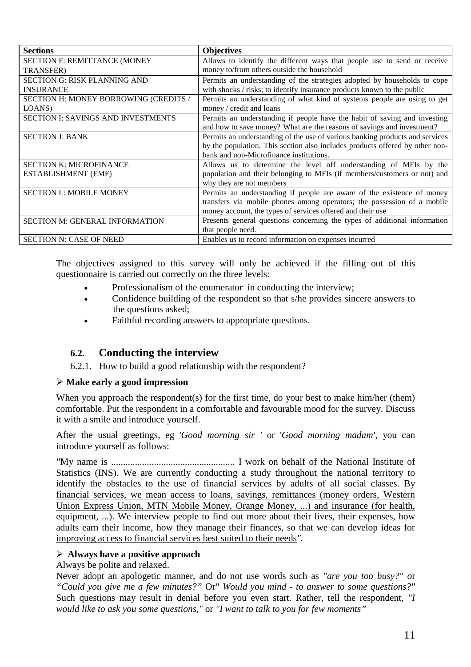| <b>Sections</b>                           | <b>Objectives</b>                                                            |
|-------------------------------------------|------------------------------------------------------------------------------|
| <b>SECTION F: REMITTANCE (MONEY</b>       | Allows to identify the different ways that people use to send or receive     |
| <b>TRANSFER</b> )                         | money to/from others outside the household                                   |
| <b>SECTION G: RISK PLANNING AND</b>       | Permits an understanding of the strategies adopted by households to cope     |
| <b>INSURANCE</b>                          | with shocks / risks; to identify insurance products known to the public      |
| SECTION H: MONEY BORROWING (CREDITS /     | Permits an understanding of what kind of systems people are using to get     |
| LOANS)                                    | money / credit and loans                                                     |
| <b>SECTION I: SAVINGS AND INVESTMENTS</b> | Permits an understanding if people have the habit of saving and investing    |
|                                           | and how to save money? What are the reasons of savings and investment?       |
| <b>SECTION J: BANK</b>                    | Permits an understanding of the use of various banking products and services |
|                                           | by the population. This section also includes products offered by other non- |
|                                           | bank and non-Microfinance institutions.                                      |
| <b>SECTION K: MICROFINANCE</b>            | Allows us to determine the level off understanding of MFIs by the            |
| <b>ESTABLISHMENT (EMF)</b>                | population and their belonging to MFIs (if members/customers or not) and     |
|                                           | why they are not members                                                     |
| <b>SECTION L: MOBILE MONEY</b>            | Permits an understanding if people are aware of the existence of money       |
|                                           | transfers via mobile phones among operators; the possession of a mobile      |
|                                           | money account, the types of services offered and their use                   |
| <b>SECTION M: GENERAL INFORMATION</b>     | Presents general questions concerning the types of additional information    |
|                                           | that people need.                                                            |
| <b>SECTION N: CASE OF NEED</b>            | Enables us to record information on expenses incurred                        |

The objectives assigned to this survey will only be achieved if the filling out of this questionnaire is carried out correctly on the three levels:

- Professionalism of the enumerator in conducting the interview;
- Confidence building of the respondent so that s/he provides sincere answers to the questions asked;
- Faithful recording answers to appropriate questions.

## **6.2. Conducting the interview**

6.2.1. How to build a good relationship with the respondent?

#### **Make early a good impression**

When you approach the respondent(s) for the first time, do your best to make him/her (them) comfortable. Put the respondent in a comfortable and favourable mood for the survey. Discuss it with a smile and introduce yourself.

After the usual greetings, eg '*Good morning sir '* or '*Good morning madam'*, you can introduce yourself as follows:

*"*My name is .................................................... I work on behalf of the National Institute of Statistics (INS). We are currently conducting a study throughout the national territory to identify the obstacles to the use of financial services by adults of all social classes. By financial services, we mean access to loans, savings, remittances (money orders, Western Union Express Union, MTN Mobile Money, Orange Money, ...) and insurance (for health, equipment, ...). We interview people to find out more about their lives, their expenses, how adults earn their income, how they manage their finances, so that we can develop ideas for improving access to financial services best suited to their needs*".*

#### **Always have a positive approach**

#### Always be polite and relaxed.

Never adopt an apologetic manner, and do not use words such as *"are you too busy?" o*r *"Could you give me a few minutes?"* Or*" Would you mind - to answer to some questions?"* Such questions may result in denial before you even start. Rather, tell the respondent, *"I would like to ask you some questions,"* or *"I want to talk to you for few moments"*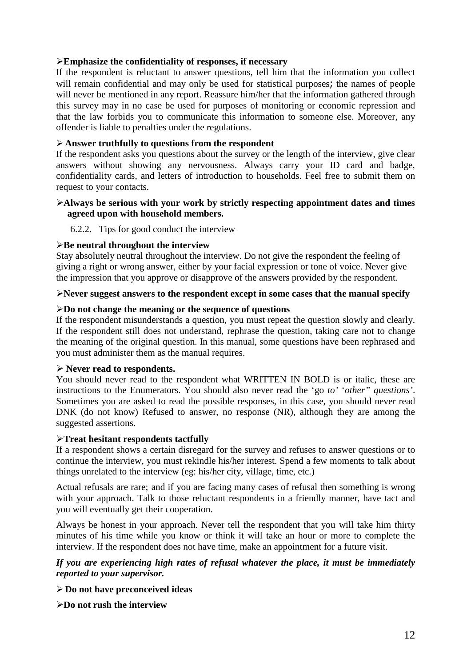### **Emphasize the confidentiality of responses, if necessary**

If the respondent is reluctant to answer questions, tell him that the information you collect will remain confidential and may only be used for statistical purposes; the names of people will never be mentioned in any report. Reassure him/her that the information gathered through this survey may in no case be used for purposes of monitoring or economic repression and that the law forbids you to communicate this information to someone else. Moreover, any offender is liable to penalties under the regulations.

## **Answer truthfully to questions from the respondent**

If the respondent asks you questions about the survey or the length of the interview, give clear answers without showing any nervousness. Always carry your ID card and badge, confidentiality cards, and letters of introduction to households. Feel free to submit them on request to your contacts.

#### **Always be serious with your work by strictly respecting appointment dates and times agreed upon with household members.**

6.2.2. Tips for good conduct the interview

#### **Be neutral throughout the interview**

Stay absolutely neutral throughout the interview. Do not give the respondent the feeling of giving a right or wrong answer, either by your facial expression or tone of voice. Never give the impression that you approve or disapprove of the answers provided by the respondent.

### **Never suggest answers to the respondent except in some cases that the manual specify**

### **Do not change the meaning or the sequence of questions**

If the respondent misunderstands a question, you must repeat the question slowly and clearly. If the respondent still does not understand, rephrase the question, taking care not to change the meaning of the original question. In this manual, some questions have been rephrased and you must administer them as the manual requires.

#### **Never read to respondents.**

You should never read to the respondent what WRITTEN IN BOLD is or italic, these are instructions to the Enumerators. You should also never read the 'go *to'* '*other" questions'*. Sometimes you are asked to read the possible responses, in this case, you should never read DNK (do not know) Refused to answer, no response (NR), although they are among the suggested assertions.

#### **Treat hesitant respondents tactfully**

If a respondent shows a certain disregard for the survey and refuses to answer questions or to continue the interview, you must rekindle his/her interest. Spend a few moments to talk about things unrelated to the interview (eg: his/her city, village, time, etc.)

Actual refusals are rare; and if you are facing many cases of refusal then something is wrong with your approach. Talk to those reluctant respondents in a friendly manner, have tact and you will eventually get their cooperation.

Always be honest in your approach. Never tell the respondent that you will take him thirty minutes of his time while you know or think it will take an hour or more to complete the interview. If the respondent does not have time, make an appointment for a future visit.

## *If you are experiencing high rates of refusal whatever the place, it must be immediately reported to your supervisor.*

**Do not have preconceived ideas**

**Do not rush the interview**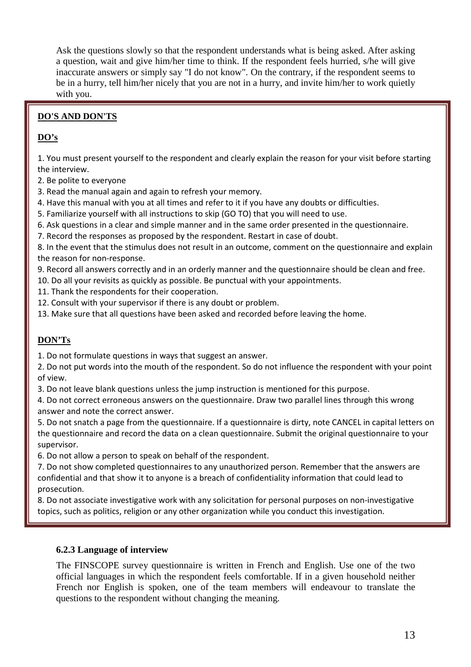Ask the questions slowly so that the respondent understands what is being asked. After asking a question, wait and give him/her time to think. If the respondent feels hurried, s/he will give inaccurate answers or simply say "I do not know". On the contrary, if the respondent seems to be in a hurry, tell him/her nicely that you are not in a hurry, and invite him/her to work quietly with you.

## **DO'S AND DON'TS**

## **DO's**

1. You must present yourself to the respondent and clearly explain the reason for your visit before starting the interview.

2. Be polite to everyone

- 3. Read the manual again and again to refresh your memory.
- 4. Have this manual with you at all times and refer to it if you have any doubts or difficulties.
- 5. Familiarize yourself with all instructions to skip (GO TO) that you will need to use.
- 6. Ask questions in a clear and simple manner and in the same order presented in the questionnaire.
- 7. Record the responses as proposed by the respondent. Restart in case of doubt.

8. In the event that the stimulus does not result in an outcome, comment on the questionnaire and explain the reason for non-response.

- 9. Record all answers correctly and in an orderly manner and the questionnaire should be clean and free.
- 10. Do all your revisits as quickly as possible. Be punctual with your appointments.
- 11. Thank the respondents for their cooperation.
- 12. Consult with your supervisor if there is any doubt or problem.
- 13. Make sure that all questions have been asked and recorded before leaving the home.

## **DON'Ts**

1. Do not formulate questions in ways that suggest an answer.

2. Do not put words into the mouth of the respondent. So do not influence the respondent with your point of view.

3. Do not leave blank questions unless the jump instruction is mentioned for this purpose.

4. Do not correct erroneous answers on the questionnaire. Draw two parallel lines through this wrong answer and note the correct answer.

5. Do not snatch a page from the questionnaire. If a questionnaire is dirty, note CANCEL in capital letters on the questionnaire and record the data on a clean questionnaire. Submit the original questionnaire to your supervisor.

6. Do not allow a person to speak on behalf of the respondent.

7. Do not show completed questionnaires to any unauthorized person. Remember that the answers are confidential and that show it to anyone is a breach of confidentiality information that could lead to prosecution.

8. Do not associate investigative work with any solicitation for personal purposes on non-investigative topics, such as politics, religion or any other organization while you conduct this investigation.

## **6.2.3 Language of interview**

The FINSCOPE survey questionnaire is written in French and English. Use one of the two official languages in which the respondent feels comfortable. If in a given household neither French nor English is spoken, one of the team members will endeavour to translate the questions to the respondent without changing the meaning.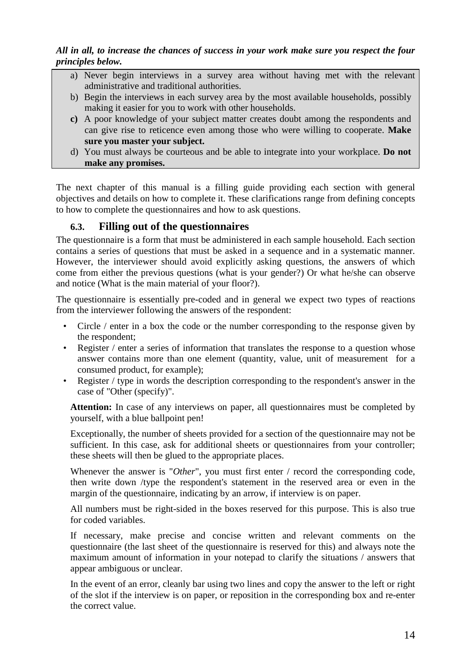## *All in all, to increase the chances of success in your work make sure you respect the four principles below.*

- a) Never begin interviews in a survey area without having met with the relevant administrative and traditional authorities.
- b) Begin the interviews in each survey area by the most available households, possibly making it easier for you to work with other households.
- **c)** A poor knowledge of your subject matter creates doubt among the respondents and can give rise to reticence even among those who were willing to cooperate. **Make sure you master your subject.**
- d) You must always be courteous and be able to integrate into your workplace. **Do not make any promises.**

The next chapter of this manual is a filling guide providing each section with general objectives and details on how to complete it. These clarifications range from defining concepts to how to complete the questionnaires and how to ask questions.

## **6.3. Filling out of the questionnaires**

The questionnaire is a form that must be administered in each sample household. Each section contains a series of questions that must be asked in a sequence and in a systematic manner. However, the interviewer should avoid explicitly asking questions, the answers of which come from either the previous questions (what is your gender?) Or what he/she can observe and notice (What is the main material of your floor?).

The questionnaire is essentially pre-coded and in general we expect two types of reactions from the interviewer following the answers of the respondent:

- Circle / enter in a box the code or the number corresponding to the response given by the respondent;
- Register / enter a series of information that translates the response to a question whose answer contains more than one element (quantity, value, unit of measurement for a consumed product, for example);
- Register / type in words the description corresponding to the respondent's answer in the case of "Other (specify)".

Attention: In case of any interviews on paper, all questionnaires must be completed by yourself, with a blue ballpoint pen!

Exceptionally, the number of sheets provided for a section of the questionnaire may not be sufficient. In this case, ask for additional sheets or questionnaires from your controller; these sheets will then be glued to the appropriate places.

Whenever the answer is "*Other*", you must first enter / record the corresponding code, then write down /type the respondent's statement in the reserved area or even in the margin of the questionnaire, indicating by an arrow, if interview is on paper.

All numbers must be right-sided in the boxes reserved for this purpose. This is also true for coded variables.

If necessary, make precise and concise written and relevant comments on the questionnaire (the last sheet of the questionnaire is reserved for this) and always note the maximum amount of information in your notepad to clarify the situations / answers that appear ambiguous or unclear.

In the event of an error, cleanly bar using two lines and copy the answer to the left or right of the slot if the interview is on paper, or reposition in the corresponding box and re-enter the correct value.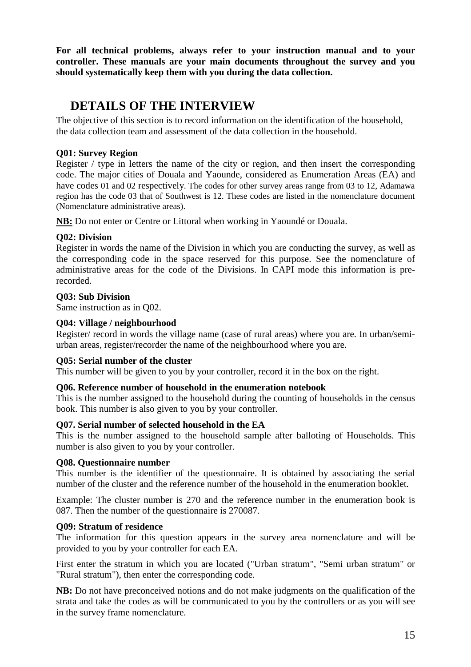**For all technical problems, always refer to your instruction manual and to your controller. These manuals are your main documents throughout the survey and you should systematically keep them with you during the data collection.**

## **DETAILS OF THE INTERVIEW**

The objective of this section is to record information on the identification of the household, the data collection team and assessment of the data collection in the household.

## **Q01: Survey Region**

Register / type in letters the name of the city or region, and then insert the corresponding code. The major cities of Douala and Yaounde, considered as Enumeration Areas (EA) and have codes 01 and 02 respectively. The codes for other survey areas range from 03 to 12, Adamawa region has the code 03 that of Southwest is 12. These codes are listed in the nomenclature document (Nomenclature administrative areas).

**NB:** Do not enter or Centre or Littoral when working in Yaoundé or Douala.

## **Q02: Division**

Register in words the name of the Division in which you are conducting the survey, as well as the corresponding code in the space reserved for this purpose. See the nomenclature of administrative areas for the code of the Divisions. In CAPI mode this information is prerecorded.

## **Q03: Sub Division**

Same instruction as in Q02.

## **Q04: Village / neighbourhood**

Register/ record in words the village name (case of rural areas) where you are. In urban/semiurban areas, register/recorder the name of the neighbourhood where you are.

#### **Q05: Serial number of the cluster**

This number will be given to you by your controller, record it in the box on the right.

#### **Q06. Reference number of household in the enumeration notebook**

This is the number assigned to the household during the counting of households in the census book. This number is also given to you by your controller.

#### **Q07. Serial number of selected household in the EA**

This is the number assigned to the household sample after balloting of Households. This number is also given to you by your controller.

#### **Q08. Questionnaire number**

This number is the identifier of the questionnaire. It is obtained by associating the serial number of the cluster and the reference number of the household in the enumeration booklet.

Example: The cluster number is 270 and the reference number in the enumeration book is 087. Then the number of the questionnaire is 270087.

#### **Q09: Stratum of residence**

The information for this question appears in the survey area nomenclature and will be provided to you by your controller for each EA.

First enter the stratum in which you are located ("Urban stratum", "Semi urban stratum" or "Rural stratum"), then enter the corresponding code.

**NB:** Do not have preconceived notions and do not make judgments on the qualification of the strata and take the codes as will be communicated to you by the controllers or as you will see in the survey frame nomenclature.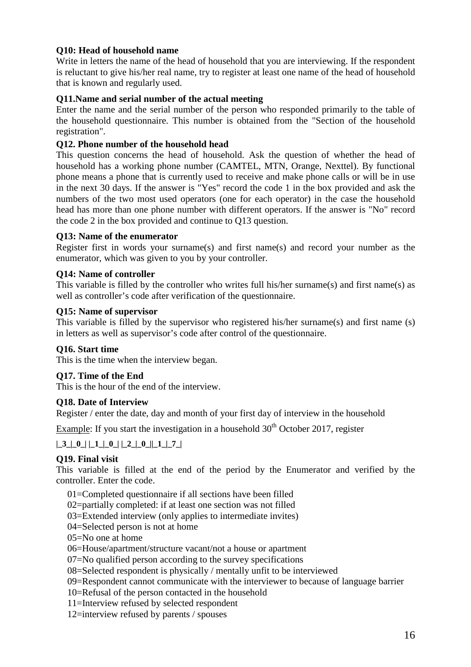## **Q10: Head of household name**

Write in letters the name of the head of household that you are interviewing. If the respondent is reluctant to give his/her real name, try to register at least one name of the head of household that is known and regularly used.

## **Q11.Name and serial number of the actual meeting**

Enter the name and the serial number of the person who responded primarily to the table of the household questionnaire. This number is obtained from the "Section of the household registration".

## **Q12. Phone number of the household head**

This question concerns the head of household. Ask the question of whether the head of household has a working phone number (CAMTEL, MTN, Orange, Nexttel). By functional phone means a phone that is currently used to receive and make phone calls or will be in use in the next 30 days. If the answer is "Yes" record the code 1 in the box provided and ask the numbers of the two most used operators (one for each operator) in the case the household head has more than one phone number with different operators. If the answer is "No" record the code 2 in the box provided and continue to Q13 question.

## **Q13: Name of the enumerator**

Register first in words your surname(s) and first name(s) and record your number as the enumerator, which was given to you by your controller.

### **Q14: Name of controller**

This variable is filled by the controller who writes full his/her surname(s) and first name(s) as well as controller's code after verification of the questionnaire.

### **Q15: Name of supervisor**

This variable is filled by the supervisor who registered his/her surname(s) and first name (s) in letters as well as supervisor's code after control of the questionnaire.

## **Q16. Start time**

This is the time when the interview began.

## **Q17. Time of the End**

This is the hour of the end of the interview.

#### **Q18. Date of Interview**

Register / enter the date, day and month of your first day of interview in the household

Example: If you start the investigation in a household  $30<sup>th</sup>$  October 2017, register

**|\_3\_|\_0\_| |\_1\_|\_0\_| |\_2\_|\_0\_||\_1\_|\_7\_|**

## **Q19. Final visit**

This variable is filled at the end of the period by the Enumerator and verified by the controller. Enter the code.

01=Completed questionnaire if all sections have been filled

02=partially completed: if at least one section was not filled

03=Extended interview (only applies to intermediate invites)

- 04=Selected person is not at home
- 05=No one at home
- 06=House/apartment/structure vacant/not a house or apartment
- 07=No qualified person according to the survey specifications

08=Selected respondent is physically / mentally unfit to be interviewed

09=Respondent cannot communicate with the interviewer to because of language barrier

- 10=Refusal of the person contacted in the household
- 11=Interview refused by selected respondent

12=interview refused by parents / spouses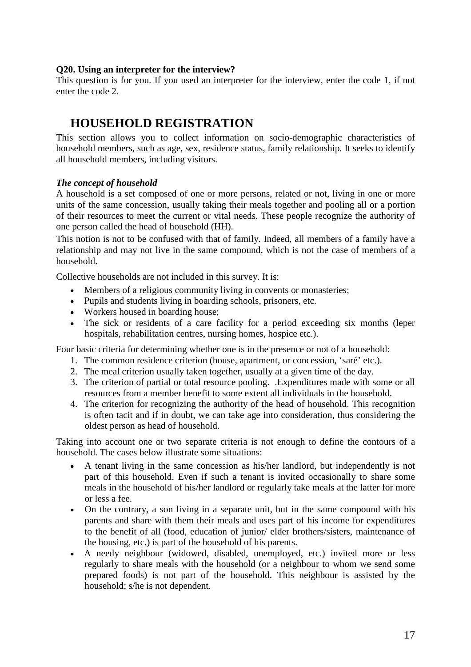#### **Q20. Using an interpreter for the interview?**

This question is for you. If you used an interpreter for the interview, enter the code 1, if not enter the code 2.

## **HOUSEHOLD REGISTRATION**

This section allows you to collect information on socio-demographic characteristics of household members, such as age, sex, residence status, family relationship. It seeks to identify all household members, including visitors.

## *The concept of household*

A household is a set composed of one or more persons, related or not, living in one or more units of the same concession, usually taking their meals together and pooling all or a portion of their resources to meet the current or vital needs. These people recognize the authority of one person called the head of household (HH).

This notion is not to be confused with that of family. Indeed, all members of a family have a relationship and may not live in the same compound, which is not the case of members of a household.

Collective households are not included in this survey. It is:

- Members of a religious community living in convents or monasteries;
- Pupils and students living in boarding schools, prisoners, etc.
- Workers housed in boarding house;
- The sick or residents of a care facility for a period exceeding six months (leper hospitals, rehabilitation centres, nursing homes, hospice etc.).

Four basic criteria for determining whether one is in the presence or not of a household:

- 1. The common residence criterion (house, apartment, or concession, 'saré' etc.).
- 2. The meal criterion usually taken together, usually at a given time of the day.
- 3. The criterion of partial or total resource pooling. .Expenditures made with some or all resources from a member benefit to some extent all individuals in the household.
- 4. The criterion for recognizing the authority of the head of household. This recognition is often tacit and if in doubt, we can take age into consideration, thus considering the oldest person as head of household.

Taking into account one or two separate criteria is not enough to define the contours of a household. The cases below illustrate some situations:

- A tenant living in the same concession as his/her landlord, but independently is not part of this household. Even if such a tenant is invited occasionally to share some meals in the household of his/her landlord or regularly take meals at the latter for more or less a fee.
- On the contrary, a son living in a separate unit, but in the same compound with his parents and share with them their meals and uses part of his income for expenditures to the benefit of all (food, education of junior/ elder brothers/sisters, maintenance of the housing, etc.) is part of the household of his parents.
- A needy neighbour (widowed, disabled, unemployed, etc.) invited more or less regularly to share meals with the household (or a neighbour to whom we send some prepared foods) is not part of the household. This neighbour is assisted by the household; s/he is not dependent.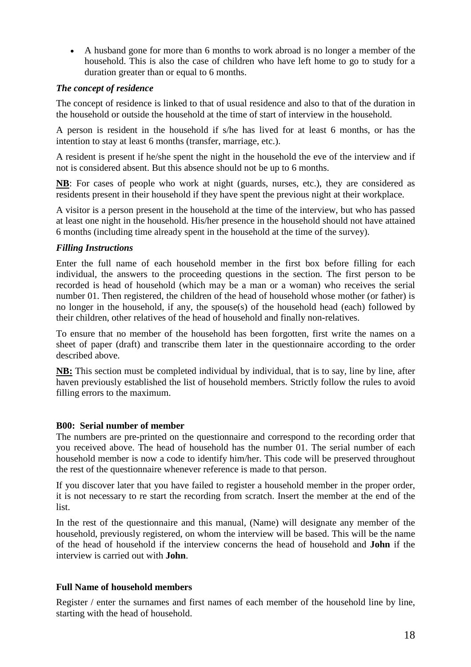A husband gone for more than 6 months to work abroad is no longer a member of the household. This is also the case of children who have left home to go to study for a duration greater than or equal to 6 months.

## *The concept of residence*

The concept of residence is linked to that of usual residence and also to that of the duration in the household or outside the household at the time of start of interview in the household.

A person is resident in the household if s/he has lived for at least 6 months, or has the intention to stay at least 6 months (transfer, marriage, etc.).

A resident is present if he/she spent the night in the household the eve of the interview and if not is considered absent. But this absence should not be up to 6 months.

**NB**: For cases of people who work at night (guards, nurses, etc.), they are considered as residents present in their household if they have spent the previous night at their workplace.

A visitor is a person present in the household at the time of the interview, but who has passed at least one night in the household. His/her presence in the household should not have attained 6 months (including time already spent in the household at the time of the survey).

## *Filling Instructions*

Enter the full name of each household member in the first box before filling for each individual, the answers to the proceeding questions in the section. The first person to be recorded is head of household (which may be a man or a woman) who receives the serial number 01. Then registered, the children of the head of household whose mother (or father) is no longer in the household, if any, the spouse(s) of the household head (each) followed by their children, other relatives of the head of household and finally non-relatives.

To ensure that no member of the household has been forgotten, first write the names on a sheet of paper (draft) and transcribe them later in the questionnaire according to the order described above.

**NB:** This section must be completed individual by individual, that is to say, line by line, after haven previously established the list of household members. Strictly follow the rules to avoid filling errors to the maximum.

## **B00: Serial number of member**

The numbers are pre-printed on the questionnaire and correspond to the recording order that you received above. The head of household has the number 01. The serial number of each household member is now a code to identify him/her. This code will be preserved throughout the rest of the questionnaire whenever reference is made to that person.

If you discover later that you have failed to register a household member in the proper order, it is not necessary to re start the recording from scratch. Insert the member at the end of the list.

In the rest of the questionnaire and this manual, (Name) will designate any member of the household, previously registered, on whom the interview will be based. This will be the name of the head of household if the interview concerns the head of household and **John** if the interview is carried out with **John**.

## **Full Name of household members**

Register / enter the surnames and first names of each member of the household line by line, starting with the head of household.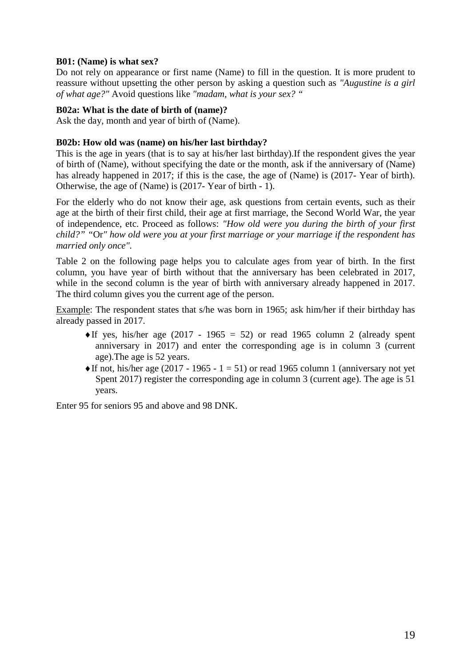### **B01: (Name) is what sex?**

Do not rely on appearance or first name (Name) to fill in the question. It is more prudent to reassure without upsetting the other person by asking a question such as *"Augustine is a girl of what age?"* Avoid questions like *"madam, what is your sex? "*

#### **B02a: What is the date of birth of (name)?**

Ask the day, month and year of birth of (Name).

#### **B02b: How old was (name) on his/her last birthday?**

This is the age in years (that is to say at his/her last birthday).If the respondent gives the year of birth of (Name), without specifying the date or the month, ask if the anniversary of (Name) has already happened in 2017; if this is the case, the age of (Name) is (2017- Year of birth). Otherwise, the age of (Name) is (2017- Year of birth - 1).

For the elderly who do not know their age, ask questions from certain events, such as their age at the birth of their first child, their age at first marriage, the Second World War, the year of independence, etc. Proceed as follows: *"How old were you during the birth of your first child?" "*Or*" how old were you at your first marriage or your marriage if the respondent has married only once".*

Table 2 on the following page helps you to calculate ages from year of birth. In the first column, you have year of birth without that the anniversary has been celebrated in 2017, while in the second column is the year of birth with anniversary already happened in 2017. The third column gives you the current age of the person.

Example: The respondent states that s/he was born in 1965; ask him/her if their birthday has already passed in 2017.

- $\triangleleft$ If yes, his/her age (2017 1965 = 52) or read 1965 column 2 (already spent anniversary in 2017) and enter the corresponding age is in column 3 (current age).The age is 52 years.
- $\triangleleft$ If not, his/her age (2017 1965 1 = 51) or read 1965 column 1 (anniversary not yet Spent 2017) register the corresponding age in column 3 (current age). The age is 51 years.

Enter 95 for seniors 95 and above and 98 DNK.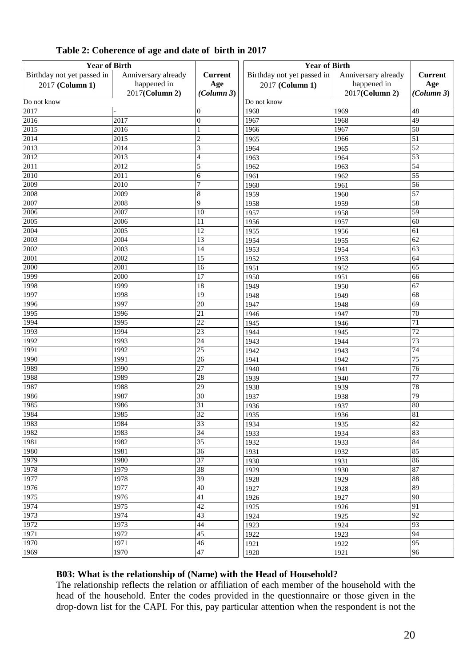| <b>Year of Birth</b>       |                     |                          | <b>Year of Birth</b>       |                     |                 |  |
|----------------------------|---------------------|--------------------------|----------------------------|---------------------|-----------------|--|
| Birthday not yet passed in | Anniversary already | <b>Current</b>           | Birthday not yet passed in | Anniversary already | <b>Current</b>  |  |
| 2017 (Column 1)            | happened in         | Age                      | 2017 (Column 1)            | happened in         | Age             |  |
|                            | 2017(Column 2)      | (Column 3)               |                            | 2017(Column 2)      | (Column 3)      |  |
| Do not know                |                     |                          | Do not know                |                     |                 |  |
| 2017                       |                     | $\overline{0}$           | 1968                       | 1969                | 48              |  |
| 2016                       | 2017                | $\overline{0}$           | 1967                       | 1968                | 49              |  |
| $\overline{2015}$          | 2016                | $\mathbf{1}$             | 1966                       | 1967                | 50              |  |
| 2014                       | 2015                | $\overline{c}$           | 1965                       | 1966                | 51              |  |
| 2013                       | 2014                | 3                        | 1964                       | 1965                | 52              |  |
| 2012                       | 2013                | $\overline{\mathcal{L}}$ | 1963                       | 1964                | 53              |  |
| 2011                       | 2012                | 5                        | 1962                       | 1963                | 54              |  |
| 2010                       | 2011                | 6                        | 1961                       | 1962                | 55              |  |
| 2009                       | $\overline{2010}$   | $\overline{7}$           | 1960                       | 1961                | 56              |  |
| 2008                       | 2009                | $\,$ 8 $\,$              | 1959                       | 1960                | $\overline{57}$ |  |
| 2007                       | 2008                | 9                        | 1958                       | 1959                | 58              |  |
| 2006                       | 2007                | 10                       | 1957                       | 1958                | 59              |  |
| 2005                       | 2006                | $\overline{11}$          | 1956                       | 1957                | 60              |  |
| 2004                       | 2005                | $\overline{12}$          | 1955                       | 1956                | 61              |  |
| 2003                       | 2004                | 13                       | 1954                       | 1955                | 62              |  |
| 2002                       | 2003                | $\overline{14}$          | 1953                       | 1954                | 63              |  |
| 2001                       | 2002                | $\overline{15}$          | 1952                       | 1953                | 64              |  |
| 2000                       | 2001                | 16                       | 1951                       | 1952                | 65              |  |
| 1999                       | 2000                | $\overline{17}$          | 1950                       | 1951                | 66              |  |
| 1998                       | 1999                | $\overline{18}$          | 1949                       | 1950                | 67              |  |
| 1997                       | 1998                | $\overline{19}$          | 1948                       | 1949                | 68              |  |
| 1996                       | 1997                | 20                       | 1947                       | 1948                | 69              |  |
| 1995                       | 1996                | 21                       | 1946                       | 1947                | 70              |  |
| 1994                       | 1995                | $\overline{22}$          | 1945<br>1946               |                     | 71              |  |
| 1993                       | 1994                | 23                       | 1944                       | 1945                | $\overline{72}$ |  |
| 1992                       | 1993                | 24                       | 1943                       | 1944                | 73              |  |
| 1991                       | 1992                | $\overline{25}$          | 1942                       | 1943                | 74              |  |
| 1990                       | 1991                | $\overline{26}$          | 1941                       | 1942                | 75              |  |
| 1989                       | 1990                | $\overline{27}$          | 1940                       | 1941                | $\overline{76}$ |  |
| 1988                       | 1989                | 28                       | 1939                       | 1940                | 77              |  |
| 1987                       | 1988                | $\overline{29}$          | 1938                       | 1939                | 78              |  |
| 1986                       | 1987                | 30                       | 1937                       | 1938                | $\overline{79}$ |  |
| 1985                       | 1986                | $\overline{31}$          | 1936                       | 1937                | 80              |  |
| 1984                       | 1985                | $\overline{32}$          | 1935                       | 1936                | 81              |  |
| 1983                       | 1984                | 33                       | 1934                       | 1935                | 82              |  |
| 1982                       | 1983                | $\overline{34}$          | 1933                       | 1934                | 83              |  |
| 1981                       | 1982                | $\overline{35}$          | 1932                       | 1933                | 84              |  |
| 1980                       | 1981                | 36                       | 1931                       | 1932                | 85              |  |
| 1979                       | 1980                | $\overline{37}$          | 1930                       | 1931                | 86              |  |
| 1978                       | 1979                | 38                       | 1929                       | 1930                | 87              |  |
| 1977                       | 1978                | 39                       | 1928                       | 1929                | 88              |  |
| 1976                       | 1977                | $\overline{40}$          | 1927                       | 1928                | 89              |  |
| 1975                       | 1976                | 41                       | 1926                       | 1927                | $\overline{90}$ |  |
| 1974                       | 1975                | 42                       | 1925                       | 1926                | 91              |  |
| 1973                       | 1974                | 43                       | 1924                       | 1925                | 92              |  |
| 1972                       | 1973                | 44                       | 1923                       | 1924                | 93              |  |
| 1971                       | 1972                | 45                       | 1922                       | 1923                | 94              |  |
| 1970                       | 1971                | $\overline{46}$          | 1921                       | 1922                | 95              |  |
| 1969                       | 1970                | 47                       | 1920                       | 1921                | 96              |  |
|                            |                     |                          |                            |                     |                 |  |

## **Table 2: Coherence of age and date of birth in 2017**

#### **B03: What is the relationship of (Name) with the Head of Household?**

The relationship reflects the relation or affiliation of each member of the household with the head of the household. Enter the codes provided in the questionnaire or those given in the drop-down list for the CAPI. For this, pay particular attention when the respondent is not the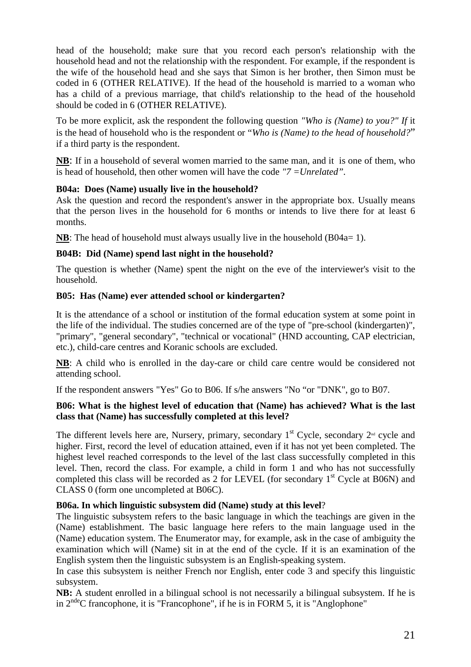head of the household; make sure that you record each person's relationship with the household head and not the relationship with the respondent. For example, if the respondent is the wife of the household head and she says that Simon is her brother, then Simon must be coded in 6 (OTHER RELATIVE). If the head of the household is married to a woman who has a child of a previous marriage, that child's relationship to the head of the household should be coded in 6 (OTHER RELATIVE).

To be more explicit, ask the respondent the following question *"Who is (Name) to you?" If* it is the head of household who is the respondent or "*Who is (Name) to the head of household?*" if a third party is the respondent.

**NB**: If in a household of several women married to the same man, and it is one of them, who is head of household, then other women will have the code *"7 =Unrelated".*

## **B04a: Does (Name) usually live in the household?**

Ask the question and record the respondent's answer in the appropriate box. Usually means that the person lives in the household for 6 months or intends to live there for at least 6 months.

**NB**: The head of household must always usually live in the household (B04a= 1).

## **B04B: Did (Name) spend last night in the household?**

The question is whether (Name) spent the night on the eve of the interviewer's visit to the household.

## **B05: Has (Name) ever attended school or kindergarten?**

It is the attendance of a school or institution of the formal education system at some point in the life of the individual. The studies concerned are of the type of "pre-school (kindergarten)", "primary", "general secondary", "technical or vocational" (HND accounting, CAP electrician, etc.), child-care centres and Koranic schools are excluded.

**NB**: A child who is enrolled in the day-care or child care centre would be considered not attending school.

If the respondent answers "Yes" Go to B06. If s/he answers "No "or "DNK", go to B07.

## **B06: What is the highest level of education that (Name) has achieved? What is the last class that (Name) has successfully completed at this level?**

The different levels here are, Nursery, primary, secondary  $1<sup>st</sup>$  Cycle, secondary  $2<sup>nd</sup>$  cycle and higher. First, record the level of education attained, even if it has not yet been completed. The highest level reached corresponds to the level of the last class successfully completed in this level. Then, record the class. For example, a child in form 1 and who has not successfully completed this class will be recorded as 2 for LEVEL (for secondary  $1<sup>st</sup>$  Cycle at B06N) and CLASS 0 (form one uncompleted at B06C).

## **B06a. In which linguistic subsystem did (Name) study at this level**?

The linguistic subsystem refers to the basic language in which the teachings are given in the (Name) establishment. The basic language here refers to the main language used in the (Name) education system. The Enumerator may, for example, ask in the case of ambiguity the examination which will (Name) sit in at the end of the cycle. If it is an examination of the English system then the linguistic subsystem is an English-speaking system.

In case this subsystem is neither French nor English, enter code 3 and specify this linguistic subsystem.

**NB:** A student enrolled in a bilingual school is not necessarily a bilingual subsystem. If he is in  $2^{nde}$ C francophone, it is "Francophone", if he is in FORM 5, it is "Anglophone"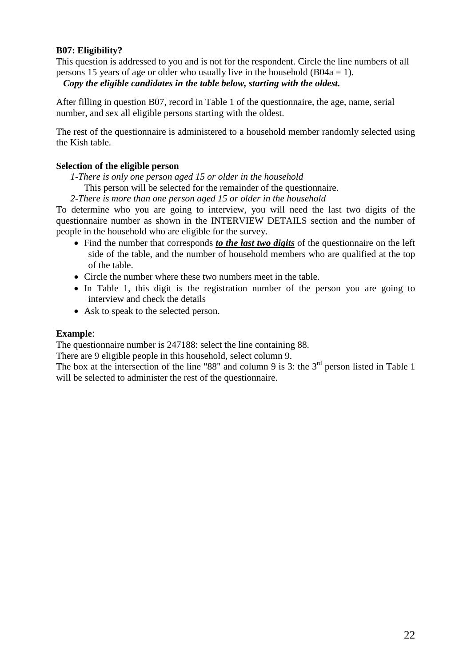## **B07: Eligibility?**

This question is addressed to you and is not for the respondent. Circle the line numbers of all persons 15 years of age or older who usually live in the household  $(B04a = 1)$ .

#### *Copy the eligible candidates in the table below, starting with the oldest.*

After filling in question B07, record in Table 1 of the questionnaire, the age, name, serial number, and sex all eligible persons starting with the oldest.

The rest of the questionnaire is administered to a household member randomly selected using the Kish table.

#### **Selection of the eligible person**

*1-There is only one person aged 15 or older in the household*

This person will be selected for the remainder of the questionnaire.

*2-There is more than one person aged 15 or older in the household*

To determine who you are going to interview, you will need the last two digits of the questionnaire number as shown in the INTERVIEW DETAILS section and the number of people in the household who are eligible for the survey.

- Find the number that corresponds *to the last two digits* of the questionnaire on the left side of the table, and the number of household members who are qualified at the top of the table.
- Circle the number where these two numbers meet in the table.
- In Table 1, this digit is the registration number of the person you are going to interview and check the details
- Ask to speak to the selected person.

#### **Example**:

The questionnaire number is 247188: select the line containing 88.

There are 9 eligible people in this household, select column 9.

The box at the intersection of the line "88" and column 9 is 3: the  $3<sup>rd</sup>$  person listed in Table 1 will be selected to administer the rest of the questionnaire.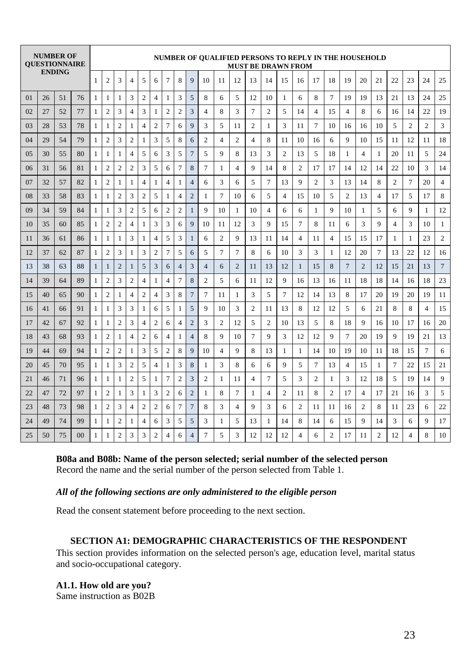|          |    | <b>NUMBER OF</b><br><b>OUESTIONNAIRE</b> |    | NUMBER OF QUALIFIED PERSONS TO REPLY IN THE HOUSEHOLD<br><b>MUST BE DRAWN FROM</b> |                |                |                |                |                |                          |                |                |                |                |                |                |                |    |                |                |                |                |    |                |                |                |                |                |
|----------|----|------------------------------------------|----|------------------------------------------------------------------------------------|----------------|----------------|----------------|----------------|----------------|--------------------------|----------------|----------------|----------------|----------------|----------------|----------------|----------------|----|----------------|----------------|----------------|----------------|----|----------------|----------------|----------------|----------------|----------------|
|          |    | <b>ENDING</b>                            |    | $\mathbf{1}$                                                                       | $\overline{2}$ | 3              | $\overline{4}$ | 5              | 6              | 7                        | 8              | $\mathbf Q$    | 10             | 11             | 12             | 13             | 14             | 15 | 16             | 17             | 18             | 19             | 20 | 21             | 22             | 23             | 24             | 25             |
| $\Omega$ | 26 | 51                                       | 76 | $\mathbf{1}$                                                                       | 1              | $\mathbf{1}$   | 3              | $\overline{2}$ | $\overline{4}$ | 1                        | 3              | 5              | 8              | 6              | 5              | 12             | 10             | 1  | 6              | 8              | 7              | 19             | 19 | 13             | 21             | 13             | 24             | 25             |
| 02       | 27 | 52                                       | 77 | 1                                                                                  | $\overline{2}$ | 3              | $\overline{4}$ | 3              | 1              | $\overline{2}$           | $\overline{c}$ | 3              | 4              | 8              | 3              | 7              | $\overline{2}$ | 5  | 14             | $\overline{4}$ | 15             | $\overline{4}$ | 8  | 6              | 16             | 14             | 22             | 19             |
| 03       | 28 | 53                                       | 78 | $\mathbf{1}$                                                                       | 1              | $\overline{c}$ | 1              | $\overline{4}$ | $\overline{c}$ | $\overline{7}$           | 6              | 9              | 3              | 5              | 11             | $\overline{2}$ | 1              | 3  | 11             | 7              | 10             | 16             | 16 | 10             | 5              | $\overline{2}$ | $\overline{2}$ | 3              |
| 04       | 29 | 54                                       | 79 | $\mathbf{1}$                                                                       | $\overline{2}$ | 3              | $\overline{2}$ | $\mathbf{1}$   | 3              | 5                        | 8              | 6              | $\overline{2}$ | $\overline{4}$ | $\overline{2}$ | $\overline{4}$ | 8              | 11 | 10             | 16             | 6              | 9              | 10 | 15             | 11             | 12             | 11             | 18             |
| 05       | 30 | 55                                       | 80 | $\mathbf{1}$                                                                       | $\mathbf{1}$   | $\mathbf{1}$   | $\overline{4}$ | 5              | 6              | 3                        | 5              | 7              | 5              | 9              | 8              | 13             | 3              | 2  | 13             | 5              | 18             | $\mathbf{1}$   | 4  | 1              | 20             | 11             | 5              | 24             |
| 06       | 31 | 56                                       | 81 | $\mathbf{1}$                                                                       | $\overline{2}$ | $\overline{2}$ | $\overline{2}$ | 3              | 5              | 6                        | 7              | 8              | 7              | 1              | $\overline{4}$ | 9              | 14             | 8  | $\overline{c}$ | 17             | 17             | 14             | 12 | 14             | 22             | 10             | 3              | 14             |
| 07       | 32 | 57                                       | 82 | $\mathbf{1}$                                                                       | $\overline{2}$ | 1              | $\mathbf{1}$   | $\overline{4}$ | 1              | $\overline{\mathcal{A}}$ | 1              | $\overline{4}$ | 6              | 3              | 6              | 5              | 7              | 13 | 9              | $\overline{c}$ | 3              | 13             | 14 | 8              | $\overline{c}$ | 7              | 20             | $\overline{4}$ |
| 08       | 33 | 58                                       | 83 | 1                                                                                  | 1              | $\overline{c}$ | 3              | $\overline{2}$ | 5              | 1                        | 4              | $\overline{2}$ | 1              | $\overline{7}$ | 10             | 6              | 5              | 4  | 15             | 10             | 5              | $\overline{c}$ | 13 | 4              | 17             | 5              | 17             | 8              |
| 09       | 34 | 59                                       | 84 | $\mathbf{1}$                                                                       | $\mathbf{1}$   | 3              | $\overline{2}$ | 5              | 6              | $\overline{2}$           | $\overline{c}$ | 1              | 9              | 10             | 1              | 10             | $\overline{4}$ | 6  | 6              | 1              | 9              | 10             | 1  | 5              | 6              | 9              | 1              | 12             |
| 10       | 35 | 60                                       | 85 | $\mathbf{1}$                                                                       | $\overline{2}$ | $\overline{2}$ | $\overline{4}$ | $\mathbf{1}$   | 3              | 3                        | 6              | 9              | 10             | 11             | 12             | 3              | $\mathbf Q$    | 15 | $\tau$         | 8              | 11             | 6              | 3  | 9              | $\overline{4}$ | 3              | 10             | $\mathbf{1}$   |
| 11       | 36 | 61                                       | 86 | $\mathbf{1}$                                                                       | $\mathbf{1}$   | $\mathbf{1}$   | 3              | $\mathbf{1}$   | 4              | 5                        | 3              | $\mathbf{1}$   | 6              | $\overline{2}$ | $\mathbf{Q}$   | 13             | 11             | 14 | 4              | 11             | $\overline{4}$ | 15             | 15 | 17             | $\mathbf{1}$   | 1              | 23             | $\overline{c}$ |
| 12       | 37 | 62                                       | 87 | $\mathbf{1}$                                                                       | $\overline{2}$ | 3              | $\mathbf{1}$   | 3              | 2              | 7                        | 5              | 6              | 5              | $\tau$         | $\overline{7}$ | 8              | 6              | 10 | 3              | 3              | $\mathbf{1}$   | 12             | 20 | 7              | 13             | 22             | 12             | 16             |
| 13       | 38 | 63                                       | 88 | $\mathbf{1}$                                                                       | $\mathbf{1}$   | $\overline{2}$ | $\mathbf{1}$   | 5              | 3              | 6                        | $\overline{4}$ | 3              | $\overline{4}$ | 6              | $\overline{2}$ | 11             | 13             | 12 | 1              | 15             | 8              | $\overline{7}$ | 2  | 12             | 15             | 21             | 13             | 7              |
| 14       | 39 | 64                                       | 89 | $\mathbf{1}$                                                                       | $\mathbf{2}$   | 3              | $\overline{2}$ | $\overline{4}$ | 1              | $\overline{4}$           | 7              | 8              | $\overline{c}$ | 5              | 6              | 11             | 12             | 9  | 16             | 13             | 16             | 11             | 18 | 18             | 14             | 16             | 18             | 23             |
| 15       | 40 | 65                                       | 90 | $\mathbf{1}$                                                                       | $\overline{2}$ | $\mathbf{1}$   | $\overline{4}$ | $\overline{2}$ | 4              | 3                        | 8              | 7              | 7              | 11             | 1              | 3              | 5              | 7  | 12             | 14             | 13             | 8              | 17 | 20             | 19             | 20             | 19             | 11             |
| 16       | 41 | 66                                       | 91 | $\mathbf{1}$                                                                       | $\mathbf{1}$   | 3              | 3              | $\mathbf{1}$   | 6              | 5                        | 1              | 5              | 9              | 10             | 3              | 2              | 11             | 13 | 8              | 12             | 12             | 5              | 6  | 21             | 8              | 8              | $\overline{4}$ | 15             |
| 17       | 42 | 67                                       | 92 | $\mathbf{1}$                                                                       | $\mathbf{1}$   | $\overline{c}$ | 3              | $\overline{4}$ | $\overline{c}$ | 6                        | 4              | $\overline{c}$ | 3              | $\overline{2}$ | 12             | 5              | $\overline{2}$ | 10 | 13             | 5              | 8              | 18             | 9  | 16             | 10             | 17             | 16             | 20             |
| 18       | 43 | 68                                       | 93 | $\mathbf{1}$                                                                       | $\overline{2}$ | 1              | $\overline{4}$ | $\overline{2}$ | 6              | $\overline{4}$           | 1              | $\overline{4}$ | 8              | 9              | 10             | $\overline{7}$ | $\mathbf Q$    | 3  | 12             | 12             | 9              | $\overline{7}$ | 20 | 19             | 9              | 19             | 21             | 13             |
| 19       | 44 | 69                                       | 94 | $\mathbf{1}$                                                                       | $\overline{2}$ | $\overline{2}$ | $\mathbf{1}$   | 3              | 5              | $\overline{2}$           | 8              | 9              | 10             | $\overline{4}$ | $\mathbf{Q}$   | 8              | 13             | 1  | 1              | 14             | 10             | 19             | 10 | 11             | 18             | 15             | 7              | 6              |
| 20       | 45 | 70                                       | 95 | $\mathbf{1}$                                                                       | $\mathbf{1}$   | 3              | $\overline{c}$ | 5              | 4              | 1                        | 3              | 8              | $\mathbf{1}$   | 3              | 8              | 6              | 6              | 9  | 5              | 7              | 13             | 4              | 15 | 1              | 7              | 22             | 15             | 21             |
| 21       | 46 | 71                                       | 96 | $\mathbf{1}$                                                                       | $\mathbf{1}$   | $\mathbf{1}$   | $\overline{c}$ | 5              | 1              | $\overline{7}$           | $\overline{c}$ | 3              | $\overline{2}$ | 1              | 11             | $\overline{4}$ | $\overline{7}$ | 5  | 3              | 2              | $\mathbf{1}$   | 3              | 12 | 18             | 5              | 19             | 14             | 9              |
| 22       | 47 | 72                                       | 97 | $\mathbf{1}$                                                                       | $\overline{2}$ | $\mathbf{1}$   | 3              | $\mathbf{1}$   | 3              | $\overline{2}$           | 6              | $\overline{2}$ | 1              | 8              | 7              | $\mathbf{1}$   | $\overline{4}$ | 2  | 11             | 8              | $\overline{2}$ | 17             | 4  | 17             | 21             | 16             | 3              | 5              |
| 23       | 48 | 73                                       | 98 | $\mathbf{1}$                                                                       | $\overline{2}$ | 3              | $\overline{4}$ | $\overline{2}$ | $\overline{c}$ | 6                        | 7              | 7              | 8              | 3              | $\overline{4}$ | 9              | 3              | 6  | 2              | 11             | 11             | 16             | 2  | 8              | 11             | 23             | 6              | 22             |
| 24       | 49 | 74                                       | 99 | 1                                                                                  | 1              | $\overline{2}$ | 1              | $\overline{4}$ | 6              | 3                        | 5              | 5              | 3              | 1              | 5              | 13             | 1              | 14 | 8              | 14             | 6              | 15             | 9  | 14             | 3              | 6              | 9              | 17             |
| 25       | 50 | 75                                       | 00 | 1                                                                                  | $\mathbf{1}$   | $\overline{c}$ | 3              | 3              | 2              | 4                        | 6              | 4              | 7              | 5              | 3              | 12             | 12             | 12 | $\overline{4}$ | 6              | $\overline{c}$ | 17             | 11 | $\overline{c}$ | 12             | 4              | 8              | 10             |

**B08a and B08b: Name of the person selected; serial number of the selected person** Record the name and the serial number of the person selected from Table 1.

#### *All of the following sections are only administered to the eligible person*

Read the consent statement before proceeding to the next section.

## **SECTION A1: DEMOGRAPHIC CHARACTERISTICS OF THE RESPONDENT**

This section provides information on the selected person's age, education level, marital status and socio-occupational category.

**A1.1. How old are you?** Same instruction as B02B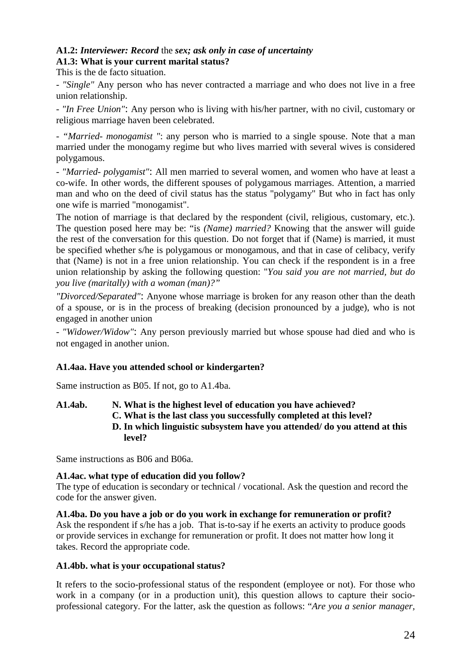## **A1.2:** *Interviewer: Record* the *sex; ask only in case of uncertainty*

## **A1.3: What is your current marital status?**

This is the de facto situation.

*- "Single"* Any person who has never contracted a marriage and who does not live in a free union relationship.

*- "In Free Union"*: Any person who is living with his/her partner, with no civil, customary or religious marriage haven been celebrated.

*- "Married- monogamist "*: any person who is married to a single spouse. Note that a man married under the monogamy regime but who lives married with several wives is considered polygamous.

*- "Married- polygamist"*: All men married to several women, and women who have at least a co-wife. In other words, the different spouses of polygamous marriages. Attention, a married man and who on the deed of civil status has the status "polygamy" But who in fact has only one wife is married "monogamist".

The notion of marriage is that declared by the respondent (civil, religious, customary, etc.). The question posed here may be: "is *(Name) married?* Knowing that the answer will guide the rest of the conversation for this question. Do not forget that if (Name) is married, it must be specified whether s/he is polygamous or monogamous, and that in case of celibacy, verify that (Name) is not in a free union relationship. You can check if the respondent is in a free union relationship by asking the following question: "*You said you are not married, but do you live (maritally) with a woman (man)?"*

*"Divorced/Separated"*: Anyone whose marriage is broken for any reason other than the death of a spouse, or is in the process of breaking (decision pronounced by a judge), who is not engaged in another union

*- "Widower/Widow"*: Any person previously married but whose spouse had died and who is not engaged in another union.

## **A1.4aa. Have you attended school or kindergarten?**

Same instruction as B05. If not, go to A1.4ba.

**A1.4ab. N. What is the highest level of education you have achieved? C. What is the last class you successfully completed at this level? D. In which linguistic subsystem have you attended/ do you attend at this level?**

Same instructions as B06 and B06a.

#### **A1.4ac. what type of education did you follow?**

The type of education is secondary or technical / vocational. Ask the question and record the code for the answer given.

**A1.4ba. Do you have a job or do you work in exchange for remuneration or profit?** Ask the respondent if s/he has a job. That is-to-say if he exerts an activity to produce goods or provide services in exchange for remuneration or profit. It does not matter how long it takes. Record the appropriate code.

#### **A1.4bb. what is your occupational status?**

It refers to the socio-professional status of the respondent (employee or not). For those who work in a company (or in a production unit), this question allows to capture their socioprofessional category. For the latter, ask the question as follows: "*Are you a senior manager,*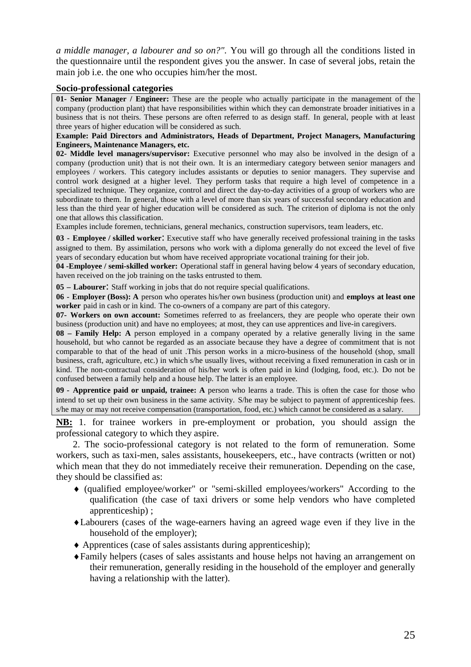*a middle manager, a labourer and so on?".* You will go through all the conditions listed in the questionnaire until the respondent gives you the answer. In case of several jobs, retain the main job i.e. the one who occupies him/her the most.

#### **Socio-professional categories**

**01- Senior Manager / Engineer:** These are the people who actually participate in the management of the company (production plant) that have responsibilities within which they can demonstrate broader initiatives in a business that is not theirs. These persons are often referred to as design staff. In general, people with at least three years of higher education will be considered as such.

#### **Example: Paid Directors and Administrators, Heads of Department, Project Managers, Manufacturing Engineers, Maintenance Managers, etc.**

**02- Middle level managers/supervisor:** Executive personnel who may also be involved in the design of a company (production unit) that is not their own. It is an intermediary category between senior managers and employees / workers. This category includes assistants or deputies to senior managers. They supervise and control work designed at a higher level. They perform tasks that require a high level of competence in a specialized technique. They organize, control and direct the day-to-day activities of a group of workers who are subordinate to them. In general, those with a level of more than six years of successful secondary education and less than the third year of higher education will be considered as such. The criterion of diploma is not the only one that allows this classification.

Examples include foremen, technicians, general mechanics, construction supervisors, team leaders, etc.

**03 - Employee / skilled worker**: Executive staff who have generally received professional training in the tasks assigned to them. By assimilation, persons who work with a diploma generally do not exceed the level of five years of secondary education but whom have received appropriate vocational training for their job.

**04 -Employee / semi-skilled worker:** Operational staff in general having below 4 years of secondary education, haven received on the job training on the tasks entrusted to them.

**05 – Labourer**: Staff working in jobs that do not require special qualifications.

**06 - Employer (Boss): A** person who operates his/her own business (production unit) and **employs at least one worker** paid in cash or in kind. The co-owners of a company are part of this category.

**07- Workers on own account:** Sometimes referred to as freelancers, they are people who operate their own business (production unit) and have no employees; at most, they can use apprentices and live-in caregivers.

**08 – Family Help: A** person employed in a company operated by a relative generally living in the same household, but who cannot be regarded as an associate because they have a degree of commitment that is not comparable to that of the head of unit .This person works in a micro-business of the household (shop, small business, craft, agriculture, etc.) in which s/he usually lives, without receiving a fixed remuneration in cash or in kind. The non-contractual consideration of his/her work is often paid in kind (lodging, food, etc.). Do not be confused between a family help and a house help. The latter is an employee.

**09 - Apprentice paid or unpaid, trainee: A** person who learns a trade. This is often the case for those who intend to set up their own business in the same activity. S/he may be subject to payment of apprenticeship fees. s/he may or may not receive compensation (transportation, food, etc.) which cannot be considered as a salary.

**NB:** 1. for trainee workers in pre-employment or probation, you should assign the professional category to which they aspire.

2. The socio-professional category is not related to the form of remuneration. Some workers, such as taxi-men, sales assistants, housekeepers, etc., have contracts (written or not) which mean that they do not immediately receive their remuneration. Depending on the case, they should be classified as:

- (qualified employee/worker" or "semi-skilled employees/workers" According to the qualification (the case of taxi drivers or some help vendors who have completed apprenticeship) ;
- Labourers (cases of the wage-earners having an agreed wage even if they live in the household of the employer);
- Apprentices (case of sales assistants during apprenticeship);
- Family helpers (cases of sales assistants and house helps not having an arrangement on their remuneration, generally residing in the household of the employer and generally having a relationship with the latter).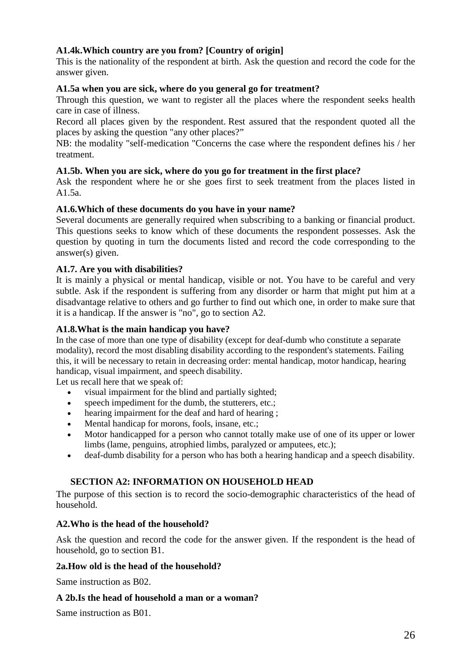## **A1.4k.Which country are you from? [Country of origin]**

This is the nationality of the respondent at birth. Ask the question and record the code for the answer given.

## **A1.5a when you are sick, where do you general go for treatment?**

Through this question, we want to register all the places where the respondent seeks health care in case of illness.

Record all places given by the respondent. Rest assured that the respondent quoted all the places by asking the question "any other places?"

NB: the modality "self-medication "Concerns the case where the respondent defines his / her treatment.

### **A1.5b. When you are sick, where do you go for treatment in the first place?**

Ask the respondent where he or she goes first to seek treatment from the places listed in A1.5a.

### **A1.6.Which of these documents do you have in your name?**

Several documents are generally required when subscribing to a banking or financial product. This questions seeks to know which of these documents the respondent possesses. Ask the question by quoting in turn the documents listed and record the code corresponding to the answer(s) given.

### **A1.7. Are you with disabilities?**

It is mainly a physical or mental handicap, visible or not. You have to be careful and very subtle. Ask if the respondent is suffering from any disorder or harm that might put him at a disadvantage relative to others and go further to find out which one, in order to make sure that it is a handicap. If the answer is "no", go to section A2.

### **A1.8.What is the main handicap you have?**

In the case of more than one type of disability (except for deaf-dumb who constitute a separate modality), record the most disabling disability according to the respondent's statements. Failing this, it will be necessary to retain in decreasing order: mental handicap, motor handicap, hearing handicap, visual impairment, and speech disability.

Let us recall here that we speak of:

- visual impairment for the blind and partially sighted;
- speech impediment for the dumb, the stutterers, etc.;
- hearing impairment for the deaf and hard of hearing ;
- Mental handicap for morons, fools, insane, etc.;
- Motor handicapped for a person who cannot totally make use of one of its upper or lower limbs (lame, penguins, atrophied limbs, paralyzed or amputees, etc.);
- deaf-dumb disability for a person who has both a hearing handicap and a speech disability.

## **SECTION A2: INFORMATION ON HOUSEHOLD HEAD**

The purpose of this section is to record the socio-demographic characteristics of the head of household.

## **A2.Who is the head of the household?**

Ask the question and record the code for the answer given. If the respondent is the head of household, go to section B1.

#### **2a.How old is the head of the household?**

Same instruction as B02.

#### **A 2b.Is the head of household a man or a woman?**

Same instruction as B01.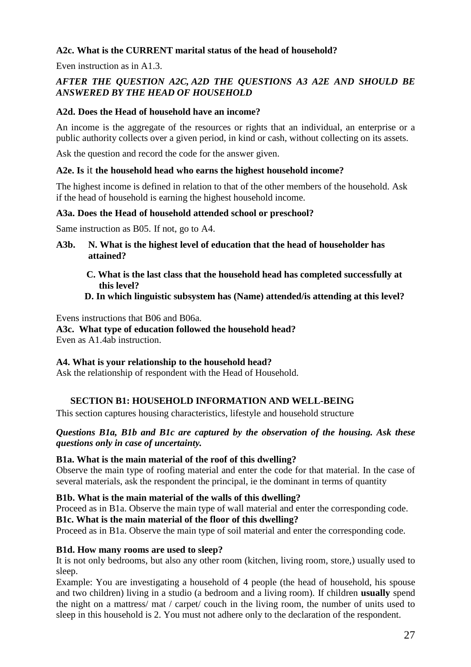## **A2c. What is the CURRENT marital status of the head of household?**

Even instruction as in A1.3.

## *AFTER THE QUESTION A2C, A2D THE QUESTIONS A3 A2E AND SHOULD BE ANSWERED BY THE HEAD OF HOUSEHOLD*

## **A2d. Does the Head of household have an income?**

An income is the aggregate of the resources or rights that an individual, an enterprise or a public authority collects over a given period, in kind or cash, without collecting on its assets.

Ask the question and record the code for the answer given.

#### **A2e. Is** it **the household head who earns the highest household income?**

The highest income is defined in relation to that of the other members of the household. Ask if the head of household is earning the highest household income.

### **A3a. Does the Head of household attended school or preschool?**

Same instruction as B05. If not, go to A4.

- **A3b. N. What is the highest level of education that the head of householder has attained?**
	- **C. What is the last class that the household head has completed successfully at this level?**

### **D. In which linguistic subsystem has (Name) attended/is attending at this level?**

Evens instructions that B06 and B06a.

**A3c. What type of education followed the household head?** Even as A1.4ab instruction.

#### **A4. What is your relationship to the household head?**

Ask the relationship of respondent with the Head of Household.

## **SECTION B1: HOUSEHOLD INFORMATION AND WELL-BEING**

This section captures housing characteristics, lifestyle and household structure

### *Questions B1a, B1b and B1c are captured by the observation of the housing. Ask these questions only in case of uncertainty.*

#### **B1a. What is the main material of the roof of this dwelling?**

Observe the main type of roofing material and enter the code for that material. In the case of several materials, ask the respondent the principal, ie the dominant in terms of quantity

#### **B1b. What is the main material of the walls of this dwelling?**

Proceed as in B1a. Observe the main type of wall material and enter the corresponding code.

#### **B1c. What is the main material of the floor of this dwelling?**

Proceed as in B1a. Observe the main type of soil material and enter the corresponding code.

#### **B1d. How many rooms are used to sleep?**

It is not only bedrooms, but also any other room (kitchen, living room, store,) usually used to sleep.

Example: You are investigating a household of 4 people (the head of household, his spouse and two children) living in a studio (a bedroom and a living room). If children **usually** spend the night on a mattress/ mat / carpet/ couch in the living room, the number of units used to sleep in this household is 2. You must not adhere only to the declaration of the respondent.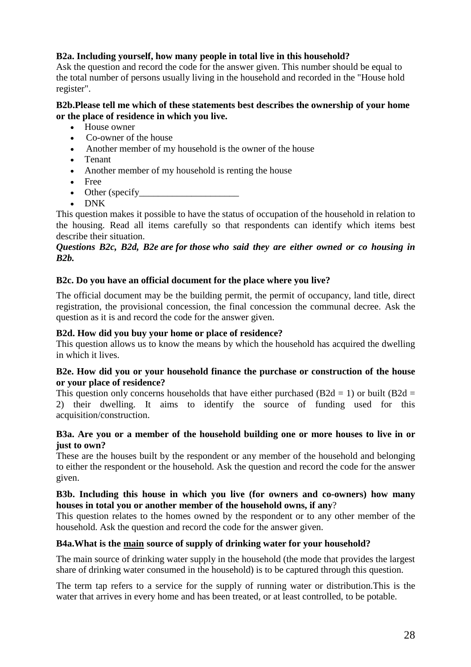## **B2a. Including yourself, how many people in total live in this household?**

Ask the question and record the code for the answer given. This number should be equal to the total number of persons usually living in the household and recorded in the "House hold register".

## **B2b.Please tell me which of these statements best describes the ownership of your home or the place of residence in which you live.**

- House owner
- Co-owner of the house
- Another member of my household is the owner of the house
- Tenant
- Another member of my household is renting the house
- Free
- $\bullet$  Other (specify
- DNK

This question makes it possible to have the status of occupation of the household in relation to the housing. Read all items carefully so that respondents can identify which items best describe their situation.

## *Questions B2c, B2d, B2e are for those who said they are either owned or co housing in B2b.*

## **B2c. Do you have an official document for the place where you live?**

The official document may be the building permit, the permit of occupancy, land title, direct registration, the provisional concession, the final concession the communal decree. Ask the question as it is and record the code for the answer given.

#### **B2d. How did you buy your home or place of residence?**

This question allows us to know the means by which the household has acquired the dwelling in which it lives.

#### **B2e. How did you or your household finance the purchase or construction of the house or your place of residence?**

This question only concerns households that have either purchased (B2d = 1) or built (B2d = 2) their dwelling. It aims to identify the source of funding used for this acquisition/construction.

### **B3a. Are you or a member of the household building one or more houses to live in or just to own?**

These are the houses built by the respondent or any member of the household and belonging to either the respondent or the household. Ask the question and record the code for the answer given.

### **B3b. Including this house in which you live (for owners and co-owners) how many houses in total you or another member of the household owns, if any**?

This question relates to the homes owned by the respondent or to any other member of the household. Ask the question and record the code for the answer given.

## **B4a.What is the main source of supply of drinking water for your household?**

The main source of drinking water supply in the household (the mode that provides the largest share of drinking water consumed in the household) is to be captured through this question.

The term tap refers to a service for the supply of running water or distribution.This is the water that arrives in every home and has been treated, or at least controlled, to be potable.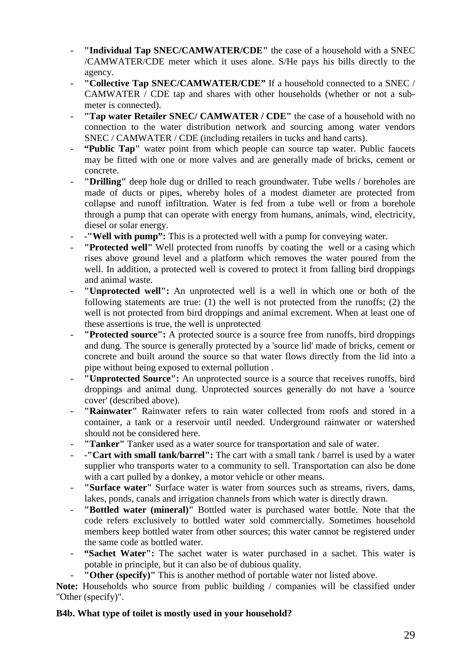- **"Individual Tap SNEC/CAMWATER/CDE"** the case of a household with a SNEC /CAMWATER/CDE meter which it uses alone. S/He pays his bills directly to the agency.
- **"Collective Tap SNEC/CAMWATER/CDE"** If a household connected to a SNEC / CAMWATER / CDE tap and shares with other households (whether or not a submeter is connected).
- **"Tap water Retailer SNEC/ CAMWATER / CDE"** the case of a household with no connection to the water distribution network and sourcing among water vendors SNEC / CAMWATER / CDE (including retailers in tucks and hand carts).
- **"Public Tap"** water point from which people can source tap water. Public faucets may be fitted with one or more valves and are generally made of bricks, cement or concrete.
- "Drilling" deep hole dug or drilled to reach groundwater. Tube wells / boreholes are made of ducts or pipes, whereby holes of a modest diameter are protected from collapse and runoff infiltration. Water is fed from a tube well or from a borehole through a pump that can operate with energy from humans, animals, wind, electricity, diesel or solar energy.
- -**"Well with pump":** This is a protected well with a pump for conveying water.
- **"Protected well"** Well protected from runoffs by coating the well or a casing which rises above ground level and a platform which removes the water poured from the well. In addition, a protected well is covered to protect it from falling bird droppings and animal waste.
- **"Unprotected well":** An unprotected well is a well in which one or both of the following statements are true: (1) the well is not protected from the runoffs; (2) the well is not protected from bird droppings and animal excrement. When at least one of these assertions is true, the well is unprotected
- **"Protected source":** A protected source is a source free from runoffs, bird droppings and dung. The source is generally protected by a 'source lid' made of bricks, cement or concrete and built around the source so that water flows directly from the lid into a pipe without being exposed to external pollution .
- **"Unprotected Source":** An unprotected source is a source that receives runoffs, bird droppings and animal dung. Unprotected sources generally do not have a 'source cover' (described above).
- **"Rainwater"** Rainwater refers to rain water collected from roofs and stored in a container, a tank or a reservoir until needed. Underground rainwater or watershed should not be considered here.
- **"Tanker"** Tanker used as a water source for transportation and sale of water.
- -**"Cart with small tank/barrel":** The cart with a small tank / barrel is used by a water supplier who transports water to a community to sell. Transportation can also be done with a cart pulled by a donkey, a motor vehicle or other means.
- **"Surface water"** Surface water is water from sources such as streams, rivers, dams, lakes, ponds, canals and irrigation channels from which water is directly drawn.
- **"Bottled water (mineral)"** Bottled water is purchased water bottle. Note that the code refers exclusively to bottled water sold commercially. Sometimes household members keep bottled water from other sources; this water cannot be registered under the same code as bottled water.
- **"Sachet Water":** The sachet water is water purchased in a sachet. This water is potable in principle, but it can also be of dubious quality.
- "Other (specify)" This is another method of portable water not listed above.

**Note:** Households who source from public building / companies will be classified under "Other (specify)".

## **B4b. What type of toilet is mostly used in your household?**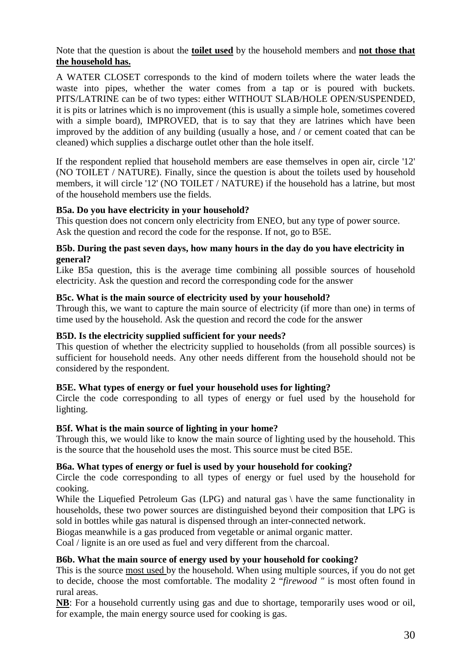Note that the question is about the **toilet used** by the household members and **not those that the household has.**

A WATER CLOSET corresponds to the kind of modern toilets where the water leads the waste into pipes, whether the water comes from a tap or is poured with buckets. PITS/LATRINE can be of two types: either WITHOUT SLAB/HOLE OPEN/SUSPENDED, it is pits or latrines which is no improvement (this is usually a simple hole, sometimes covered with a simple board), IMPROVED, that is to say that they are latrines which have been improved by the addition of any building (usually a hose, and / or cement coated that can be cleaned) which supplies a discharge outlet other than the hole itself.

If the respondent replied that household members are ease themselves in open air, circle '12' (NO TOILET / NATURE). Finally, since the question is about the toilets used by household members, it will circle '12' (NO TOILET / NATURE) if the household has a latrine, but most of the household members use the fields.

## **B5a. Do you have electricity in your household?**

This question does not concern only electricity from ENEO, but any type of power source. Ask the question and record the code for the response. If not, go to B5E.

## **B5b. During the past seven days, how many hours in the day do you have electricity in general?**

Like B5a question, this is the average time combining all possible sources of household electricity. Ask the question and record the corresponding code for the answer

## **B5c. What is the main source of electricity used by your household?**

Through this, we want to capture the main source of electricity (if more than one) in terms of time used by the household. Ask the question and record the code for the answer

## **B5D. Is the electricity supplied sufficient for your needs?**

This question of whether the electricity supplied to households (from all possible sources) is sufficient for household needs. Any other needs different from the household should not be considered by the respondent.

## **B5E. What types of energy or fuel your household uses for lighting?**

Circle the code corresponding to all types of energy or fuel used by the household for lighting.

## **B5f. What is the main source of lighting in your home?**

Through this, we would like to know the main source of lighting used by the household. This is the source that the household uses the most. This source must be cited B5E.

## **B6a. What types of energy or fuel is used by your household for cooking?**

Circle the code corresponding to all types of energy or fuel used by the household for cooking.

While the Liquefied Petroleum Gas (LPG) and natural gas \ have the same functionality in households, these two power sources are distinguished beyond their composition that LPG is sold in bottles while gas natural is dispensed through an inter-connected network.

Biogas meanwhile is a gas produced from vegetable or animal organic matter.

Coal / lignite is an ore used as fuel and very different from the charcoal.

## **B6b. What the main source of energy used by your household for cooking?**

This is the source most used by the household. When using multiple sources, if you do not get to decide, choose the most comfortable. The modality 2 "*firewood "* is most often found in rural areas.

**NB**: For a household currently using gas and due to shortage, temporarily uses wood or oil, for example, the main energy source used for cooking is gas.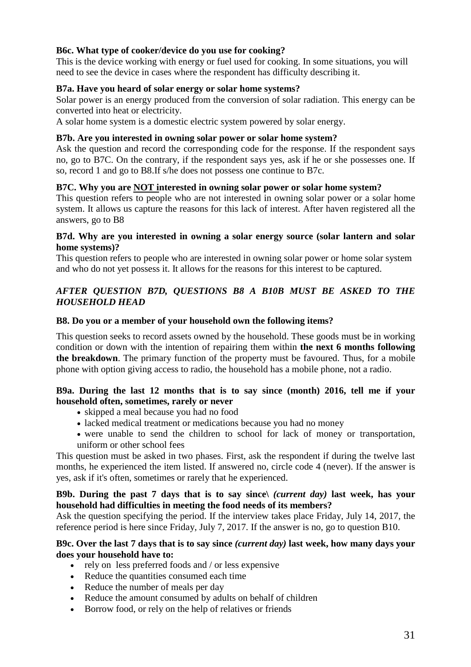## **B6c. What type of cooker/device do you use for cooking?**

This is the device working with energy or fuel used for cooking. In some situations, you will need to see the device in cases where the respondent has difficulty describing it.

## **B7a. Have you heard of solar energy or solar home systems?**

Solar power is an energy produced from the conversion of solar radiation. This energy can be converted into heat or electricity.

A solar home system is a domestic electric system powered by solar energy.

### **B7b. Are you interested in owning solar power or solar home system?**

Ask the question and record the corresponding code for the response. If the respondent says no, go to B7C. On the contrary, if the respondent says yes, ask if he or she possesses one. If so, record 1 and go to B8.If s/he does not possess one continue to B7c.

### **B7C. Why you are NOT interested in owning solar power or solar home system?**

This question refers to people who are not interested in owning solar power or a solar home system. It allows us capture the reasons for this lack of interest. After haven registered all the answers, go to B8

#### **B7d. Why are you interested in owning a solar energy source (solar lantern and solar home systems)?**

This question refers to people who are interested in owning solar power or home solar system and who do not yet possess it. It allows for the reasons for this interest to be captured.

## *AFTER QUESTION B7D, QUESTIONS B8 A B10B MUST BE ASKED TO THE HOUSEHOLD HEAD*

#### **B8. Do you or a member of your household own the following items?**

This question seeks to record assets owned by the household. These goods must be in working condition or down with the intention of repairing them within **the next 6 months following the breakdown**. The primary function of the property must be favoured. Thus, for a mobile phone with option giving access to radio, the household has a mobile phone, not a radio.

### **B9a. During the last 12 months that is to say since (month) 2016, tell me if your household often, sometimes, rarely or never**

- skipped a meal because you had no food
- lacked medical treatment or medications because you had no money
- were unable to send the children to school for lack of money or transportation, uniform or other school fees

This question must be asked in two phases. First, ask the respondent if during the twelve last months, he experienced the item listed. If answered no, circle code 4 (never). If the answer is yes, ask if it's often, sometimes or rarely that he experienced.

### **B9b. During the past 7 days that is to say since\** *(current day)* **last week, has your household had difficulties in meeting the food needs of its members?**

Ask the question specifying the period. If the interview takes place Friday, July 14, 2017, the reference period is here since Friday, July 7, 2017. If the answer is no, go to question B10.

#### **B9c. Over the last 7 days that is to say since** *(current day)* **last week, how many days your does your household have to:**

- $\bullet$  rely on less preferred foods and / or less expensive
- Reduce the quantities consumed each time
- Reduce the number of meals per day
- Reduce the amount consumed by adults on behalf of children
- Borrow food, or rely on the help of relatives or friends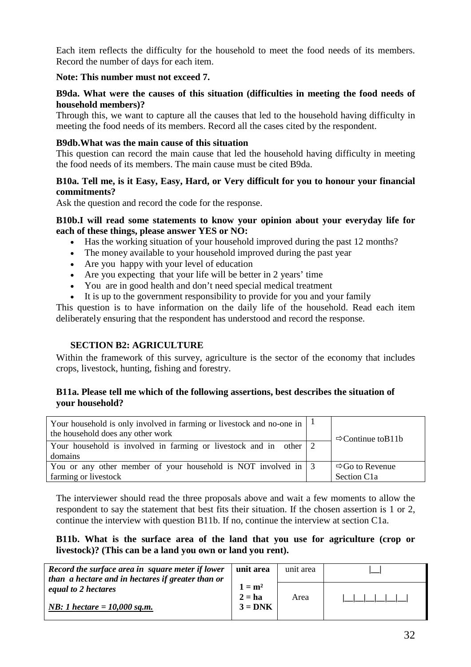Each item reflects the difficulty for the household to meet the food needs of its members. Record the number of days for each item.

## **Note: This number must not exceed 7.**

#### **B9da. What were the causes of this situation (difficulties in meeting the food needs of household members)?**

Through this, we want to capture all the causes that led to the household having difficulty in meeting the food needs of its members. Record all the cases cited by the respondent.

### **B9db.What was the main cause of this situation**

This question can record the main cause that led the household having difficulty in meeting the food needs of its members. The main cause must be cited B9da.

## **B10a. Tell me, is it Easy, Easy, Hard, or Very difficult for you to honour your financial commitments?**

Ask the question and record the code for the response.

#### **B10b.I will read some statements to know your opinion about your everyday life for each of these things, please answer YES or NO:**

- Has the working situation of your household improved during the past 12 months?
- The money available to your household improved during the past year
- Are you happy with your level of education
- Are you expecting that your life will be better in 2 years' time
- You are in good health and don't need special medical treatment
- It is up to the government responsibility to provide for you and your family

This question is to have information on the daily life of the household. Read each item deliberately ensuring that the respondent has understood and record the response.

## **SECTION B2: AGRICULTURE**

Within the framework of this survey, agriculture is the sector of the economy that includes crops, livestock, hunting, fishing and forestry.

## **B11a. Please tell me which of the following assertions, best describes the situation of your household?**

| Your household is only involved in farming or livestock and no-one in $  \cdot  $<br>the household does any other work |  | $\Rightarrow$ Continue to B11b |  |  |  |  |  |  |
|------------------------------------------------------------------------------------------------------------------------|--|--------------------------------|--|--|--|--|--|--|
| Your household is involved in farming or livestock and in other $\vert 2 \vert$<br>domains                             |  |                                |  |  |  |  |  |  |
| You or any other member of your household is NOT involved in $\vert 3 \rangle$                                         |  | $\Rightarrow$ Go to Revenue    |  |  |  |  |  |  |
| farming or livestock                                                                                                   |  | Section C <sub>1</sub> a       |  |  |  |  |  |  |

The interviewer should read the three proposals above and wait a few moments to allow the respondent to say the statement that best fits their situation. If the chosen assertion is 1 or 2, continue the interview with question B11b. If no, continue the interview at section C1a.

### **B11b. What is the surface area of the land that you use for agriculture (crop or livestock)? (This can be a land you own or land you rent).**

| Record the surface area in square meter if lower<br>than a hectare and in hectares if greater than or | unit area                         | unit area |  |
|-------------------------------------------------------------------------------------------------------|-----------------------------------|-----------|--|
| equal to 2 hectares<br><i>NB</i> : 1 hectare = $10,000$ sq.m.                                         | $1 = m2$<br>$2 = ha$<br>$3 = DNK$ | Area      |  |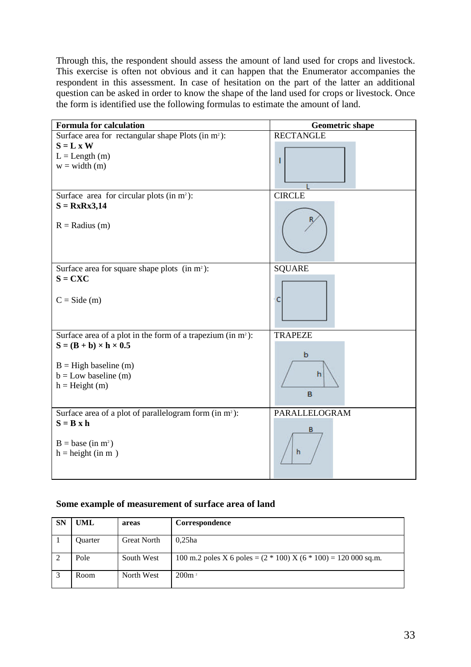Through this, the respondent should assess the amount of land used for crops and livestock. This exercise is often not obvious and it can happen that the Enumerator accompanies the respondent in this assessment. In case of hesitation on the part of the latter an additional question can be asked in order to know the shape of the land used for crops or livestock. Once the form is identified use the following formulas to estimate the amount of land.

| <b>Formula for calculation</b>                                     | <b>Geometric shape</b> |
|--------------------------------------------------------------------|------------------------|
| Surface area for rectangular shape Plots (in m <sup>2</sup> ):     | <b>RECTANGLE</b>       |
| $S = L x W$                                                        |                        |
| $L = Length(m)$                                                    | ı                      |
| $w = width (m)$                                                    |                        |
|                                                                    |                        |
|                                                                    |                        |
| Surface area for circular plots (in $m^2$ ):                       | <b>CIRCLE</b>          |
| $S = RxRx3,14$                                                     |                        |
| $R =$ Radius (m)                                                   |                        |
| Surface area for square shape plots $(in m^2)$ :                   | <b>SQUARE</b>          |
| $S = CXC$                                                          |                        |
| $C = Side(m)$                                                      | C                      |
| Surface area of a plot in the form of a trapezium (in $m^2$ ):     | <b>TRAPEZE</b>         |
| $S = (B + b) \times h \times 0.5$                                  |                        |
|                                                                    | b                      |
| $B = High baseline (m)$                                            |                        |
| $b = Low baseline (m)$                                             | h                      |
| $h = Height (m)$                                                   |                        |
|                                                                    | B                      |
|                                                                    |                        |
| Surface area of a plot of parallelogram form (in m <sup>2</sup> ): | PARALLELOGRAM          |
| $S = B x h$                                                        |                        |
|                                                                    | в                      |
| $B = base (in m2)$                                                 |                        |
| $h = height (in m)$                                                | h                      |
|                                                                    |                        |
|                                                                    |                        |

#### **Some example of measurement of surface area of land**

| <b>SN</b> | <b>UML</b> | areas              | Correspondence                                                      |
|-----------|------------|--------------------|---------------------------------------------------------------------|
|           | Quarter    | <b>Great North</b> | $0,25$ ha                                                           |
|           | Pole       | South West         | 100 m.2 poles X 6 poles = $(2 * 100)$ X $(6 * 100)$ = 120 000 sq.m. |
|           | Room       | North West         | 200m <sup>2</sup>                                                   |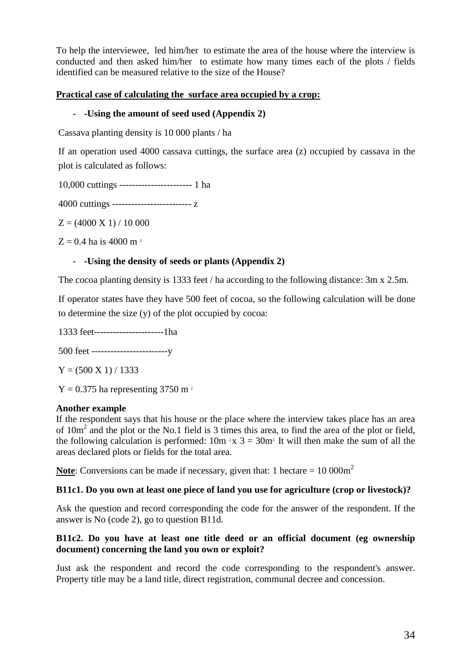To help the interviewee, led him/her to estimate the area of the house where the interview is conducted and then asked him/her to estimate how many times each of the plots / fields identified can be measured relative to the size of the House?

## **Practical case of calculating the surface area occupied by a crop:**

## - **-Using the amount of seed used (Appendix 2)**

Cassava planting density is 10 000 plants / ha

If an operation used 4000 cassava cuttings, the surface area (z) occupied by cassava in the plot is calculated as follows:

10,000 cuttings ----------------------- 1 ha

4000 cuttings ------------------------- z

 $Z = (4000 \text{ X } 1) / 10000$ 

 $Z = 0.4$  ha is 4000 m<sup>2</sup>

## - **-Using the density of seeds or plants (Appendix 2)**

The cocoa planting density is 1333 feet / ha according to the following distance: 3m x 2.5m.

If operator states have they have 500 feet of cocoa, so the following calculation will be done to determine the size (y) of the plot occupied by cocoa:

1333 feet----------------------1ha

500 feet ------------------------y

 $Y = (500 \text{ X } 1) / 1333$ 

 $Y = 0.375$  ha representing 3750 m<sup>2</sup>

## **Another example**

If the respondent says that his house or the place where the interview takes place has an area of  $10m^2$  and the plot or the No.1 field is 3 times this area, to find the area of the plot or field, the following calculation is performed:  $10m<sup>2</sup>x 3 = 30m<sup>2</sup>$  It will then make the sum of all the areas declared plots or fields for the total area.

**Note**: Conversions can be made if necessary, given that: 1 hectare = 10 000m<sup>2</sup>

## **B11c1. Do you own at least one piece of land you use for agriculture (crop or livestock)?**

Ask the question and record corresponding the code for the answer of the respondent. If the answer is No (code 2), go to question B11d.

### **B11c2. Do you have at least one title deed or an official document (eg ownership document) concerning the land you own or exploit?**

Just ask the respondent and record the code corresponding to the respondent's answer. Property title may be a land title, direct registration, communal decree and concession.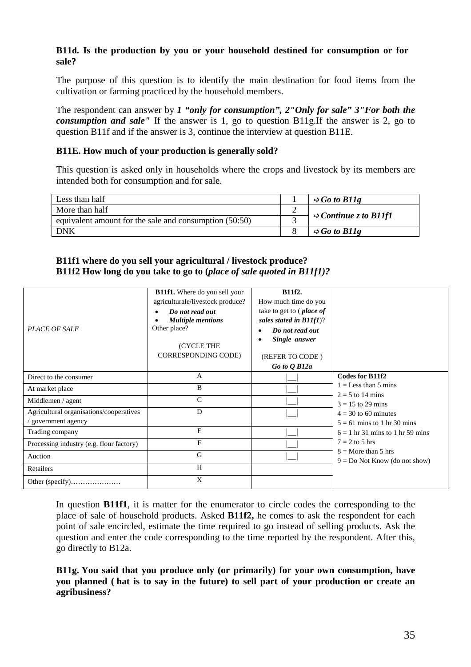## **B11d. Is the production by you or your household destined for consumption or for sale?**

The purpose of this question is to identify the main destination for food items from the cultivation or farming practiced by the household members.

The respondent can answer by *1 "only for consumption", 2"Only for sale" 3"For both the consumption and sale"* If the answer is 1, go to question B11g.If the answer is 2, go to question B11f and if the answer is 3, continue the interview at question B11E.

## **B11E. How much of your production is generally sold?**

This question is asked only in households where the crops and livestock by its members are intended both for consumption and for sale.

| Less than half                                         | $\Rightarrow$ Go to B11g          |
|--------------------------------------------------------|-----------------------------------|
| More than half                                         |                                   |
| equivalent amount for the sale and consumption (50:50) | $\Rightarrow$ Continue z to B11f1 |
| DNK                                                    | $\Rightarrow$ Go to B11g          |

## **B11f1 where do you sell your agricultural / livestock produce? B11f2 How long do you take to go to (***place of sale quoted in B11f1)?*

| <b>PLACE OF SALE</b>                                         | <b>B11f1.</b> Where do you sell your<br>agriculturale/livestock produce?<br>Do not read out<br><b>Multiple mentions</b><br>Other place?<br>(CYCLE THE<br><b>CORRESPONDING CODE)</b> | B11f2.<br>How much time do you<br>take to get to ( <i>place of</i><br>sales stated in $B11f1$ )?<br>Do not read out<br>Single answer<br>(REFER TO CODE)<br>Go to Q B12a |                                                          |
|--------------------------------------------------------------|-------------------------------------------------------------------------------------------------------------------------------------------------------------------------------------|-------------------------------------------------------------------------------------------------------------------------------------------------------------------------|----------------------------------------------------------|
| Direct to the consumer                                       | А                                                                                                                                                                                   |                                                                                                                                                                         | Codes for B11f2                                          |
| At market place                                              | B                                                                                                                                                                                   |                                                                                                                                                                         | $1 =$ Less than 5 mins<br>$2 = 5$ to 14 mins             |
| Middlemen / agent                                            | $\mathsf{C}$                                                                                                                                                                        |                                                                                                                                                                         | $3 = 15$ to 29 mins                                      |
| Agricultural organisations/cooperatives<br>government agency | D                                                                                                                                                                                   |                                                                                                                                                                         | $4 = 30$ to 60 minutes<br>$5 = 61$ mins to 1 hr 30 mins  |
| Trading company                                              | E                                                                                                                                                                                   |                                                                                                                                                                         | $6 = 1$ hr 31 mins to 1 hr 59 mins                       |
| Processing industry (e.g. flour factory)                     | F                                                                                                                                                                                   |                                                                                                                                                                         | $7 = 2$ to 5 hrs                                         |
| Auction                                                      | G                                                                                                                                                                                   |                                                                                                                                                                         | $8 =$ More than 5 hrs<br>$9 = Do$ Not Know (do not show) |
| Retailers                                                    | H                                                                                                                                                                                   |                                                                                                                                                                         |                                                          |
|                                                              | X                                                                                                                                                                                   |                                                                                                                                                                         |                                                          |

In question **B11f1**, it is matter for the enumerator to circle codes the corresponding to the place of sale of household products. Asked **B11f2,** he comes to ask the respondent for each point of sale encircled, estimate the time required to go instead of selling products. Ask the question and enter the code corresponding to the time reported by the respondent. After this, go directly to B12a.

**B11g. You said that you produce only (or primarily) for your own consumption, have you planned ( hat is to say in the future) to sell part of your production or create an agribusiness?**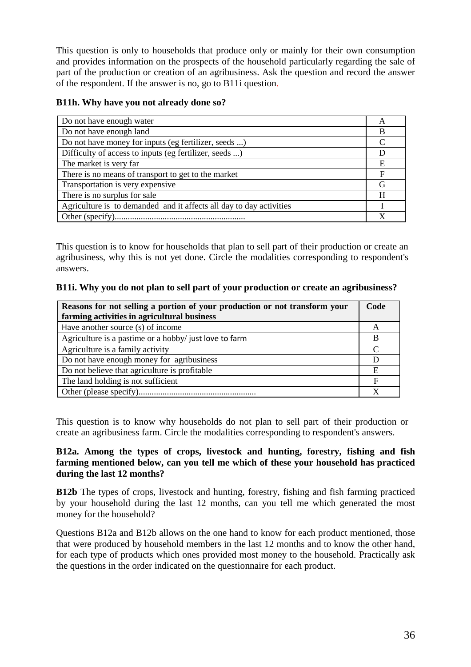This question is only to households that produce only or mainly for their own consumption and provides information on the prospects of the household particularly regarding the sale of part of the production or creation of an agribusiness. Ask the question and record the answer of the respondent. If the answer is no, go to B11i question.

## **B11h. Why have you not already done so?**

| Do not have enough water                                            | A |
|---------------------------------------------------------------------|---|
| Do not have enough land                                             | B |
| Do not have money for inputs (eg fertilizer, seeds )                |   |
| Difficulty of access to inputs (eg fertilizer, seeds )              |   |
| The market is very far                                              | E |
| There is no means of transport to get to the market                 | F |
| Transportation is very expensive                                    | G |
| There is no surplus for sale                                        | H |
| Agriculture is to demanded and it affects all day to day activities |   |
|                                                                     |   |

This question is to know for households that plan to sell part of their production or create an agribusiness, why this is not yet done. Circle the modalities corresponding to respondent's answers.

#### **B11i. Why you do not plan to sell part of your production or create an agribusiness?**

| Reasons for not selling a portion of your production or not transform your | Code |
|----------------------------------------------------------------------------|------|
| farming activities in agricultural business                                |      |
| Have another source (s) of income                                          | A    |
| Agriculture is a pastime or a hobby/ just love to farm                     | В    |
| Agriculture is a family activity                                           |      |
| Do not have enough money for agribusiness                                  |      |
| Do not believe that agriculture is profitable                              | E    |
| The land holding is not sufficient                                         | F    |
|                                                                            |      |

This question is to know why households do not plan to sell part of their production or create an agribusiness farm. Circle the modalities corresponding to respondent's answers.

#### **B12a. Among the types of crops, livestock and hunting, forestry, fishing and fish farming mentioned below, can you tell me which of these your household has practiced during the last 12 months?**

**B12b** The types of crops, livestock and hunting, forestry, fishing and fish farming practiced by your household during the last 12 months, can you tell me which generated the most money for the household?

Questions B12a and B12b allows on the one hand to know for each product mentioned, those that were produced by household members in the last 12 months and to know the other hand, for each type of products which ones provided most money to the household. Practically ask the questions in the order indicated on the questionnaire for each product.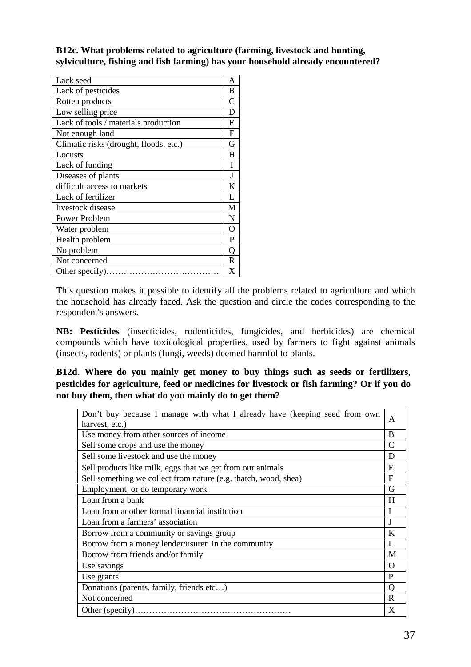**B12c. What problems related to agriculture (farming, livestock and hunting, sylviculture, fishing and fish farming) has your household already encountered?**

| Lack seed                              | A |
|----------------------------------------|---|
| Lack of pesticides                     | B |
| Rotten products                        | C |
| Low selling price                      | D |
| Lack of tools / materials production   | E |
| Not enough land                        | F |
| Climatic risks (drought, floods, etc.) | G |
| Locusts                                | H |
| Lack of funding                        | I |
| Diseases of plants                     | J |
| difficult access to markets            | K |
| Lack of fertilizer                     | L |
| livestock disease                      | M |
| Power Problem                          | N |
| Water problem                          | O |
| Health problem                         | P |
| No problem                             | Q |
| Not concerned                          | R |
| Other specify)                         | X |

This question makes it possible to identify all the problems related to agriculture and which the household has already faced. Ask the question and circle the codes corresponding to the respondent's answers.

**NB: Pesticides** (insecticides, rodenticides, fungicides, and herbicides) are chemical compounds which have toxicological properties, used by farmers to fight against animals (insects, rodents) or plants (fungi, weeds) deemed harmful to plants.

**B12d. Where do you mainly get money to buy things such as seeds or fertilizers, pesticides for agriculture, feed or medicines for livestock or fish farming? Or if you do not buy them, then what do you mainly do to get them?**

| Don't buy because I manage with what I already have (keeping seed from own<br>harvest, etc.) | A              |
|----------------------------------------------------------------------------------------------|----------------|
| Use money from other sources of income                                                       | B              |
| Sell some crops and use the money                                                            | C              |
| Sell some livestock and use the money                                                        | D              |
| Sell products like milk, eggs that we get from our animals                                   | E              |
| Sell something we collect from nature (e.g. thatch, wood, shea)                              | F              |
| Employment or do temporary work                                                              | G              |
| Loan from a bank                                                                             | H              |
| Loan from another formal financial institution                                               | I              |
| Loan from a farmers' association                                                             | J              |
| Borrow from a community or savings group                                                     | K              |
| Borrow from a money lender/usurer in the community                                           | $\mathbf{I}$ . |
| Borrow from friends and/or family                                                            | M              |
| Use savings                                                                                  | O              |
| Use grants                                                                                   | P              |
| Donations (parents, family, friends etc)                                                     | $\overline{Q}$ |
| Not concerned                                                                                | R              |
| Other (specify).                                                                             | X              |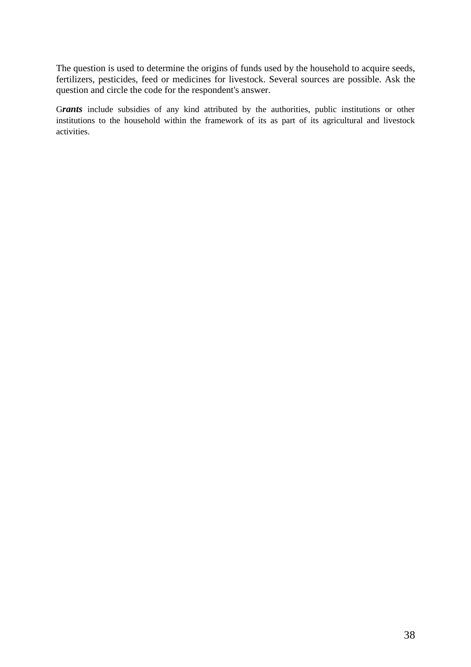The question is used to determine the origins of funds used by the household to acquire seeds, fertilizers, pesticides, feed or medicines for livestock. Several sources are possible. Ask the question and circle the code for the respondent's answer.

G*rants* include subsidies of any kind attributed by the authorities, public institutions or other institutions to the household within the framework of its as part of its agricultural and livestock activities.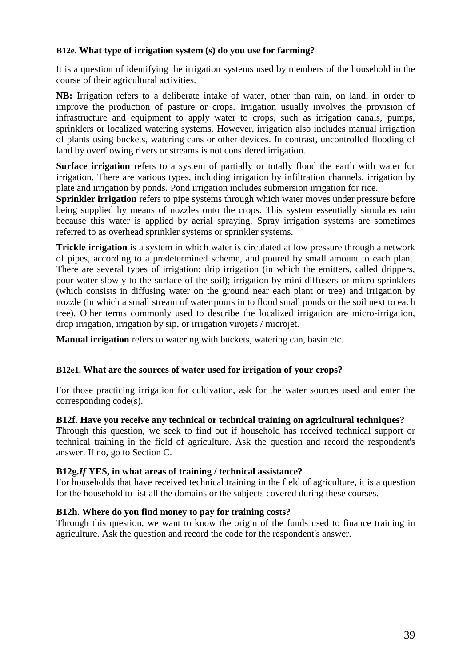## **B12e. What type of irrigation system (s) do you use for farming?**

It is a question of identifying the irrigation systems used by members of the household in the course of their agricultural activities.

**NB:** Irrigation refers to a deliberate intake of water, other than rain, on land, in order to improve the production of pasture or crops. Irrigation usually involves the provision of infrastructure and equipment to apply water to crops, such as irrigation canals, pumps, sprinklers or localized watering systems. However, irrigation also includes manual irrigation of plants using buckets, watering cans or other devices. In contrast, uncontrolled flooding of land by overflowing rivers or streams is not considered irrigation.

**Surface irrigation** refers to a system of partially or totally flood the earth with water for irrigation. There are various types, including irrigation by infiltration channels, irrigation by plate and irrigation by ponds. Pond irrigation includes submersion irrigation for rice.

**Sprinkler irrigation** refers to pipe systems through which water moves under pressure before being supplied by means of nozzles onto the crops. This system essentially simulates rain because this water is applied by aerial spraying. Spray irrigation systems are sometimes referred to as overhead sprinkler systems or sprinkler systems.

**Trickle irrigation** is a system in which water is circulated at low pressure through a network of pipes, according to a predetermined scheme, and poured by small amount to each plant. There are several types of irrigation: drip irrigation (in which the emitters, called drippers, pour water slowly to the surface of the soil); irrigation by mini-diffusers or micro-sprinklers (which consists in diffusing water on the ground near each plant or tree) and irrigation by nozzle (in which a small stream of water pours in to flood small ponds or the soil next to each tree). Other terms commonly used to describe the localized irrigation are micro-irrigation, drop irrigation, irrigation by sip, or irrigation virojets / microjet.

**Manual irrigation** refers to watering with buckets, watering can, basin etc.

#### **B12e1. What are the sources of water used for irrigation of your crops?**

For those practicing irrigation for cultivation, ask for the water sources used and enter the corresponding code(s).

#### **B12f. Have you receive any technical or technical training on agricultural techniques?**

Through this question, we seek to find out if household has received technical support or technical training in the field of agriculture. Ask the question and record the respondent's answer. If no, go to Section C.

#### **B12g.***If* **YES, in what areas of training / technical assistance?**

For households that have received technical training in the field of agriculture, it is a question for the household to list all the domains or the subjects covered during these courses.

## **B12h. Where do you find money to pay for training costs?**

Through this question, we want to know the origin of the funds used to finance training in agriculture. Ask the question and record the code for the respondent's answer.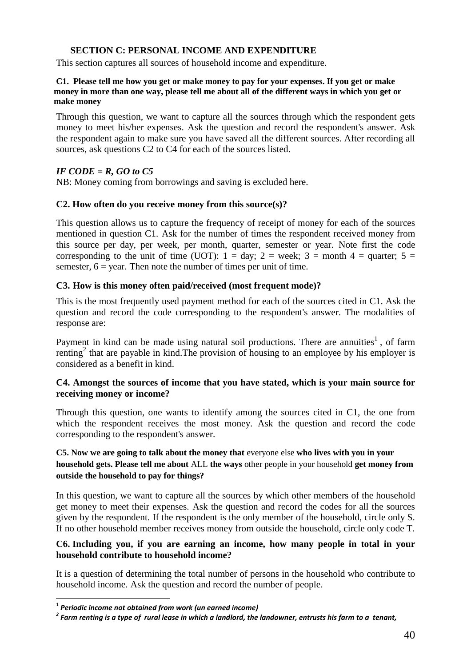## **SECTION C: PERSONAL INCOME AND EXPENDITURE**

This section captures all sources of household income and expenditure.

#### **C1. Please tell me how you get or make money to pay for your expenses. If you get or make money in more than one way, please tell me about all of the different ways in which you get or make money**

Through this question, we want to capture all the sources through which the respondent gets money to meet his/her expenses. Ask the question and record the respondent's answer. Ask the respondent again to make sure you have saved all the different sources. After recording all sources, ask questions C2 to C4 for each of the sources listed.

## *IF CODE = R, GO to C5*

NB: Money coming from borrowings and saving is excluded here.

## **C2. How often do you receive money from this source(s)?**

This question allows us to capture the frequency of receipt of money for each of the sources mentioned in question C1. Ask for the number of times the respondent received money from this source per day, per week, per month, quarter, semester or year. Note first the code corresponding to the unit of time (UOT):  $1 = \text{day}$ ;  $2 = \text{week}$ ;  $3 = \text{month } 4 = \text{quarter}$ ;  $5 = \text{Output}$ semester,  $6 = \text{vear}$ . Then note the number of times per unit of time.

## **C3. How is this money often paid/received (most frequent mode)?**

This is the most frequently used payment method for each of the sources cited in C1. Ask the question and record the code corresponding to the respondent's answer. The modalities of response are:

Payment in kind can be made using natural soil productions. There are annuities<sup>1</sup>, of farm renting<sup>2</sup> that are payable in kind. The provision of housing to an employee by his employer is considered as a benefit in kind.

### **C4. Amongst the sources of income that you have stated, which is your main source for receiving money or income?**

Through this question, one wants to identify among the sources cited in C1, the one from which the respondent receives the most money. Ask the question and record the code corresponding to the respondent's answer.

## **C5. Now we are going to talk about the money that** everyone else **who lives with you in your household gets. Please tell me about** ALL **the ways** other people in your household **get money from outside the household to pay for things?**

In this question, we want to capture all the sources by which other members of the household get money to meet their expenses. Ask the question and record the codes for all the sources given by the respondent. If the respondent is the only member of the household, circle only S. If no other household member receives money from outside the household, circle only code T.

### **C6. Including you, if you are earning an income, how many people in total in your household contribute to household income?**

It is a question of determining the total number of persons in the household who contribute to household income. Ask the question and record the number of people.

<sup>1</sup> *Periodic income not obtained from work (un earned income)*

*<sup>2</sup> Farm renting is a type of rural lease in which a landlord, the landowner, entrusts his farm to a tenant,*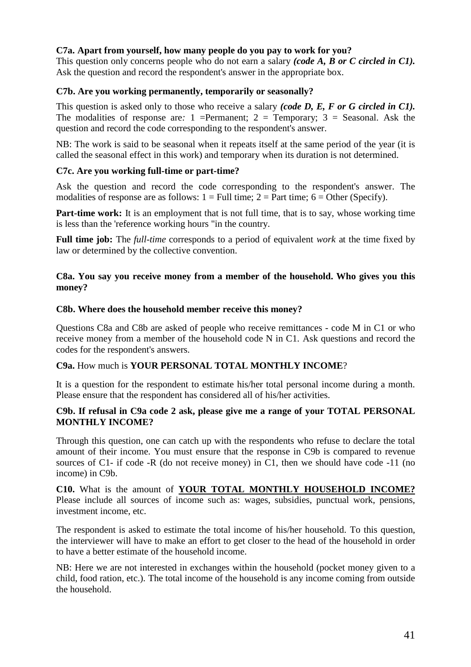## **C7a. Apart from yourself, how many people do you pay to work for you?**

This question only concerns people who do not earn a salary *(code A, B or C circled in C1).* Ask the question and record the respondent's answer in the appropriate box.

## **C7b. Are you working permanently, temporarily or seasonally?**

This question is asked only to those who receive a salary *(code D, E, F or G circled in C1).* The modalities of response are:  $1$  =Permanent;  $2$  = Temporary;  $3$  = Seasonal. Ask the question and record the code corresponding to the respondent's answer.

NB: The work is said to be seasonal when it repeats itself at the same period of the year (it is called the seasonal effect in this work) and temporary when its duration is not determined.

#### **C7c. Are you working full-time or part-time?**

Ask the question and record the code corresponding to the respondent's answer. The modalities of response are as follows:  $1 = Full$  time;  $2 = Part$  time;  $6 = Other$  (Specify).

**Part-time work:** It is an employment that is not full time, that is to say, whose working time is less than the 'reference working hours "in the country.

**Full time job:** The *full-time* corresponds to a period of equivalent *work* at the time fixed by law or determined by the collective convention.

### **C8a. You say you receive money from a member of the household. Who gives you this money?**

### **C8b. Where does the household member receive this money?**

Questions C8a and C8b are asked of people who receive remittances - code M in C1 or who receive money from a member of the household code N in C1. Ask questions and record the codes for the respondent's answers.

## **C9a.** How much is **YOUR PERSONAL TOTAL MONTHLY INCOME**?

It is a question for the respondent to estimate his/her total personal income during a month. Please ensure that the respondent has considered all of his/her activities.

### **C9b. If refusal in C9a code 2 ask, please give me a range of your TOTAL PERSONAL MONTHLY INCOME?**

Through this question, one can catch up with the respondents who refuse to declare the total amount of their income. You must ensure that the response in C9b is compared to revenue sources of C1- if code -R (do not receive money) in C1, then we should have code -11 (no income) in C9b.

**C10.** What is the amount of **YOUR TOTAL MONTHLY HOUSEHOLD INCOME?** Please include all sources of income such as: wages, subsidies, punctual work, pensions, investment income, etc.

The respondent is asked to estimate the total income of his/her household. To this question, the interviewer will have to make an effort to get closer to the head of the household in order to have a better estimate of the household income.

NB: Here we are not interested in exchanges within the household (pocket money given to a child, food ration, etc.). The total income of the household is any income coming from outside the household.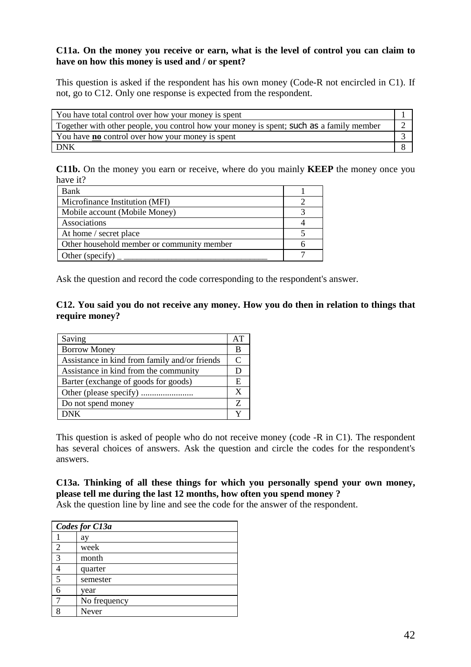## **C11a. On the money you receive or earn, what is the level of control you can claim to have on how this money is used and / or spent?**

This question is asked if the respondent has his own money (Code-R not encircled in C1). If not, go to C12. Only one response is expected from the respondent.

| You have total control over how your money is spent                                      |  |
|------------------------------------------------------------------------------------------|--|
| Together with other people, you control how your money is spent; such as a family member |  |
| You have <b>no</b> control over how your money is spent                                  |  |
| <b>DNK</b>                                                                               |  |

**C11b.** On the money you earn or receive, where do you mainly **KEEP** the money once you have it?

| Bank                                       |  |
|--------------------------------------------|--|
| Microfinance Institution (MFI)             |  |
| Mobile account (Mobile Money)              |  |
| Associations                               |  |
| At home / secret place                     |  |
| Other household member or community member |  |
| Other (specify)                            |  |

Ask the question and record the code corresponding to the respondent's answer.

## **C12. You said you do not receive any money. How you do then in relation to things that require money?**

| Saving                                        | AT |
|-----------------------------------------------|----|
| <b>Borrow Money</b>                           | В  |
| Assistance in kind from family and/or friends | C  |
| Assistance in kind from the community         | D  |
| Barter (exchange of goods for goods)          | E  |
|                                               | X  |
| Do not spend money                            | Z  |
| <b>DNK</b>                                    | v  |

This question is asked of people who do not receive money (code -R in C1). The respondent has several choices of answers. Ask the question and circle the codes for the respondent's answers.

## **C13a. Thinking of all these things for which you personally spend your own money, please tell me during the last 12 months, how often you spend money ?**

Ask the question line by line and see the code for the answer of the respondent.

| Codes for C13a |              |  |
|----------------|--------------|--|
|                | ay           |  |
| $\overline{c}$ | week         |  |
| 3              | month        |  |
|                | quarter      |  |
| 5              | semester     |  |
| 6              | year         |  |
|                | No frequency |  |
| o              | Never        |  |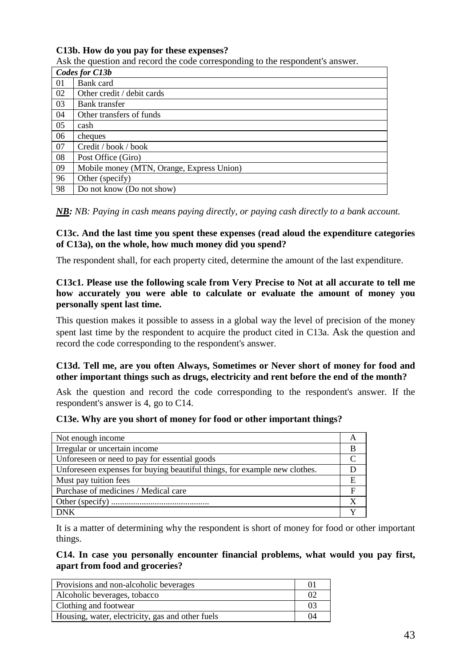## **C13b. How do you pay for these expenses?**

Ask the question and record the code corresponding to the respondent's answer.

|    | Codes for C13b                            |
|----|-------------------------------------------|
| 01 | Bank card                                 |
| 02 | Other credit / debit cards                |
| 03 | Bank transfer                             |
| 04 | Other transfers of funds                  |
| 05 | cash                                      |
| 06 | cheques                                   |
| 07 | Credit / book / book                      |
| 08 | Post Office (Giro)                        |
| 09 | Mobile money (MTN, Orange, Express Union) |
| 96 | Other (specify)                           |
| 98 | Do not know (Do not show)                 |

*NB: NB: Paying in cash means paying directly, or paying cash directly to a bank account.*

#### **C13c. And the last time you spent these expenses (read aloud the expenditure categories of C13a), on the whole, how much money did you spend?**

The respondent shall, for each property cited, determine the amount of the last expenditure.

## **C13c1. Please use the following scale from Very Precise to Not at all accurate to tell me how accurately you were able to calculate or evaluate the amount of money you personally spent last time.**

This question makes it possible to assess in a global way the level of precision of the money spent last time by the respondent to acquire the product cited in C13a. Ask the question and record the code corresponding to the respondent's answer.

### **C13d. Tell me, are you often Always, Sometimes or Never short of money for food and other important things such as drugs, electricity and rent before the end of the month?**

Ask the question and record the code corresponding to the respondent's answer. If the respondent's answer is 4, go to C14.

#### **C13e. Why are you short of money for food or other important things?**

| Not enough income                                                         |   |
|---------------------------------------------------------------------------|---|
| Irregular or uncertain income                                             | B |
| Unforeseen or need to pay for essential goods                             |   |
| Unforeseen expenses for buying beautiful things, for example new clothes. |   |
| Must pay tuition fees                                                     | Е |
| Purchase of medicines / Medical care                                      | F |
|                                                                           |   |
| <b>DNK</b>                                                                |   |

It is a matter of determining why the respondent is short of money for food or other important things.

**C14. In case you personally encounter financial problems, what would you pay first, apart from food and groceries?**

| Provisions and non-alcoholic beverages           | $_{01}$ |
|--------------------------------------------------|---------|
| Alcoholic beverages, tobacco                     | O2      |
| Clothing and footwear                            | 03      |
| Housing, water, electricity, gas and other fuels | 04      |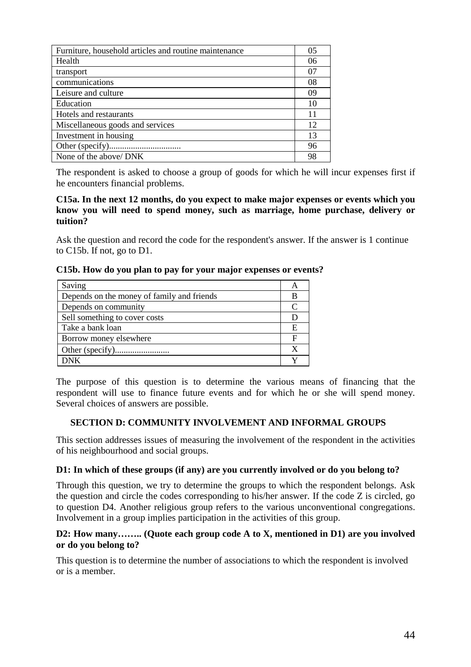| Furniture, household articles and routine maintenance | 0 <sub>5</sub> |
|-------------------------------------------------------|----------------|
| Health                                                | 06             |
| transport                                             | 07             |
| communications                                        | 08             |
| Leisure and culture                                   | 09             |
| Education                                             | 10             |
| Hotels and restaurants                                | 11             |
| Miscellaneous goods and services                      | 12             |
| Investment in housing                                 | 13             |
|                                                       | 96             |
| None of the above/ DNK                                | 98             |

The respondent is asked to choose a group of goods for which he will incur expenses first if he encounters financial problems.

#### **C15a. In the next 12 months, do you expect to make major expenses or events which you know you will need to spend money, such as marriage, home purchase, delivery or tuition?**

Ask the question and record the code for the respondent's answer. If the answer is 1 continue to C15b. If not, go to D1.

|  |  |  |  |  | C15b. How do you plan to pay for your major expenses or events? |
|--|--|--|--|--|-----------------------------------------------------------------|
|  |  |  |  |  |                                                                 |

| Saving                                     |   |
|--------------------------------------------|---|
| Depends on the money of family and friends |   |
| Depends on community                       |   |
| Sell something to cover costs              |   |
| Take a bank loan                           | F |
| Borrow money elsewhere                     | Е |
|                                            |   |
| DNK                                        |   |

The purpose of this question is to determine the various means of financing that the respondent will use to finance future events and for which he or she will spend money. Several choices of answers are possible.

#### **SECTION D: COMMUNITY INVOLVEMENT AND INFORMAL GROUPS**

This section addresses issues of measuring the involvement of the respondent in the activities of his neighbourhood and social groups.

#### **D1: In which of these groups (if any) are you currently involved or do you belong to?**

Through this question, we try to determine the groups to which the respondent belongs. Ask the question and circle the codes corresponding to his/her answer. If the code Z is circled, go to question D4. Another religious group refers to the various unconventional congregations. Involvement in a group implies participation in the activities of this group.

#### **D2: How many…….. (Quote each group code A to X, mentioned in D1) are you involved or do you belong to?**

This question is to determine the number of associations to which the respondent is involved or is a member.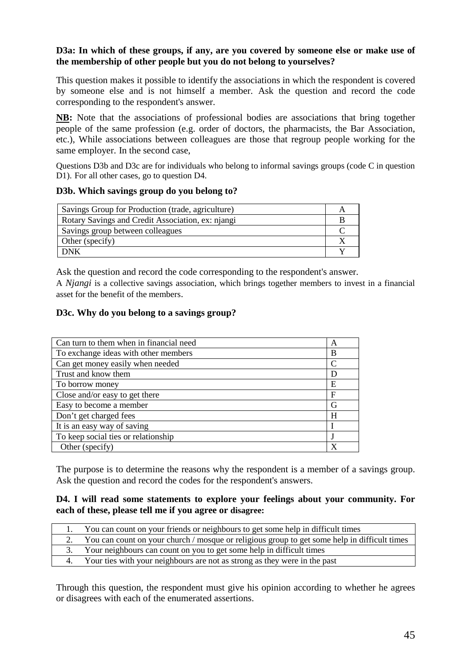## **D3a: In which of these groups, if any, are you covered by someone else or make use of the membership of other people but you do not belong to yourselves?**

This question makes it possible to identify the associations in which the respondent is covered by someone else and is not himself a member. Ask the question and record the code corresponding to the respondent's answer.

**NB:** Note that the associations of professional bodies are associations that bring together people of the same profession (e.g. order of doctors, the pharmacists, the Bar Association, etc.), While associations between colleagues are those that regroup people working for the same employer. In the second case,

Questions D3b and D3c are for individuals who belong to informal savings groups (code C in question D1). For all other cases, go to question D4.

### **D3b. Which savings group do you belong to?**

| Savings Group for Production (trade, agriculture) |  |
|---------------------------------------------------|--|
| Rotary Savings and Credit Association, ex: njangi |  |
| Savings group between colleagues                  |  |
| Other (specify)                                   |  |
| DNK                                               |  |

Ask the question and record the code corresponding to the respondent's answer.

A *Njangi* is a collective savings association, which brings together members to invest in a financial asset for the benefit of the members.

## **D3c. Why do you belong to a savings group?**

| Can turn to them when in financial need | A |
|-----------------------------------------|---|
| To exchange ideas with other members    | B |
| Can get money easily when needed        | C |
| Trust and know them                     | D |
| To borrow money                         | E |
| Close and/or easy to get there          | F |
| Easy to become a member                 | G |
| Don't get charged fees                  | H |
| It is an easy way of saving             |   |
| To keep social ties or relationship     |   |
| Other (specify)                         | х |

The purpose is to determine the reasons why the respondent is a member of a savings group. Ask the question and record the codes for the respondent's answers.

#### **D4. I will read some statements to explore your feelings about your community. For each of these, please tell me if you agree or disagree:**

|  | 1. You can count on your friends or neighbours to get some help in difficult times              |
|--|-------------------------------------------------------------------------------------------------|
|  | 2. You can count on your church / mosque or religious group to get some help in difficult times |
|  | 3. Your neighbours can count on you to get some help in difficult times                         |
|  | 4. Your ties with your neighbours are not as strong as they were in the past                    |
|  |                                                                                                 |

Through this question, the respondent must give his opinion according to whether he agrees or disagrees with each of the enumerated assertions.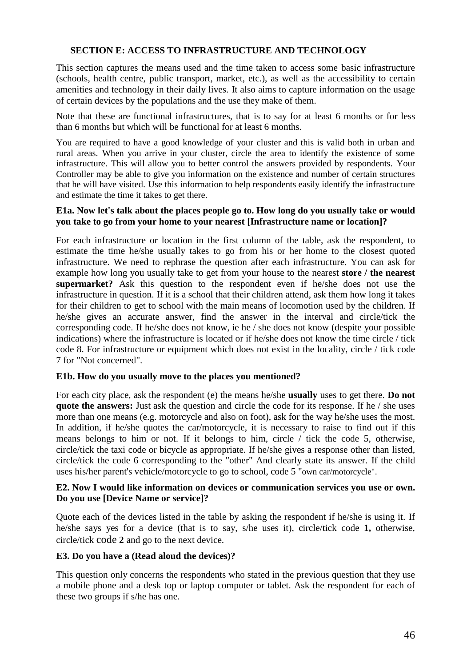## **SECTION E: ACCESS TO INFRASTRUCTURE AND TECHNOLOGY**

This section captures the means used and the time taken to access some basic infrastructure (schools, health centre, public transport, market, etc.), as well as the accessibility to certain amenities and technology in their daily lives. It also aims to capture information on the usage of certain devices by the populations and the use they make of them.

Note that these are functional infrastructures, that is to say for at least 6 months or for less than 6 months but which will be functional for at least 6 months.

You are required to have a good knowledge of your cluster and this is valid both in urban and rural areas. When you arrive in your cluster, circle the area to identify the existence of some infrastructure. This will allow you to better control the answers provided by respondents. Your Controller may be able to give you information on the existence and number of certain structures that he will have visited. Use this information to help respondents easily identify the infrastructure and estimate the time it takes to get there.

#### **E1a. Now let's talk about the places people go to. How long do you usually take or would you take to go from your home to your nearest [Infrastructure name or location]?**

For each infrastructure or location in the first column of the table, ask the respondent, to estimate the time he/she usually takes to go from his or her home to the closest quoted infrastructure. We need to rephrase the question after each infrastructure. You can ask for example how long you usually take to get from your house to the nearest **store / the nearest supermarket?** Ask this question to the respondent even if he/she does not use the infrastructure in question. If it is a school that their children attend, ask them how long it takes for their children to get to school with the main means of locomotion used by the children. If he/she gives an accurate answer, find the answer in the interval and circle/tick the corresponding code. If he/she does not know, ie he / she does not know (despite your possible indications) where the infrastructure is located or if he/she does not know the time circle / tick code 8. For infrastructure or equipment which does not exist in the locality, circle / tick code 7 for "Not concerned".

#### **E1b. How do you usually move to the places you mentioned?**

For each city place, ask the respondent (e) the means he/she **usually** uses to get there. **Do not quote the answers:** Just ask the question and circle the code for its response. If he / she uses more than one means (e.g. motorcycle and also on foot), ask for the way he/she uses the most. In addition, if he/she quotes the car/motorcycle, it is necessary to raise to find out if this means belongs to him or not. If it belongs to him, circle / tick the code 5, otherwise, circle/tick the taxi code or bicycle as appropriate. If he/she gives a response other than listed, circle/tick the code 6 corresponding to the "other" And clearly state its answer. If the child uses his/her parent's vehicle/motorcycle to go to school, code 5 "own car/motorcycle".

#### **E2. Now I would like information on devices or communication services you use or own. Do you use [Device Name or service]?**

Quote each of the devices listed in the table by asking the respondent if he/she is using it. If he/she says yes for a device (that is to say, s/he uses it), circle/tick code **1,** otherwise, circle/tick code **2** and go to the next device.

#### **E3. Do you have a (Read aloud the devices)?**

This question only concerns the respondents who stated in the previous question that they use a mobile phone and a desk top or laptop computer or tablet. Ask the respondent for each of these two groups if s/he has one.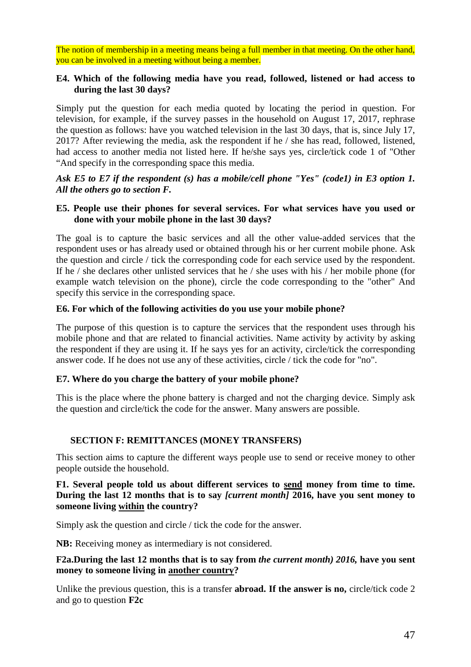The notion of membership in a meeting means being a full member in that meeting. On the other hand, you can be involved in a meeting without being a member.

#### **E4. Which of the following media have you read, followed, listened or had access to during the last 30 days?**

Simply put the question for each media quoted by locating the period in question. For television, for example, if the survey passes in the household on August 17, 2017, rephrase the question as follows: have you watched television in the last 30 days, that is, since July 17, 2017? After reviewing the media, ask the respondent if he / she has read, followed, listened, had access to another media not listed here. If he/she says yes, circle/tick code 1 of "Other "And specify in the corresponding space this media.

*Ask E5 to E7 if the respondent (s) has a mobile/cell phone "Yes" (code1) in E3 option 1. All the others go to section F.*

### **E5. People use their phones for several services. For what services have you used or done with your mobile phone in the last 30 days?**

The goal is to capture the basic services and all the other value-added services that the respondent uses or has already used or obtained through his or her current mobile phone. Ask the question and circle / tick the corresponding code for each service used by the respondent. If he / she declares other unlisted services that he / she uses with his / her mobile phone (for example watch television on the phone), circle the code corresponding to the "other" And specify this service in the corresponding space.

### **E6. For which of the following activities do you use your mobile phone?**

The purpose of this question is to capture the services that the respondent uses through his mobile phone and that are related to financial activities. Name activity by activity by asking the respondent if they are using it. If he says yes for an activity, circle/tick the corresponding answer code. If he does not use any of these activities, circle / tick the code for "no".

#### **E7. Where do you charge the battery of your mobile phone?**

This is the place where the phone battery is charged and not the charging device. Simply ask the question and circle/tick the code for the answer. Many answers are possible.

## **SECTION F: REMITTANCES (MONEY TRANSFERS)**

This section aims to capture the different ways people use to send or receive money to other people outside the household.

**F1. Several people told us about different services to send money from time to time. During the last 12 months that is to say** *[current month]* **2016, have you sent money to someone living within the country?**

Simply ask the question and circle / tick the code for the answer.

**NB:** Receiving money as intermediary is not considered.

## **F2a.During the last 12 months that is to say from** *the current month) 2016,* **have you sent money to someone living in another country?**

Unlike the previous question, this is a transfer **abroad. If the answer is no,** circle/tick code 2 and go to question **F2c**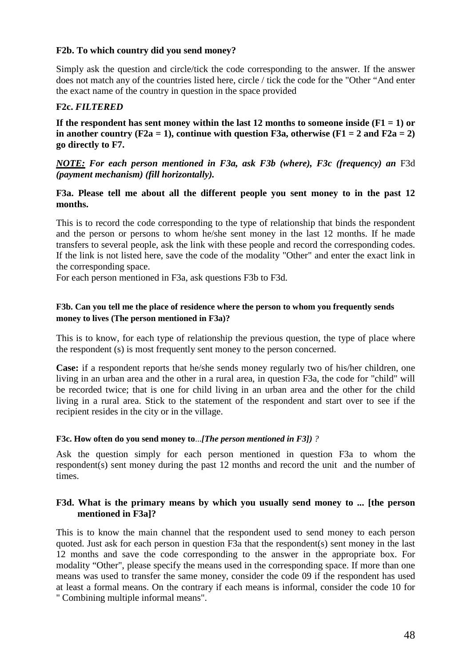## **F2b. To which country did you send money?**

Simply ask the question and circle/tick the code corresponding to the answer. If the answer does not match any of the countries listed here, circle / tick the code for the "Other "And enter the exact name of the country in question in the space provided

## **F2c.** *FILTERED*

**If the respondent has sent money within the last 12 months to someone inside (F1 = 1) or** in another country  $(F2a = 1)$ , continue with question F3a, otherwise  $(F1 = 2$  and  $F2a = 2)$ **go directly to F7.**

## *NOTE: For each person mentioned in F3a, ask F3b (where), F3c (frequency) an* F3d *(payment mechanism) (fill horizontally).*

### **F3a. Please tell me about all the different people you sent money to in the past 12 months.**

This is to record the code corresponding to the type of relationship that binds the respondent and the person or persons to whom he/she sent money in the last 12 months. If he made transfers to several people, ask the link with these people and record the corresponding codes. If the link is not listed here, save the code of the modality "Other" and enter the exact link in the corresponding space.

For each person mentioned in F3a, ask questions F3b to F3d.

#### **F3b. Can you tell me the place of residence where the person to whom you frequently sends money to lives (The person mentioned in F3a)?**

This is to know, for each type of relationship the previous question, the type of place where the respondent (s) is most frequently sent money to the person concerned.

**Case:** if a respondent reports that he/she sends money regularly two of his/her children, one living in an urban area and the other in a rural area, in question F3a, the code for "child" will be recorded twice; that is one for child living in an urban area and the other for the child living in a rural area. Stick to the statement of the respondent and start over to see if the recipient resides in the city or in the village.

#### **F3c. How often do you send money to**...*[The person mentioned in F3]) ?*

Ask the question simply for each person mentioned in question F3a to whom the respondent(s) sent money during the past 12 months and record the unit and the number of times.

### **F3d. What is the primary means by which you usually send money to ... [the person mentioned in F3a]?**

This is to know the main channel that the respondent used to send money to each person quoted. Just ask for each person in question F3a that the respondent(s) sent money in the last 12 months and save the code corresponding to the answer in the appropriate box. For modality "Other", please specify the means used in the corresponding space. If more than one means was used to transfer the same money, consider the code 09 if the respondent has used at least a formal means. On the contrary if each means is informal, consider the code 10 for " Combining multiple informal means".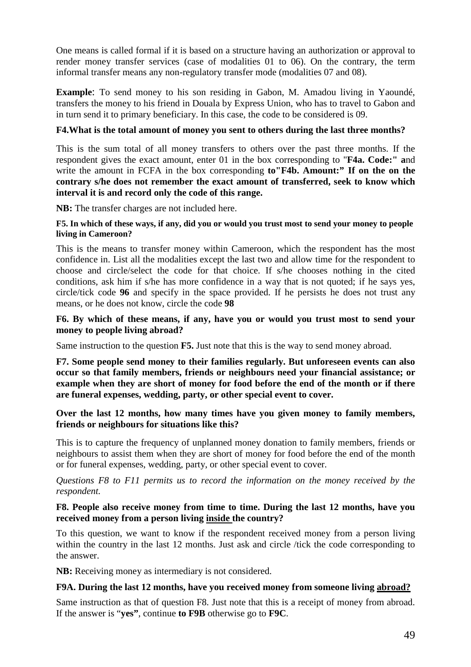One means is called formal if it is based on a structure having an authorization or approval to render money transfer services (case of modalities 01 to 06). On the contrary, the term informal transfer means any non-regulatory transfer mode (modalities 07 and 08).

**Example**: To send money to his son residing in Gabon, M. Amadou living in Yaoundé, transfers the money to his friend in Douala by Express Union, who has to travel to Gabon and in turn send it to primary beneficiary. In this case, the code to be considered is 09.

## **F4.What is the total amount of money you sent to others during the last three months?**

This is the sum total of all money transfers to others over the past three months. If the respondent gives the exact amount, enter 01 in the box corresponding to "**F4a. Code:" a**nd write the amount in FCFA in the box corresponding **to"F4b. Amount:" If on the on the contrary s/he does not remember the exact amount of transferred, seek to know which interval it is and record only the code of this range.**

**NB:** The transfer charges are not included here.

#### **F5. In which of these ways, if any, did you or would you trust most to send your money to people living in Cameroon?**

This is the means to transfer money within Cameroon, which the respondent has the most confidence in. List all the modalities except the last two and allow time for the respondent to choose and circle/select the code for that choice. If s/he chooses nothing in the cited conditions, ask him if s/he has more confidence in a way that is not quoted; if he says yes, circle/tick code **96** and specify in the space provided. If he persists he does not trust any means, or he does not know, circle the code **98**

### **F6. By which of these means, if any, have you or would you trust most to send your money to people living abroad?**

Same instruction to the question **F5.** Just note that this is the way to send money abroad.

**F7. Some people send money to their families regularly. But unforeseen events can also occur so that family members, friends or neighbours need your financial assistance; or example when they are short of money for food before the end of the month or if there are funeral expenses, wedding, party, or other special event to cover.**

### **Over the last 12 months, how many times have you given money to family members, friends or neighbours for situations like this?**

This is to capture the frequency of unplanned money donation to family members, friends or neighbours to assist them when they are short of money for food before the end of the month or for funeral expenses, wedding, party, or other special event to cover.

*Questions F8 to F11 permits us to record the information on the money received by the respondent.*

### **F8. People also receive money from time to time. During the last 12 months, have you received money from a person living inside the country?**

To this question, we want to know if the respondent received money from a person living within the country in the last 12 months. Just ask and circle /tick the code corresponding to the answer.

**NB:** Receiving money as intermediary is not considered.

#### **F9A. During the last 12 months, have you received money from someone living abroad?**

Same instruction as that of question F8. Just note that this is a receipt of money from abroad. If the answer is "**yes"**, continue **to F9B** otherwise go to **F9C**.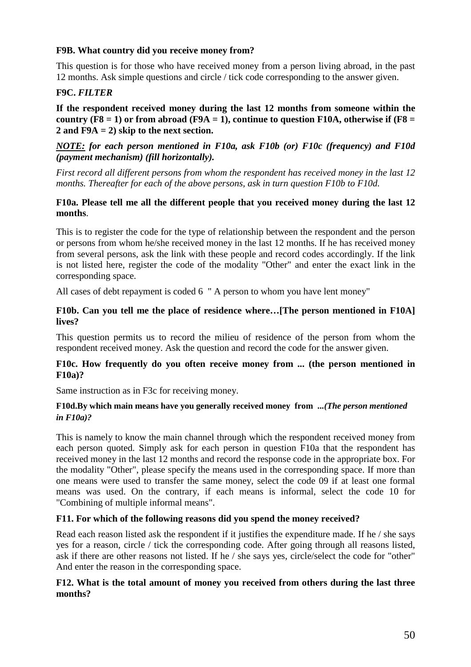## **F9B. What country did you receive money from?**

This question is for those who have received money from a person living abroad, in the past 12 months. Ask simple questions and circle / tick code corresponding to the answer given.

## **F9C.** *FILTER*

**If the respondent received money during the last 12 months from someone within the** country ( $F8 = 1$ ) or from abroad ( $F9A = 1$ ), continue to question F10A, otherwise if ( $F8 = 1$ ) **2 and F9A = 2) skip to the next section.**

## *NOTE: for each person mentioned in F10a, ask F10b (or) F10c (frequency) and F10d (payment mechanism) (fill horizontally).*

*First record all different persons from whom the respondent has received money in the last 12 months. Thereafter for each of the above persons, ask in turn question F10b to F10d.*

### **F10a. Please tell me all the different people that you received money during the last 12 months**.

This is to register the code for the type of relationship between the respondent and the person or persons from whom he/she received money in the last 12 months. If he has received money from several persons, ask the link with these people and record codes accordingly. If the link is not listed here, register the code of the modality "Other" and enter the exact link in the corresponding space.

All cases of debt repayment is coded 6 " A person to whom you have lent money"

## **F10b. Can you tell me the place of residence where…[The person mentioned in F10A] lives?**

This question permits us to record the milieu of residence of the person from whom the respondent received money. Ask the question and record the code for the answer given.

## **F10c. How frequently do you often receive money from ... (the person mentioned in F10a)?**

Same instruction as in F3c for receiving money.

### **F10d.By which main means have you generally received money from ...***(The person mentioned in F10a)?*

This is namely to know the main channel through which the respondent received money from each person quoted. Simply ask for each person in question F10a that the respondent has received money in the last 12 months and record the response code in the appropriate box. For the modality "Other", please specify the means used in the corresponding space. If more than one means were used to transfer the same money, select the code 09 if at least one formal means was used. On the contrary, if each means is informal, select the code 10 for "Combining of multiple informal means".

## **F11. For which of the following reasons did you spend the money received?**

Read each reason listed ask the respondent if it justifies the expenditure made. If he / she says yes for a reason, circle / tick the corresponding code. After going through all reasons listed, ask if there are other reasons not listed. If he / she says yes, circle/select the code for "other" And enter the reason in the corresponding space.

## **F12. What is the total amount of money you received from others during the last three months?**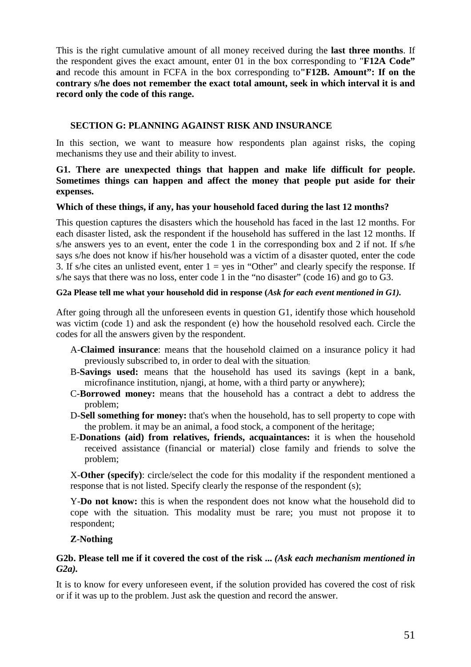This is the right cumulative amount of all money received during the **last three months**. If the respondent gives the exact amount, enter 01 in the box corresponding to "**F12A Code" a**nd recode this amount in FCFA in the box corresponding to**"F12B. Amount": If on the contrary s/he does not remember the exact total amount, seek in which interval it is and record only the code of this range.**

## **SECTION G: PLANNING AGAINST RISK AND INSURANCE**

In this section, we want to measure how respondents plan against risks, the coping mechanisms they use and their ability to invest.

## **G1. There are unexpected things that happen and make life difficult for people. Sometimes things can happen and affect the money that people put aside for their expenses.**

## **Which of these things, if any, has your household faced during the last 12 months?**

This question captures the disasters which the household has faced in the last 12 months. For each disaster listed, ask the respondent if the household has suffered in the last 12 months. If s/he answers yes to an event, enter the code 1 in the corresponding box and 2 if not. If s/he says s/he does not know if his/her household was a victim of a disaster quoted, enter the code 3. If s/he cites an unlisted event, enter  $1 = yes$  in "Other" and clearly specify the response. If s/he says that there was no loss, enter code 1 in the "no disaster" (code 16) and go to G3.

### **G2a Please tell me what your household did in response (***Ask for each event mentioned in G1).*

After going through all the unforeseen events in question G1, identify those which household was victim (code 1) and ask the respondent (e) how the household resolved each. Circle the codes for all the answers given by the respondent.

- A-**Claimed insurance**: means that the household claimed on a insurance policy it had previously subscribed to, in order to deal with the situation;
- B-**Savings used:** means that the household has used its savings (kept in a bank, microfinance institution, njangi, at home, with a third party or anywhere);
- C-**Borrowed money:** means that the household has a contract a debt to address the problem;
- D-**Sell something for money:** that's when the household, has to sell property to cope with the problem. it may be an animal, a food stock, a component of the heritage;
- E-**Donations (aid) from relatives, friends, acquaintances:** it is when the household received assistance (financial or material) close family and friends to solve the problem;

X-**Other (specify)**: circle/select the code for this modality if the respondent mentioned a response that is not listed. Specify clearly the response of the respondent (s);

Y-**Do not know:** this is when the respondent does not know what the household did to cope with the situation. This modality must be rare; you must not propose it to respondent;

## **Z**-**Nothing**

## **G2b. Please tell me if it covered the cost of the risk ...** *(Ask each mechanism mentioned in G2a).*

It is to know for every unforeseen event, if the solution provided has covered the cost of risk or if it was up to the problem. Just ask the question and record the answer.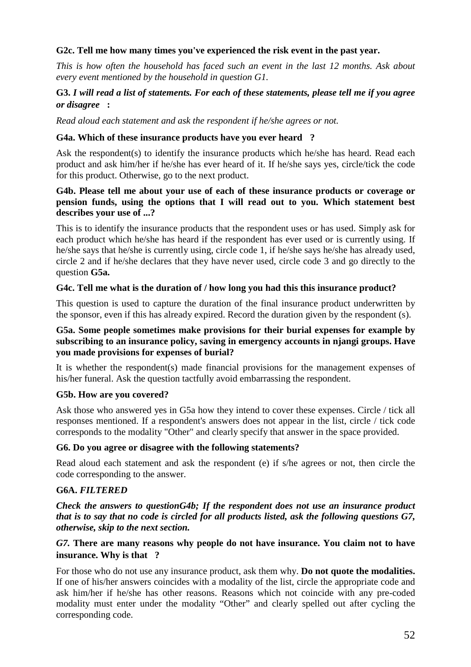## **G2c. Tell me how many times you've experienced the risk event in the past year.**

*This is how often the household has faced such an event in the last 12 months. Ask about every event mentioned by the household in question G1.*

## **G3.** *I will read a list of statements. For each of these statements, please tell me if you agree or disagree* **:**

*Read aloud each statement and ask the respondent if he/she agrees or not.*

#### **G4a. Which of these insurance products have you ever heard ?**

Ask the respondent(s) to identify the insurance products which he/she has heard. Read each product and ask him/her if he/she has ever heard of it. If he/she says yes, circle/tick the code for this product. Otherwise, go to the next product.

#### **G4b. Please tell me about your use of each of these insurance products or coverage or pension funds, using the options that I will read out to you. Which statement best describes your use of ...?**

This is to identify the insurance products that the respondent uses or has used. Simply ask for each product which he/she has heard if the respondent has ever used or is currently using. If he/she says that he/she is currently using, circle code 1, if he/she says he/she has already used, circle 2 and if he/she declares that they have never used, circle code 3 and go directly to the question **G5a.**

#### **G4c. Tell me what is the duration of / how long you had this this insurance product?**

This question is used to capture the duration of the final insurance product underwritten by the sponsor, even if this has already expired. Record the duration given by the respondent (s).

## **G5a. Some people sometimes make provisions for their burial expenses for example by subscribing to an insurance policy, saving in emergency accounts in njangi groups. Have you made provisions for expenses of burial?**

It is whether the respondent(s) made financial provisions for the management expenses of his/her funeral. Ask the question tactfully avoid embarrassing the respondent.

#### **G5b. How are you covered?**

Ask those who answered yes in G5a how they intend to cover these expenses. Circle / tick all responses mentioned. If a respondent's answers does not appear in the list, circle / tick code corresponds to the modality "Other" and clearly specify that answer in the space provided.

#### **G6. Do you agree or disagree with the following statements?**

Read aloud each statement and ask the respondent (e) if s/he agrees or not, then circle the code corresponding to the answer.

#### **G6A.** *FILTERED*

*Check the answers to questionG4b; If the respondent does not use an insurance product that is to say that no code is circled for all products listed, ask the following questions G7, otherwise, skip to the next section.*

## *G7.* **There are many reasons why people do not have insurance. You claim not to have insurance. Why is that ?**

For those who do not use any insurance product, ask them why. **Do not quote the modalities.** If one of his/her answers coincides with a modality of the list, circle the appropriate code and ask him/her if he/she has other reasons. Reasons which not coincide with any pre-coded modality must enter under the modality "Other" and clearly spelled out after cycling the corresponding code.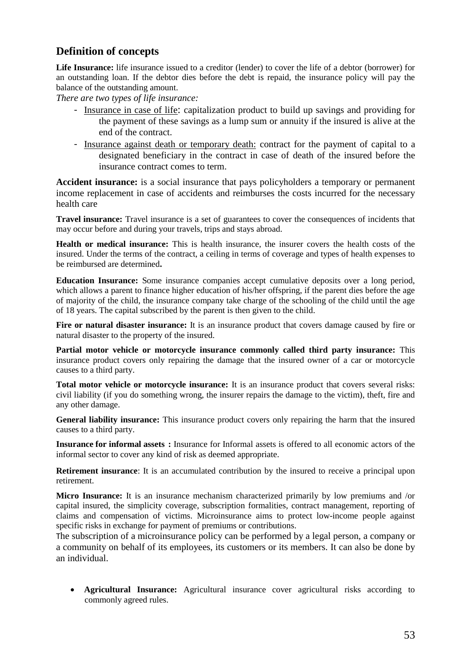## **Definition of concepts**

**Life Insurance:** life insurance issued to a creditor (lender) to cover the life of a debtor (borrower) for an outstanding loan. If the debtor dies before the debt is repaid, the insurance policy will pay the balance of the outstanding amount.

*There are two types of life insurance:*

- Insurance in case of life: capitalization product to build up savings and providing for the payment of these savings as a lump sum or annuity if the insured is alive at the end of the contract.
- Insurance against death or temporary death: contract for the payment of capital to a designated beneficiary in the contract in case of death of the insured before the insurance contract comes to term.

**Accident insurance:** is a social insurance that pays policyholders a temporary or permanent income replacement in case of accidents and reimburses the costs incurred for the necessary health care

**Travel insurance:** Travel insurance is a set of guarantees to cover the consequences of incidents that may occur before and during your travels, trips and stays abroad.

**Health or medical insurance:** This is health insurance, the insurer covers the health costs of the insured. Under the terms of the contract, a ceiling in terms of coverage and types of health expenses to be reimbursed are determined**.**

**Education Insurance:** Some insurance companies accept cumulative deposits over a long period, which allows a parent to finance higher education of his/her offspring, if the parent dies before the age of majority of the child, the insurance company take charge of the schooling of the child until the age of 18 years. The capital subscribed by the parent is then given to the child.

Fire or natural disaster insurance: It is an insurance product that covers damage caused by fire or natural disaster to the property of the insured.

**Partial motor vehicle or motorcycle insurance commonly called third party insurance:** This insurance product covers only repairing the damage that the insured owner of a car or motorcycle causes to a third party.

**Total motor vehicle or motorcycle insurance:** It is an insurance product that covers several risks: civil liability (if you do something wrong, the insurer repairs the damage to the victim), theft, fire and any other damage.

**General liability insurance:** This insurance product covers only repairing the harm that the insured causes to a third party.

**Insurance for informal assets :** Insurance for Informal assets is offered to all economic actors of the informal sector to cover any kind of risk as deemed appropriate.

**Retirement insurance:** It is an accumulated contribution by the insured to receive a principal upon retirement.

**Micro Insurance:** It is an insurance mechanism characterized primarily by low premiums and /or capital insured, the simplicity coverage, subscription formalities, contract management, reporting of claims and compensation of victims. Microinsurance aims to protect low-income people against specific risks in exchange for payment of premiums or contributions.

The subscription of a microinsurance policy can be performed by a legal person, a company or a community on behalf of its employees, its customers or its members. It can also be done by an individual.

 **Agricultural Insurance:** Agricultural insurance cover agricultural risks according to commonly agreed rules.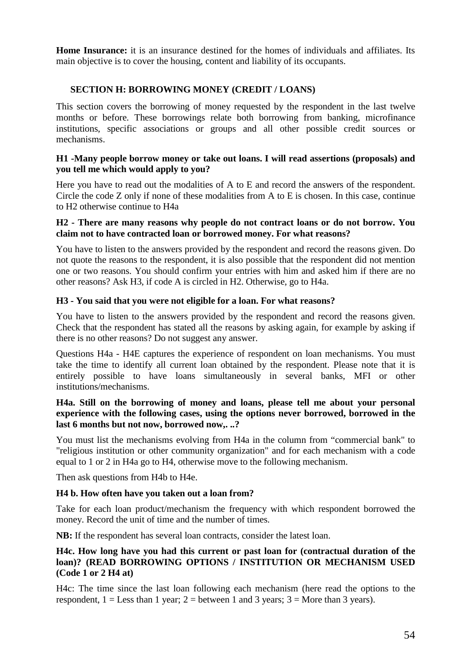**Home Insurance:** it is an insurance destined for the homes of individuals and affiliates. Its main objective is to cover the housing, content and liability of its occupants.

## **SECTION H: BORROWING MONEY (CREDIT / LOANS)**

This section covers the borrowing of money requested by the respondent in the last twelve months or before. These borrowings relate both borrowing from banking, microfinance institutions, specific associations or groups and all other possible credit sources or mechanisms.

#### **H1 -Many people borrow money or take out loans. I will read assertions (proposals) and you tell me which would apply to you?**

Here you have to read out the modalities of A to E and record the answers of the respondent. Circle the code Z only if none of these modalities from A to E is chosen. In this case, continue to H2 otherwise continue to H4a

#### **H2 - There are many reasons why people do not contract loans or do not borrow. You claim not to have contracted loan or borrowed money. For what reasons?**

You have to listen to the answers provided by the respondent and record the reasons given. Do not quote the reasons to the respondent, it is also possible that the respondent did not mention one or two reasons. You should confirm your entries with him and asked him if there are no other reasons? Ask H3, if code A is circled in H2. Otherwise, go to H4a.

### **H3 - You said that you were not eligible for a loan. For what reasons?**

You have to listen to the answers provided by the respondent and record the reasons given. Check that the respondent has stated all the reasons by asking again, for example by asking if there is no other reasons? Do not suggest any answer.

Questions H4a - H4E captures the experience of respondent on loan mechanisms. You must take the time to identify all current loan obtained by the respondent. Please note that it is entirely possible to have loans simultaneously in several banks, MFI or other institutions/mechanisms.

## **H4a. Still on the borrowing of money and loans, please tell me about your personal experience with the following cases, using the options never borrowed, borrowed in the last 6 months but not now, borrowed now,. ..?**

You must list the mechanisms evolving from H4a in the column from "commercial bank" to "religious institution or other community organization" and for each mechanism with a code equal to 1 or 2 in H4a go to H4, otherwise move to the following mechanism.

Then ask questions from H4b to H4e.

#### **H4 b. How often have you taken out a loan from?**

Take for each loan product/mechanism the frequency with which respondent borrowed the money. Record the unit of time and the number of times.

**NB:** If the respondent has several loan contracts, consider the latest loan.

## **H4c. How long have you had this current or past loan for (contractual duration of the loan)? (READ BORROWING OPTIONS / INSTITUTION OR MECHANISM USED (Code 1 or 2 H4 at)**

H4c: The time since the last loan following each mechanism (here read the options to the respondent,  $1 =$ Less than 1 year;  $2 =$  between 1 and 3 years;  $3 =$  More than 3 years).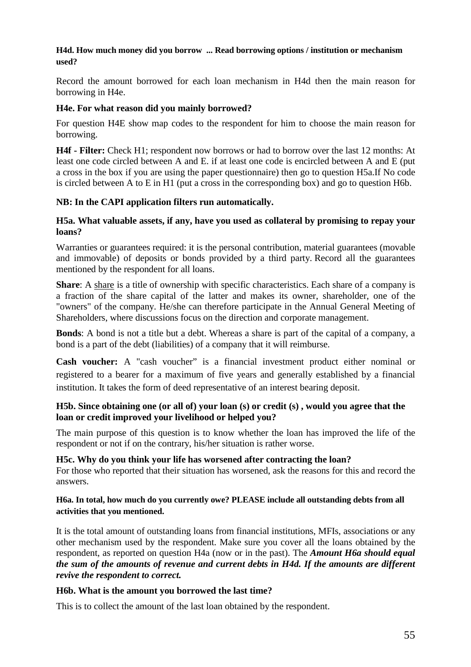## **H4d. How much money did you borrow ... Read borrowing options / institution or mechanism used?**

Record the amount borrowed for each loan mechanism in H4d then the main reason for borrowing in H4e.

## **H4e. For what reason did you mainly borrowed?**

For question H4E show map codes to the respondent for him to choose the main reason for borrowing.

**H4f - Filter:** Check H1; respondent now borrows or had to borrow over the last 12 months: At least one code circled between A and E. if at least one code is encircled between A and E (put a cross in the box if you are using the paper questionnaire) then go to question H5a.If No code is circled between A to E in H1 (put a cross in the corresponding box) and go to question H6b.

## **NB: In the CAPI application filters run automatically.**

## **H5a. What valuable assets, if any, have you used as collateral by promising to repay your loans?**

Warranties or guarantees required: it is the personal contribution, material guarantees (movable and immovable) of deposits or bonds provided by a third party. Record all the guarantees mentioned by the respondent for all loans.

**Share**: A share is a title of ownership with specific characteristics. Each share of a company is a fraction of the share capital of the latter and makes its owner, shareholder, one of the "owners" of the company. He/she can therefore participate in the Annual General Meeting of Shareholders, where discussions focus on the direction and corporate management.

**Bonds**: A bond is not a title but a debt. Whereas a share is part of the capital of a company, a bond is a part of the debt (liabilities) of a company that it will reimburse.

**Cash voucher:** A "cash voucher" is a financial investment product either nominal or registered to a bearer for a maximum of five years and generally established by a financial institution. It takes the form of deed representative of an interest bearing deposit.

## **H5b. Since obtaining one (or all of) your loan (s) or credit (s) , would you agree that the loan or credit improved your livelihood or helped you?**

The main purpose of this question is to know whether the loan has improved the life of the respondent or not if on the contrary, his/her situation is rather worse.

## **H5c. Why do you think your life has worsened after contracting the loan?**

For those who reported that their situation has worsened, ask the reasons for this and record the answers.

## **H6a. In total, how much do you currently owe? PLEASE include all outstanding debts from all activities that you mentioned.**

It is the total amount of outstanding loans from financial institutions, MFIs, associations or any other mechanism used by the respondent. Make sure you cover all the loans obtained by the respondent, as reported on question H4a (now or in the past). The *Amount H6a should equal the sum of the amounts of revenue and current debts in H4d. If the amounts are different revive the respondent to correct.*

## **H6b. What is the amount you borrowed the last time?**

This is to collect the amount of the last loan obtained by the respondent.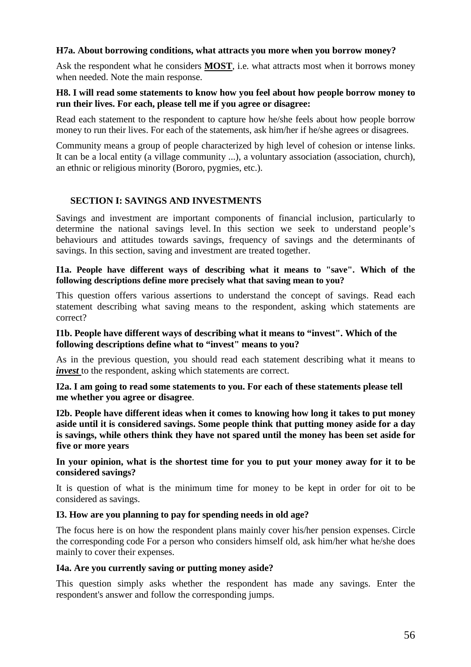## **H7a. About borrowing conditions, what attracts you more when you borrow money?**

Ask the respondent what he considers **MOST**, i.e. what attracts most when it borrows money when needed. Note the main response.

### **H8. I will read some statements to know how you feel about how people borrow money to run their lives. For each, please tell me if you agree or disagree:**

Read each statement to the respondent to capture how he/she feels about how people borrow money to run their lives. For each of the statements, ask him/her if he/she agrees or disagrees.

Community means a group of people characterized by high level of cohesion or intense links. It can be a local entity (a village community ...), a voluntary association (association, church), an ethnic or religious minority (Bororo, pygmies, etc.).

## **SECTION I: SAVINGS AND INVESTMENTS**

Savings and investment are important components of financial inclusion, particularly to determine the national savings level. In this section we seek to understand people's behaviours and attitudes towards savings, frequency of savings and the determinants of savings. In this section, saving and investment are treated together.

#### **I1a. People have different ways of describing what it means to "save". Which of the following descriptions define more precisely what that saving mean to you?**

This question offers various assertions to understand the concept of savings. Read each statement describing what saving means to the respondent, asking which statements are correct?

#### **I1b. People have different ways of describing what it means to "invest". Which of the following descriptions define what to "invest" means to you?**

As in the previous question, you should read each statement describing what it means to *invest* to the respondent, asking which statements are correct.

#### **I2a. I am going to read some statements to you. For each of these statements please tell me whether you agree or disagree**.

**I2b. People have different ideas when it comes to knowing how long it takes to put money aside until it is considered savings. Some people think that putting money aside for a day is savings, while others think they have not spared until the money has been set aside for five or more years**

**In your opinion, what is the shortest time for you to put your money away for it to be considered savings?**

It is question of what is the minimum time for money to be kept in order for oit to be considered as savings.

#### **I3. How are you planning to pay for spending needs in old age?**

The focus here is on how the respondent plans mainly cover his/her pension expenses. Circle the corresponding code For a person who considers himself old, ask him/her what he/she does mainly to cover their expenses.

#### **I4a. Are you currently saving or putting money aside?**

This question simply asks whether the respondent has made any savings. Enter the respondent's answer and follow the corresponding jumps.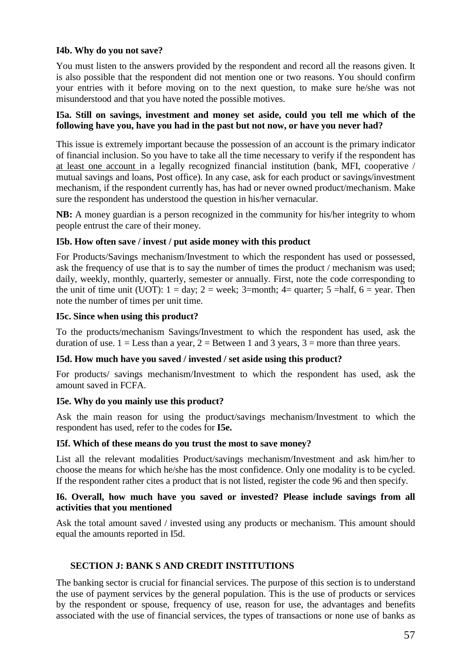## **I4b. Why do you not save?**

You must listen to the answers provided by the respondent and record all the reasons given. It is also possible that the respondent did not mention one or two reasons. You should confirm your entries with it before moving on to the next question, to make sure he/she was not misunderstood and that you have noted the possible motives.

### **I5a. Still on savings, investment and money set aside, could you tell me which of the following have you, have you had in the past but not now, or have you never had?**

This issue is extremely important because the possession of an account is the primary indicator of financial inclusion. So you have to take all the time necessary to verify if the respondent has at least one account in a legally recognized financial institution (bank, MFI, cooperative / mutual savings and loans, Post office). In any case, ask for each product or savings/investment mechanism, if the respondent currently has, has had or never owned product/mechanism. Make sure the respondent has understood the question in his/her vernacular.

**NB:** A money guardian is a person recognized in the community for his/her integrity to whom people entrust the care of their money.

### **I5b. How often save / invest / put aside money with this product**

For Products/Savings mechanism/Investment to which the respondent has used or possessed, ask the frequency of use that is to say the number of times the product / mechanism was used; daily, weekly, monthly, quarterly, semester or annually. First, note the code corresponding to the unit of time unit (UOT):  $1 = day$ ;  $2 = week$ ;  $3 = month$ ;  $4 = quarter$ ;  $5 = half$ ,  $6 = year$ . Then note the number of times per unit time.

#### **I5c. Since when using this product?**

To the products/mechanism Savings/Investment to which the respondent has used, ask the duration of use.  $1 =$ Less than a year,  $2 =$ Between 1 and 3 years,  $3 =$  more than three years.

#### **I5d. How much have you saved / invested / set aside using this product?**

For products/ savings mechanism/Investment to which the respondent has used, ask the amount saved in FCFA.

#### **I5e. Why do you mainly use this product?**

Ask the main reason for using the product/savings mechanism/Investment to which the respondent has used, refer to the codes for **I5e.**

#### **I5f. Which of these means do you trust the most to save money?**

List all the relevant modalities Product/savings mechanism/Investment and ask him/her to choose the means for which he/she has the most confidence. Only one modality is to be cycled. If the respondent rather cites a product that is not listed, register the code 96 and then specify.

#### **I6. Overall, how much have you saved or invested? Please include savings from all activities that you mentioned**

Ask the total amount saved / invested using any products or mechanism. This amount should equal the amounts reported in I5d.

#### **SECTION J: BANK S AND CREDIT INSTITUTIONS**

The banking sector is crucial for financial services. The purpose of this section is to understand the use of payment services by the general population. This is the use of products or services by the respondent or spouse, frequency of use, reason for use, the advantages and benefits associated with the use of financial services, the types of transactions or none use of banks as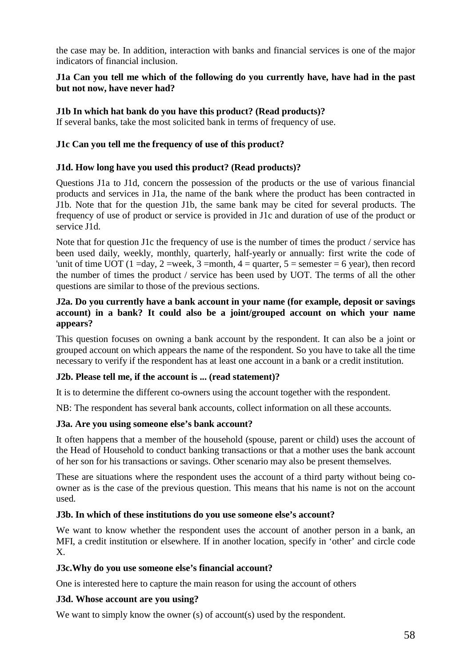the case may be. In addition, interaction with banks and financial services is one of the major indicators of financial inclusion.

## **J1a Can you tell me which of the following do you currently have, have had in the past but not now, have never had?**

## **J1b In which hat bank do you have this product? (Read products)?**

If several banks, take the most solicited bank in terms of frequency of use.

### **J1c Can you tell me the frequency of use of this product?**

#### **J1d. How long have you used this product? (Read products)?**

Questions J1a to J1d, concern the possession of the products or the use of various financial products and services in J1a, the name of the bank where the product has been contracted in J1b. Note that for the question J1b, the same bank may be cited for several products. The frequency of use of product or service is provided in J1c and duration of use of the product or service J1d.

Note that for question J1c the frequency of use is the number of times the product / service has been used daily, weekly, monthly, quarterly, half-yearly or annually: first write the code of 'unit of time UOT (1 =day, 2 =week, 3 =month, 4 = quarter, 5 = semester = 6 year), then record the number of times the product / service has been used by UOT. The terms of all the other questions are similar to those of the previous sections.

## **J2a. Do you currently have a bank account in your name (for example, deposit or savings account) in a bank? It could also be a joint/grouped account on which your name appears?**

This question focuses on owning a bank account by the respondent. It can also be a joint or grouped account on which appears the name of the respondent. So you have to take all the time necessary to verify if the respondent has at least one account in a bank or a credit institution.

## **J2b. Please tell me, if the account is ... (read statement)?**

It is to determine the different co-owners using the account together with the respondent.

NB: The respondent has several bank accounts, collect information on all these accounts.

#### **J3a. Are you using someone else's bank account?**

It often happens that a member of the household (spouse, parent or child) uses the account of the Head of Household to conduct banking transactions or that a mother uses the bank account of her son for his transactions or savings. Other scenario may also be present themselves.

These are situations where the respondent uses the account of a third party without being coowner as is the case of the previous question. This means that his name is not on the account used.

#### **J3b. In which of these institutions do you use someone else's account?**

We want to know whether the respondent uses the account of another person in a bank, an MFI, a credit institution or elsewhere. If in another location, specify in 'other' and circle code X.

#### **J3c.Why do you use someone else's financial account?**

One is interested here to capture the main reason for using the account of others

## **J3d. Whose account are you using?**

We want to simply know the owner (s) of account(s) used by the respondent.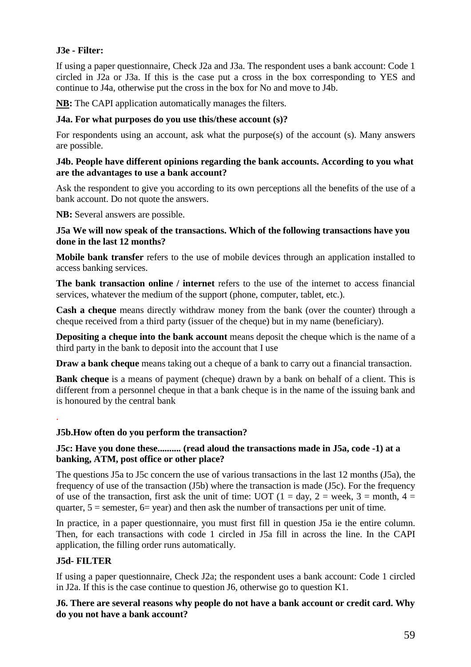## **J3e - Filter:**

If using a paper questionnaire, Check J2a and J3a. The respondent uses a bank account: Code 1 circled in J2a or J3a. If this is the case put a cross in the box corresponding to YES and continue to J4a, otherwise put the cross in the box for No and move to J4b.

**NB:** The CAPI application automatically manages the filters.

## **J4a. For what purposes do you use this/these account (s)?**

For respondents using an account, ask what the purpose(s) of the account (s). Many answers are possible.

## **J4b. People have different opinions regarding the bank accounts. According to you what are the advantages to use a bank account?**

Ask the respondent to give you according to its own perceptions all the benefits of the use of a bank account. Do not quote the answers.

**NB:** Several answers are possible.

## **J5a We will now speak of the transactions. Which of the following transactions have you done in the last 12 months?**

**Mobile bank transfer** refers to the use of mobile devices through an application installed to access banking services.

**The bank transaction online / internet** refers to the use of the internet to access financial services, whatever the medium of the support (phone, computer, tablet, etc.).

**Cash a cheque** means directly withdraw money from the bank (over the counter) through a cheque received from a third party (issuer of the cheque) but in my name (beneficiary).

**Depositing a cheque into the bank account** means deposit the cheque which is the name of a third party in the bank to deposit into the account that I use

**Draw a bank cheque** means taking out a cheque of a bank to carry out a financial transaction.

**Bank cheque** is a means of payment (cheque) drawn by a bank on behalf of a client. This is different from a personnel cheque in that a bank cheque is in the name of the issuing bank and is honoured by the central bank

## **J5b.How often do you perform the transaction?**

## **J5c: Have you done these.......... (read aloud the transactions made in J5a, code -1) at a banking, ATM, post office or other place?**

The questions J5a to J5c concern the use of various transactions in the last 12 months (J5a), the frequency of use of the transaction (J5b) where the transaction is made (J5c). For the frequency of use of the transaction, first ask the unit of time: UOT  $(1 = day, 2 = week, 3 = month, 4 =$ quarter,  $5 =$  semester,  $6 =$  year) and then ask the number of transactions per unit of time.

In practice, in a paper questionnaire, you must first fill in question J5a ie the entire column. Then, for each transactions with code 1 circled in J5a fill in across the line. In the CAPI application, the filling order runs automatically.

## **J5d- FILTER**

.

If using a paper questionnaire, Check J2a; the respondent uses a bank account: Code 1 circled in J2a. If this is the case continue to question J6, otherwise go to question K1.

**J6. There are several reasons why people do not have a bank account or credit card. Why do you not have a bank account?**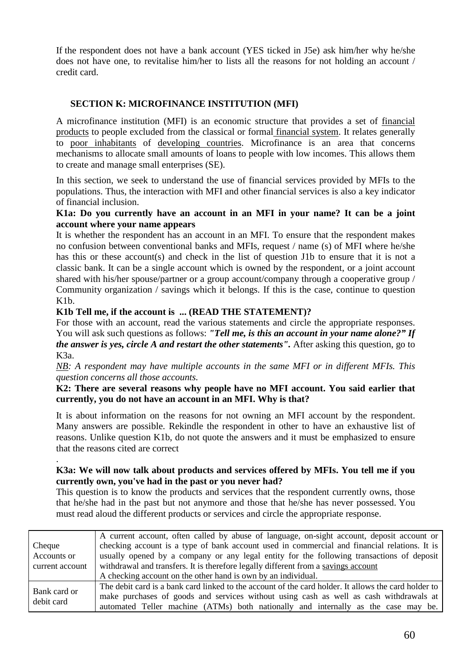If the respondent does not have a bank account (YES ticked in J5e) ask him/her why he/she does not have one, to revitalise him/her to lists all the reasons for not holding an account / credit card.

## **SECTION K: MICROFINANCE INSTITUTION (MFI)**

A microfinance institution (MFI) is an economic structure that provides a set of financial products to people excluded from the classical or formal financial system. It relates generally to poor inhabitants of developing countries. Microfinance is an area that concerns mechanisms to allocate small amounts of loans to people with low incomes. This allows them to create and manage small enterprises (SE).

In this section, we seek to understand the use of financial services provided by MFIs to the populations. Thus, the interaction with MFI and other financial services is also a key indicator of financial inclusion.

## **K1a: Do you currently have an account in an MFI in your name? It can be a joint account where your name appears**

It is whether the respondent has an account in an MFI. To ensure that the respondent makes no confusion between conventional banks and MFIs, request / name (s) of MFI where he/she has this or these account(s) and check in the list of question J1b to ensure that it is not a classic bank. It can be a single account which is owned by the respondent, or a joint account shared with his/her spouse/partner or a group account/company through a cooperative group / Community organization / savings which it belongs. If this is the case, continue to question K1b.

## **K1b Tell me, if the account is ... (READ THE STATEMENT)?**

For those with an account, read the various statements and circle the appropriate responses. You will ask such questions as follows: *"Tell me, is this an account in your name alone?" If the answer is yes, circle A and restart the other statements".* After asking this question, go to K3a.

*NB: A respondent may have multiple accounts in the same MFI or in different MFIs. This question concerns all those accounts.*

## **K2: There are several reasons why people have no MFI account. You said earlier that currently, you do not have an account in an MFI. Why is that?**

It is about information on the reasons for not owning an MFI account by the respondent. Many answers are possible. Rekindle the respondent in other to have an exhaustive list of reasons. Unlike question K1b, do not quote the answers and it must be emphasized to ensure that the reasons cited are correct

#### . **K3a: We will now talk about products and services offered by MFIs. You tell me if you currently own, you've had in the past or you never had?**

This question is to know the products and services that the respondent currently owns, those that he/she had in the past but not anymore and those that he/she has never possessed. You must read aloud the different products or services and circle the appropriate response.

|                 | A current account, often called by abuse of language, on-sight account, deposit account or           |
|-----------------|------------------------------------------------------------------------------------------------------|
| Cheque          | checking account is a type of bank account used in commercial and financial relations. It is         |
| Accounts or     | usually opened by a company or any legal entity for the following transactions of deposit            |
| current account | withdrawal and transfers. It is therefore legally different from a savings account                   |
|                 | A checking account on the other hand is own by an individual.                                        |
| Bank card or    | The debit card is a bank card linked to the account of the card holder. It allows the card holder to |
| debit card      | make purchases of goods and services without using cash as well as cash withdrawals at               |
|                 | automated Teller machine (ATMs) both nationally and internally as the case may be.                   |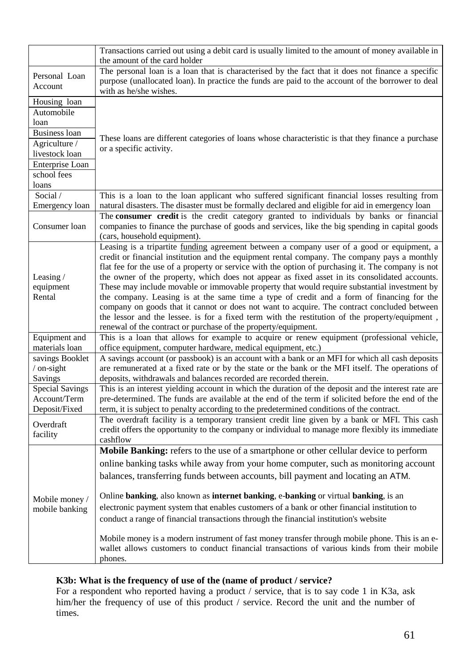|                                                         | Transactions carried out using a debit card is usually limited to the amount of money available in<br>the amount of the card holder                                                                                                                                                                                                                                                                                                                                                                                                                                                                                                                                                                                                                                                                                                                               |
|---------------------------------------------------------|-------------------------------------------------------------------------------------------------------------------------------------------------------------------------------------------------------------------------------------------------------------------------------------------------------------------------------------------------------------------------------------------------------------------------------------------------------------------------------------------------------------------------------------------------------------------------------------------------------------------------------------------------------------------------------------------------------------------------------------------------------------------------------------------------------------------------------------------------------------------|
| Personal Loan<br>Account                                | The personal loan is a loan that is characterised by the fact that it does not finance a specific<br>purpose (unallocated loan). In practice the funds are paid to the account of the borrower to deal<br>with as he/she wishes.                                                                                                                                                                                                                                                                                                                                                                                                                                                                                                                                                                                                                                  |
| Housing loan<br>Automobile<br>loan                      |                                                                                                                                                                                                                                                                                                                                                                                                                                                                                                                                                                                                                                                                                                                                                                                                                                                                   |
| <b>Business loan</b><br>Agriculture /<br>livestock loan | These loans are different categories of loans whose characteristic is that they finance a purchase<br>or a specific activity.                                                                                                                                                                                                                                                                                                                                                                                                                                                                                                                                                                                                                                                                                                                                     |
| Enterprise Loan<br>school fees<br>loans                 |                                                                                                                                                                                                                                                                                                                                                                                                                                                                                                                                                                                                                                                                                                                                                                                                                                                                   |
| Social /<br>Emergency loan                              | This is a loan to the loan applicant who suffered significant financial losses resulting from<br>natural disasters. The disaster must be formally declared and eligible for aid in emergency loan<br>The consumer credit is the credit category granted to individuals by banks or financial                                                                                                                                                                                                                                                                                                                                                                                                                                                                                                                                                                      |
| Consumer loan                                           | companies to finance the purchase of goods and services, like the big spending in capital goods<br>(cars, household equipment).                                                                                                                                                                                                                                                                                                                                                                                                                                                                                                                                                                                                                                                                                                                                   |
| Leasing $/$<br>equipment<br>Rental                      | Leasing is a tripartite funding agreement between a company user of a good or equipment, a<br>credit or financial institution and the equipment rental company. The company pays a monthly<br>flat fee for the use of a property or service with the option of purchasing it. The company is not<br>the owner of the property, which does not appear as fixed asset in its consolidated accounts.<br>These may include movable or immovable property that would require substantial investment by<br>the company. Leasing is at the same time a type of credit and a form of financing for the<br>company on goods that it cannot or does not want to acquire. The contract concluded between<br>the lessor and the lessee. is for a fixed term with the restitution of the property/equipment,<br>renewal of the contract or purchase of the property/equipment. |
| Equipment and<br>materials loan                         | This is a loan that allows for example to acquire or renew equipment (professional vehicle,<br>office equipment, computer hardware, medical equipment, etc.)                                                                                                                                                                                                                                                                                                                                                                                                                                                                                                                                                                                                                                                                                                      |
| savings Booklet<br>$/$ on-sight<br><b>Savings</b>       | A savings account (or passbook) is an account with a bank or an MFI for which all cash deposits<br>are remunerated at a fixed rate or by the state or the bank or the MFI itself. The operations of<br>deposits, withdrawals and balances recorded are recorded therein.                                                                                                                                                                                                                                                                                                                                                                                                                                                                                                                                                                                          |
| <b>Special Savings</b><br>Account/Term<br>Deposit/Fixed | This is an interest yielding account in which the duration of the deposit and the interest rate are<br>pre-determined. The funds are available at the end of the term if solicited before the end of the<br>term, it is subject to penalty according to the predetermined conditions of the contract.                                                                                                                                                                                                                                                                                                                                                                                                                                                                                                                                                             |
| Overdraft<br>facility                                   | The overdraft facility is a temporary transient credit line given by a bank or MFI. This cash<br>credit offers the opportunity to the company or individual to manage more flexibly its immediate<br>cashflow                                                                                                                                                                                                                                                                                                                                                                                                                                                                                                                                                                                                                                                     |
| Mobile money /<br>mobile banking                        | Mobile Banking: refers to the use of a smartphone or other cellular device to perform<br>online banking tasks while away from your home computer, such as monitoring account<br>balances, transferring funds between accounts, bill payment and locating an ATM.<br>Online banking, also known as internet banking, e-banking or virtual banking, is an<br>electronic payment system that enables customers of a bank or other financial institution to                                                                                                                                                                                                                                                                                                                                                                                                           |
|                                                         | conduct a range of financial transactions through the financial institution's website<br>Mobile money is a modern instrument of fast money transfer through mobile phone. This is an e-<br>wallet allows customers to conduct financial transactions of various kinds from their mobile<br>phones.                                                                                                                                                                                                                                                                                                                                                                                                                                                                                                                                                                |

## **K3b: What is the frequency of use of the (name of product / service?**

For a respondent who reported having a product / service, that is to say code 1 in K3a, ask him/her the frequency of use of this product / service. Record the unit and the number of times.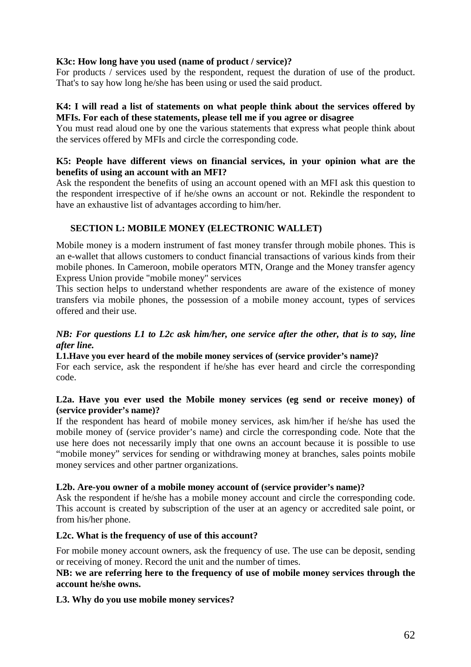## **K3c: How long have you used (name of product / service)?**

For products / services used by the respondent, request the duration of use of the product. That's to say how long he/she has been using or used the said product.

### **K4: I will read a list of statements on what people think about the services offered by MFIs. For each of these statements, please tell me if you agree or disagree**

You must read aloud one by one the various statements that express what people think about the services offered by MFIs and circle the corresponding code.

## **K5: People have different views on financial services, in your opinion what are the benefits of using an account with an MFI?**

Ask the respondent the benefits of using an account opened with an MFI ask this question to the respondent irrespective of if he/she owns an account or not. Rekindle the respondent to have an exhaustive list of advantages according to him/her.

## **SECTION L: MOBILE MONEY (ELECTRONIC WALLET)**

Mobile money is a modern instrument of fast money transfer through mobile phones. This is an e-wallet that allows customers to conduct financial transactions of various kinds from their mobile phones. In Cameroon, mobile operators MTN, Orange and the Money transfer agency Express Union provide "mobile money" services

This section helps to understand whether respondents are aware of the existence of money transfers via mobile phones, the possession of a mobile money account, types of services offered and their use.

### *NB: For questions L1 to L2c ask him/her, one service after the other, that is to say, line after line.*

#### **L1.Have you ever heard of the mobile money services of (service provider's name)?**

For each service, ask the respondent if he/she has ever heard and circle the corresponding code.

### **L2a. Have you ever used the Mobile money services (eg send or receive money) of (service provider's name)?**

If the respondent has heard of mobile money services, ask him/her if he/she has used the mobile money of (service provider's name) and circle the corresponding code. Note that the use here does not necessarily imply that one owns an account because it is possible to use "mobile money" services for sending or withdrawing money at branches, sales points mobile money services and other partner organizations.

## **L2b. Are-you owner of a mobile money account of (service provider's name)?**

Ask the respondent if he/she has a mobile money account and circle the corresponding code. This account is created by subscription of the user at an agency or accredited sale point, or from his/her phone.

## **L2c. What is the frequency of use of this account?**

For mobile money account owners, ask the frequency of use. The use can be deposit, sending or receiving of money. Record the unit and the number of times.

## **NB: we are referring here to the frequency of use of mobile money services through the account he/she owns.**

## **L3. Why do you use mobile money services?**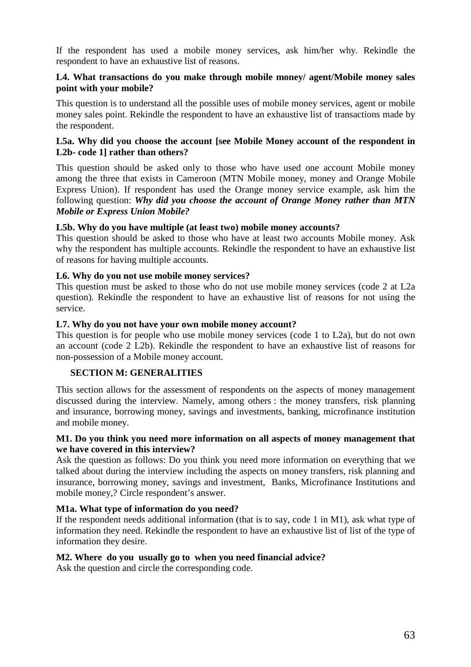If the respondent has used a mobile money services, ask him/her why. Rekindle the respondent to have an exhaustive list of reasons.

## **L4. What transactions do you make through mobile money/ agent/Mobile money sales point with your mobile?**

This question is to understand all the possible uses of mobile money services, agent or mobile money sales point. Rekindle the respondent to have an exhaustive list of transactions made by the respondent.

#### **L5a. Why did you choose the account [see Mobile Money account of the respondent in L2b- code 1] rather than others?**

This question should be asked only to those who have used one account Mobile money among the three that exists in Cameroon (MTN Mobile money, money and Orange Mobile Express Union). If respondent has used the Orange money service example, ask him the following question: *Why did you choose the account of Orange Money rather than MTN Mobile or Express Union Mobile?*

### **L5b. Why do you have multiple (at least two) mobile money accounts?**

This question should be asked to those who have at least two accounts Mobile money. Ask why the respondent has multiple accounts. Rekindle the respondent to have an exhaustive list of reasons for having multiple accounts.

### **L6. Why do you not use mobile money services?**

This question must be asked to those who do not use mobile money services (code 2 at L2a question). Rekindle the respondent to have an exhaustive list of reasons for not using the service.

### **L7. Why do you not have your own mobile money account?**

This question is for people who use mobile money services (code 1 to L2a), but do not own an account (code 2 L2b). Rekindle the respondent to have an exhaustive list of reasons for non-possession of a Mobile money account.

## **SECTION M: GENERALITIES**

This section allows for the assessment of respondents on the aspects of money management discussed during the interview. Namely, among others : the money transfers, risk planning and insurance, borrowing money, savings and investments, banking, microfinance institution and mobile money.

### **M1. Do you think you need more information on all aspects of money management that we have covered in this interview?**

Ask the question as follows: Do you think you need more information on everything that we talked about during the interview including the aspects on money transfers, risk planning and insurance, borrowing money, savings and investment, Banks, Microfinance Institutions and mobile money,? Circle respondent's answer.

#### **M1a. What type of information do you need?**

If the respondent needs additional information (that is to say, code 1 in M1), ask what type of information they need. Rekindle the respondent to have an exhaustive list of list of the type of information they desire.

#### **M2. Where do you usually go to when you need financial advice?**

Ask the question and circle the corresponding code.